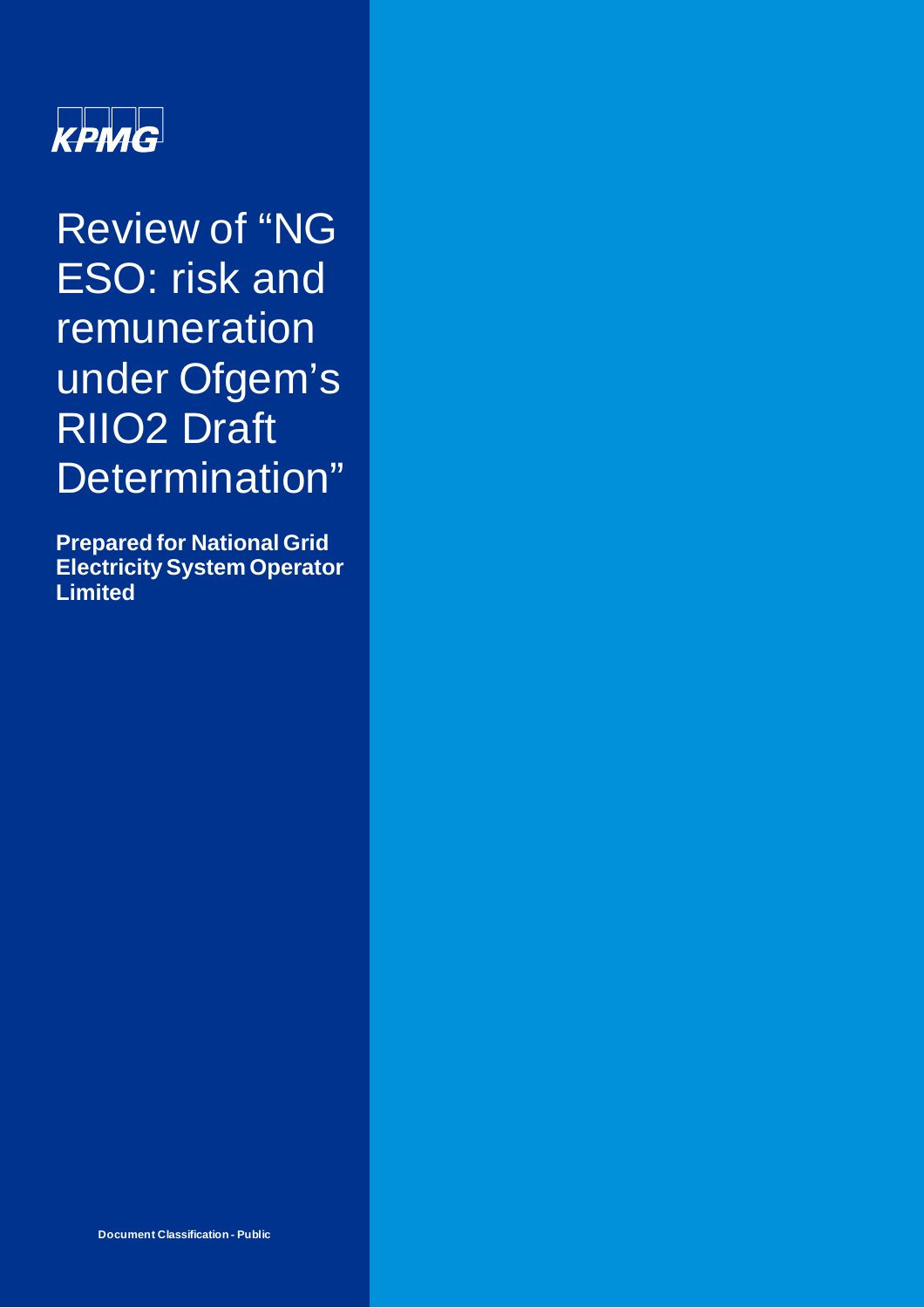

Review of "NG ESO: risk and remuneration under Ofgem's RIIO2 Draft Determination"

**Prepared for National Grid Electricity System Operator Limited**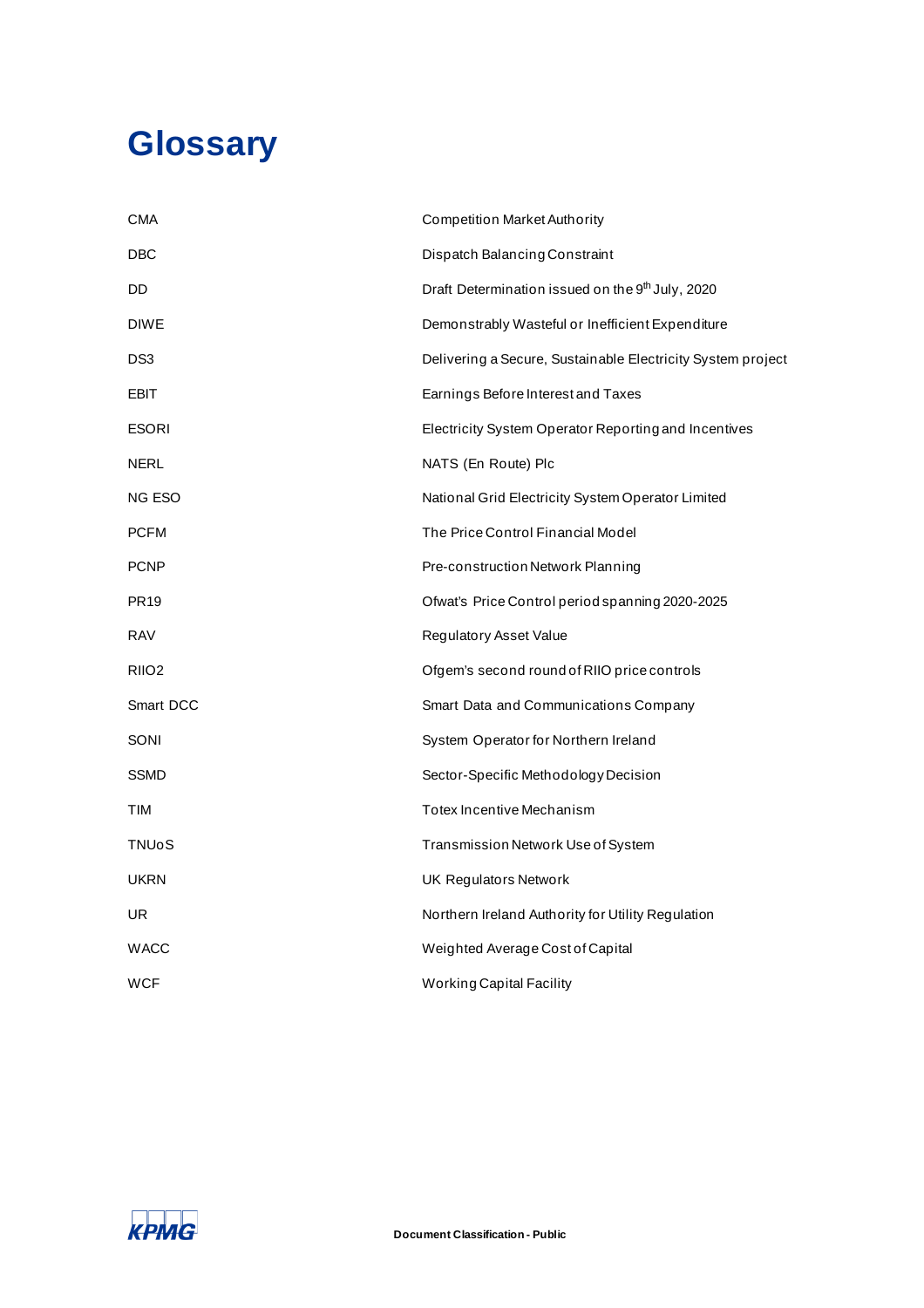# **Glossary**

| CMA               | <b>Competition Market Authority</b>                          |
|-------------------|--------------------------------------------------------------|
| DBC               | Dispatch Balancing Constraint                                |
| DD                | Draft Determination issued on the 9 <sup>th</sup> July, 2020 |
| <b>DIWE</b>       | Demonstrably Wasteful or Inefficient Expenditure             |
| DS3               | Delivering a Secure, Sustainable Electricity System project  |
| EBIT              | Earnings Before Interest and Taxes                           |
| ESORI             | Electricity System Operator Reporting and Incentives         |
| NERL              | NATS (En Route) Plc                                          |
| NG ESO            | National Grid Electricity System Operator Limited            |
| <b>PCFM</b>       | The Price Control Financial Model                            |
| <b>PCNP</b>       | Pre-construction Network Planning                            |
| <b>PR19</b>       | Ofwat's Price Control period spanning 2020-2025              |
| RAV               | Regulatory Asset Value                                       |
| RIIO <sub>2</sub> | Ofgem's second round of RIIO price controls                  |
| Smart DCC         | Smart Data and Communications Company                        |
| SONI              | System Operator for Northern Ireland                         |
| SSMD              | Sector-Specific Methodology Decision                         |
| TIM               | Totex Incentive Mechanism                                    |
| <b>TNUoS</b>      | Transmission Network Use of System                           |
| <b>UKRN</b>       | <b>UK Regulators Network</b>                                 |
| UR                | Northern Ireland Authority for Utility Regulation            |
| WACC              | Weighted Average Cost of Capital                             |
| <b>WCF</b>        | <b>Working Capital Facility</b>                              |

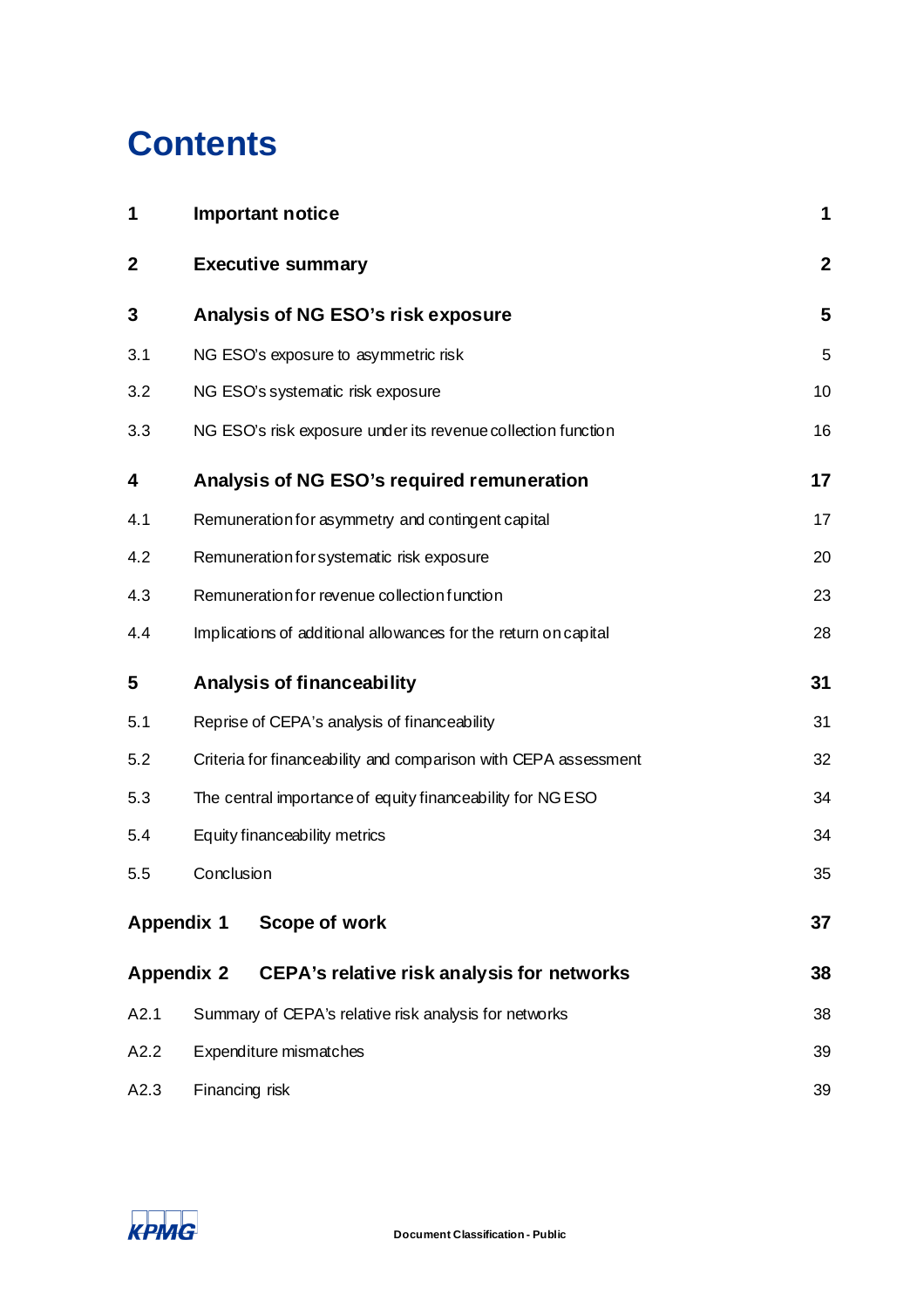# **Contents**

| 1           | <b>Important notice</b>                                                | 1                |  |  |
|-------------|------------------------------------------------------------------------|------------------|--|--|
| $\mathbf 2$ | <b>Executive summary</b>                                               | $\boldsymbol{2}$ |  |  |
| 3           | Analysis of NG ESO's risk exposure                                     | 5                |  |  |
| 3.1         | NG ESO's exposure to asymmetric risk                                   | 5                |  |  |
| 3.2         | NG ESO's systematic risk exposure                                      | 10               |  |  |
| 3.3         | NG ESO's risk exposure under its revenue collection function           | 16               |  |  |
| 4           | Analysis of NG ESO's required remuneration                             | 17               |  |  |
| 4.1         | Remuneration for asymmetry and contingent capital                      | 17               |  |  |
| 4.2         | Remuneration for systematic risk exposure                              | 20               |  |  |
| 4.3         | Remuneration for revenue collection function                           | 23               |  |  |
| 4.4         | Implications of additional allowances for the return on capital        | 28               |  |  |
| 5           | <b>Analysis of financeability</b>                                      | 31               |  |  |
| 5.1         | Reprise of CEPA's analysis of financeability                           |                  |  |  |
| 5.2         | Criteria for financeability and comparison with CEPA assessment<br>32  |                  |  |  |
| 5.3         | The central importance of equity financeability for NG ESO<br>34       |                  |  |  |
| 5.4         | Equity financeability metrics<br>34                                    |                  |  |  |
| 5.5         | Conclusion                                                             | 35               |  |  |
|             | Scope of work<br><b>Appendix 1</b>                                     | 37               |  |  |
|             | <b>Appendix 2</b><br><b>CEPA's relative risk analysis for networks</b> | 38               |  |  |
| A2.1        | Summary of CEPA's relative risk analysis for networks                  | 38               |  |  |
| A2.2        | Expenditure mismatches                                                 | 39               |  |  |
| A2.3        | Financing risk                                                         | 39               |  |  |

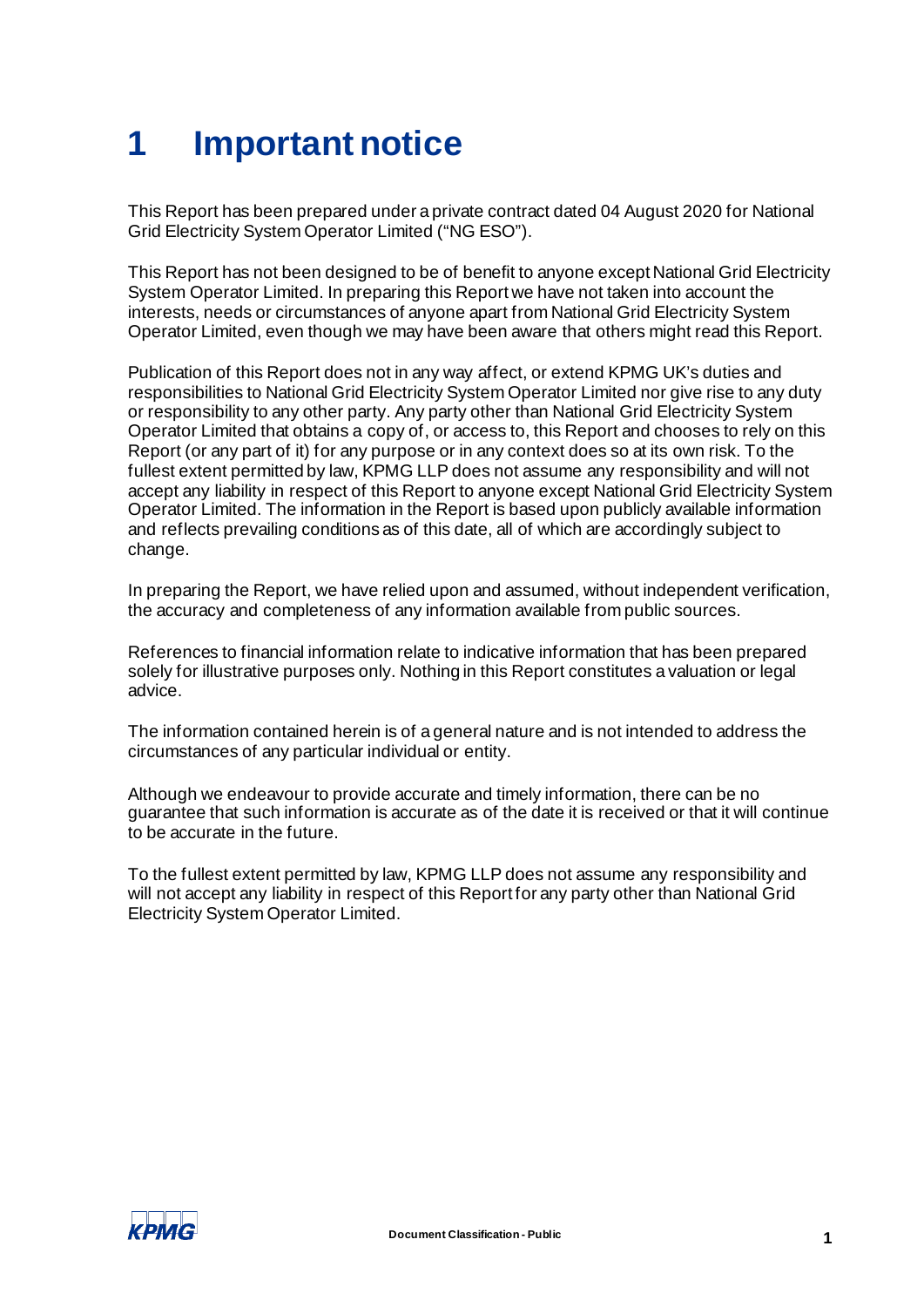# <span id="page-3-0"></span>**1 Important notice**

This Report has been prepared under a private contract dated 04 August 2020 for National Grid Electricity System Operator Limited ("NG ESO").

This Report has not been designed to be of benefit to anyone except National Grid Electricity System Operator Limited. In preparing this Report we have not taken into account the interests, needs or circumstances of anyone apart from National Grid Electricity System Operator Limited, even though we may have been aware that others might read this Report.

Publication of this Report does not in any way affect, or extend KPMG UK's duties and responsibilities to National Grid Electricity System Operator Limited nor give rise to any duty or responsibility to any other party. Any party other than National Grid Electricity System Operator Limited that obtains a copy of, or access to, this Report and chooses to rely on this Report (or any part of it) for any purpose or in any context does so at its own risk. To the fullest extent permitted by law, KPMG LLP does not assume any responsibility and will not accept any liability in respect of this Report to anyone except National Grid Electricity System Operator Limited. The information in the Report is based upon publicly available information and reflects prevailing conditions as of this date, all of which are accordingly subject to change.

In preparing the Report, we have relied upon and assumed, without independent verification, the accuracy and completeness of any information available from public sources.

References to financial information relate to indicative information that has been prepared solely for illustrative purposes only. Nothing in this Report constitutes a valuation or legal advice.

The information contained herein is of a general nature and is not intended to address the circumstances of any particular individual or entity.

Although we endeavour to provide accurate and timely information, there can be no guarantee that such information is accurate as of the date it is received or that it will continue to be accurate in the future.

To the fullest extent permitted by law, KPMG LLP does not assume any responsibility and will not accept any liability in respect of this Report for any party other than National Grid Electricity System Operator Limited.

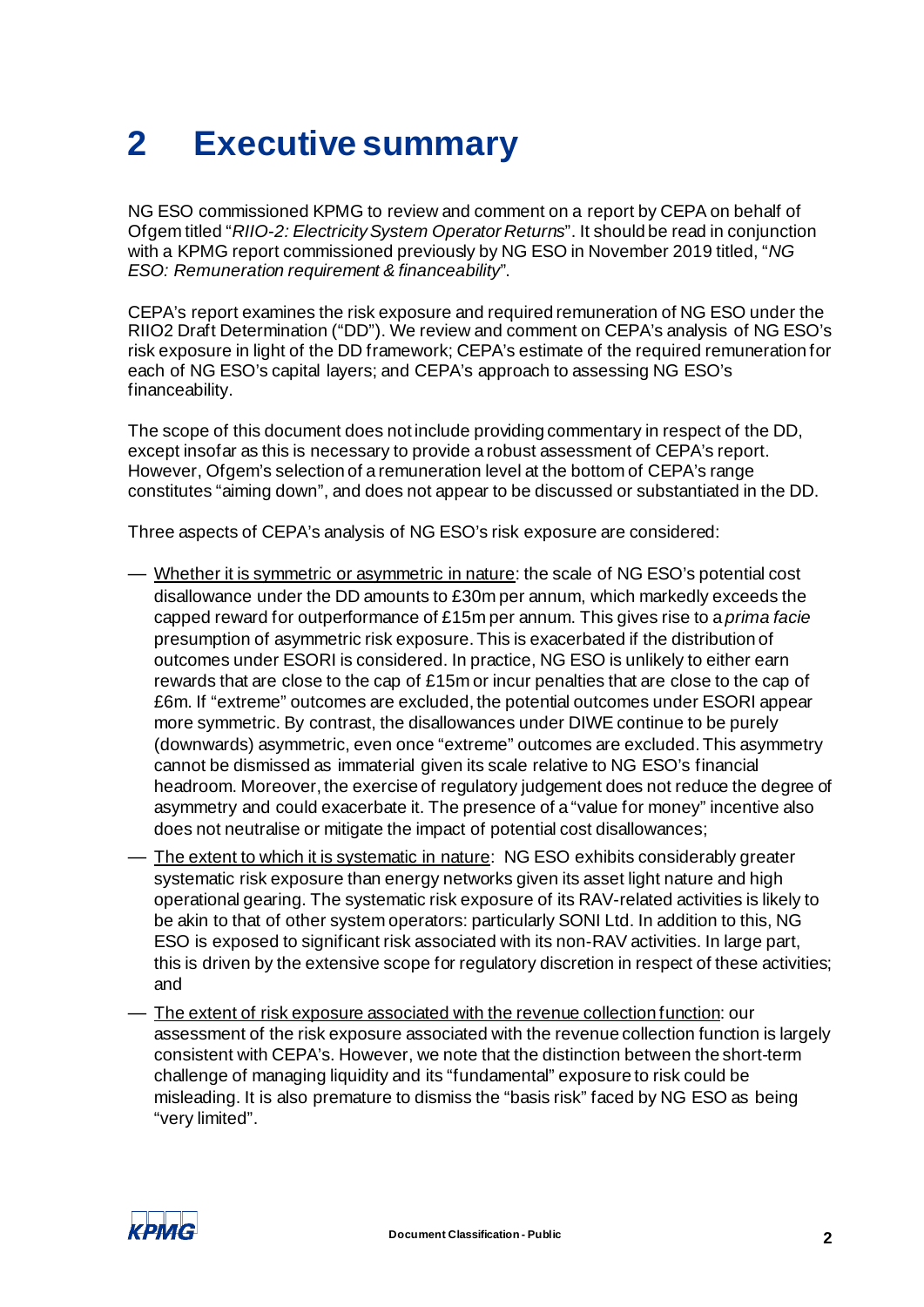# <span id="page-4-0"></span>**2 Executive summary**

NG ESO commissioned KPMG to review and comment on a report by CEPA on behalf of Ofgem titled "*RIIO-2: Electricity System Operator Returns*". It should be read in conjunction with a KPMG report commissioned previously by NG ESO in November 2019 titled, "*NG ESO: Remuneration requirement & financeability*".

CEPA's report examines the risk exposure and required remuneration of NG ESO under the RIIO2 Draft Determination ("DD"). We review and comment on CEPA's analysis of NG ESO's risk exposure in light of the DD framework; CEPA's estimate of the required remuneration for each of NG ESO's capital layers; and CEPA's approach to assessing NG ESO's financeability.

The scope of this document does not include providing commentary in respect of the DD, except insofar as this is necessary to provide a robust assessment of CEPA's report. However, Ofgem's selection of a remuneration level at the bottom of CEPA's range constitutes "aiming down", and does not appear to be discussed or substantiated in the DD.

Three aspects of CEPA's analysis of NG ESO's risk exposure are considered:

- Whether it is symmetric or asymmetric in nature: the scale of NG ESO's potential cost disallowance under the DD amounts to £30m per annum, which markedly exceeds the capped reward for outperformance of £15m per annum. This gives rise to a *prima facie* presumption of asymmetric risk exposure. This is exacerbated if the distribution of outcomes under ESORI is considered. In practice, NG ESO is unlikely to either earn rewards that are close to the cap of £15m or incur penalties that are close to the cap of £6m. If "extreme" outcomes are excluded, the potential outcomes under ESORI appear more symmetric. By contrast, the disallowances under DIWE continue to be purely (downwards) asymmetric, even once "extreme" outcomes are excluded. This asymmetry cannot be dismissed as immaterial given its scale relative to NG ESO's financial headroom. Moreover, the exercise of regulatory judgement does not reduce the degree of asymmetry and could exacerbate it. The presence of a "value for money" incentive also does not neutralise or mitigate the impact of potential cost disallowances;
- The extent to which it is systematic in nature: NG ESO exhibits considerably greater systematic risk exposure than energy networks given its asset light nature and high operational gearing. The systematic risk exposure of its RAV-related activities is likely to be akin to that of other system operators: particularly SONI Ltd. In addition to this, NG ESO is exposed to significant risk associated with its non-RAV activities. In large part, this is driven by the extensive scope for regulatory discretion in respect of these activities; and
- The extent of risk exposure associated with the revenue collection function: our assessment of the risk exposure associated with the revenue collection function is largely consistent with CEPA's. However, we note that the distinction between the short-term challenge of managing liquidity and its "fundamental" exposure to risk could be misleading. It is also premature to dismiss the "basis risk" faced by NG ESO as being "very limited".

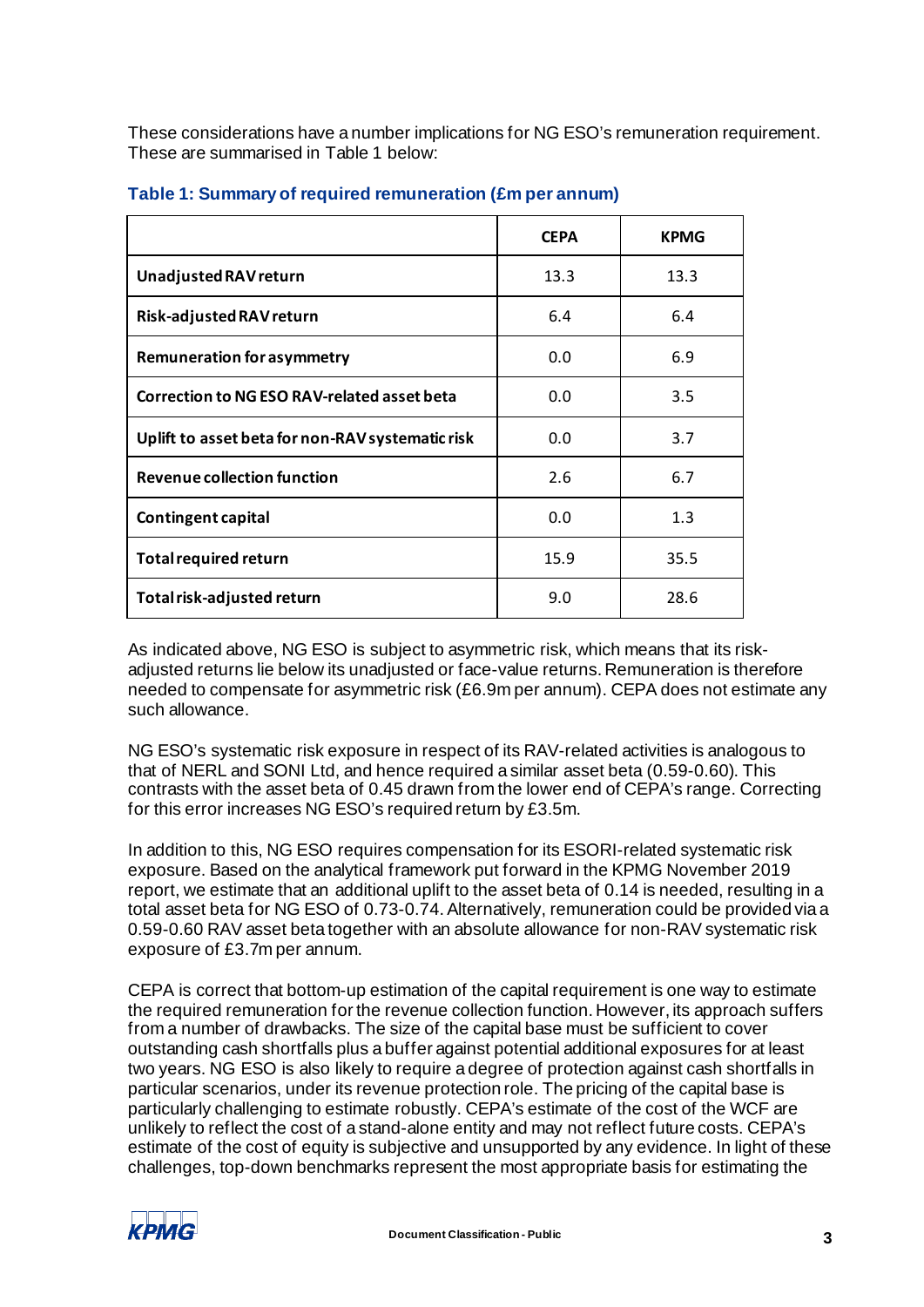These considerations have a number implications for NG ESO's remuneration requirement. These are summarised in [Table 1](#page-5-0) below:

|                                                    | <b>CEPA</b> | <b>KPMG</b> |
|----------------------------------------------------|-------------|-------------|
| Unadjusted RAV return                              | 13.3        | 13.3        |
| Risk-adjusted RAV return                           | 6.4         | 6.4         |
| <b>Remuneration for asymmetry</b>                  | 0.0         | 6.9         |
| <b>Correction to NG ESO RAV-related asset beta</b> | 0.0         | 3.5         |
| Uplift to asset beta for non-RAV systematic risk   | 0.0         | 3.7         |
| <b>Revenue collection function</b>                 | 2.6         | 6.7         |
| <b>Contingent capital</b>                          | 0.0         | 1.3         |
| <b>Total required return</b>                       | 15.9        | 35.5        |
| Total risk-adjusted return                         | 9.0         | 28.6        |

#### <span id="page-5-0"></span>**Table 1: Summary of required remuneration (£m per annum)**

As indicated above, NG ESO is subject to asymmetric risk, which means that its riskadjusted returns lie below its unadjusted or face-value returns. Remuneration is therefore needed to compensate for asymmetric risk (£6.9m per annum). CEPA does not estimate any such allowance.

NG ESO's systematic risk exposure in respect of its RAV-related activities is analogous to that of NERL and SONI Ltd, and hence required a similar asset beta (0.59-0.60). This contrasts with the asset beta of 0.45 drawn from the lower end of CEPA's range. Correcting for this error increases NG ESO's required return by £3.5m.

In addition to this, NG ESO requires compensation for its ESORI-related systematic risk exposure. Based on the analytical framework put forward in the KPMG November 2019 report, we estimate that an additional uplift to the asset beta of 0.14 is needed, resulting in a total asset beta for NG ESO of 0.73-0.74. Alternatively, remuneration could be provided via a 0.59-0.60 RAV asset beta together with an absolute allowance for non-RAV systematic risk exposure of £3.7m per annum.

CEPA is correct that bottom-up estimation of the capital requirement is one way to estimate the required remuneration for the revenue collection function. However, its approach suffers from a number of drawbacks. The size of the capital base must be sufficient to cover outstanding cash shortfalls plus a buffer against potential additional exposures for at least two years. NG ESO is also likely to require a degree of protection against cash shortfalls in particular scenarios, under its revenue protection role. The pricing of the capital base is particularly challenging to estimate robustly. CEPA's estimate of the cost of the WCF are unlikely to reflect the cost of a stand-alone entity and may not reflect future costs. CEPA's estimate of the cost of equity is subjective and unsupported by any evidence. In light of these challenges, top-down benchmarks represent the most appropriate basis for estimating the

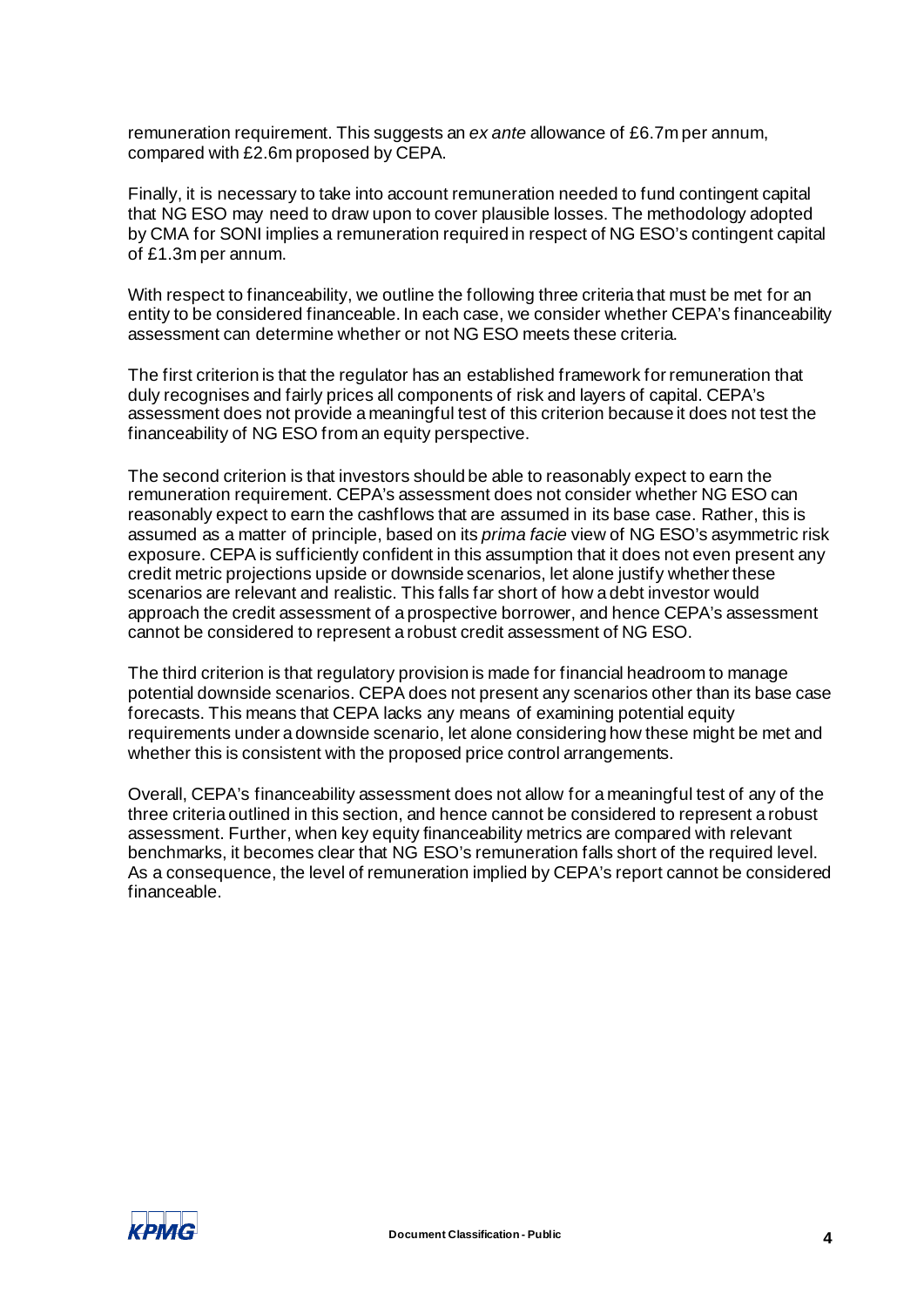remuneration requirement. This suggests an *ex ante* allowance of £6.7m per annum, compared with £2.6m proposed by CEPA.

Finally, it is necessary to take into account remuneration needed to fund contingent capital that NG ESO may need to draw upon to cover plausible losses. The methodology adopted by CMA for SONI implies a remuneration required in respect of NG ESO's contingent capital of £1.3m per annum.

With respect to financeability, we outline the following three criteria that must be met for an entity to be considered financeable. In each case, we consider whether CEPA's financeability assessment can determine whether or not NG ESO meets these criteria.

The first criterion is that the regulator has an established framework for remuneration that duly recognises and fairly prices all components of risk and layers of capital. CEPA's assessment does not provide a meaningful test of this criterion because it does not test the financeability of NG ESO from an equity perspective.

The second criterion is that investors should be able to reasonably expect to earn the remuneration requirement. CEPA's assessment does not consider whether NG ESO can reasonably expect to earn the cashflows that are assumed in its base case. Rather, this is assumed as a matter of principle, based on its *prima facie* view of NG ESO's asymmetric risk exposure. CEPA is sufficiently confident in this assumption that it does not even present any credit metric projections upside or downside scenarios, let alone justify whether these scenarios are relevant and realistic. This falls far short of how a debt investor would approach the credit assessment of a prospective borrower, and hence CEPA's assessment cannot be considered to represent a robust credit assessment of NG ESO.

The third criterion is that regulatory provision is made for financial headroom to manage potential downside scenarios. CEPA does not present any scenarios other than its base case forecasts. This means that CEPA lacks any means of examining potential equity requirements under a downside scenario, let alone considering how these might be met and whether this is consistent with the proposed price control arrangements.

Overall, CEPA's financeability assessment does not allow for a meaningful test of any of the three criteria outlined in this section, and hence cannot be considered to represent a robust assessment. Further, when key equity financeability metrics are compared with relevant benchmarks, it becomes clear that NG ESO's remuneration falls short of the required level. As a consequence, the level of remuneration implied by CEPA's report cannot be considered financeable.

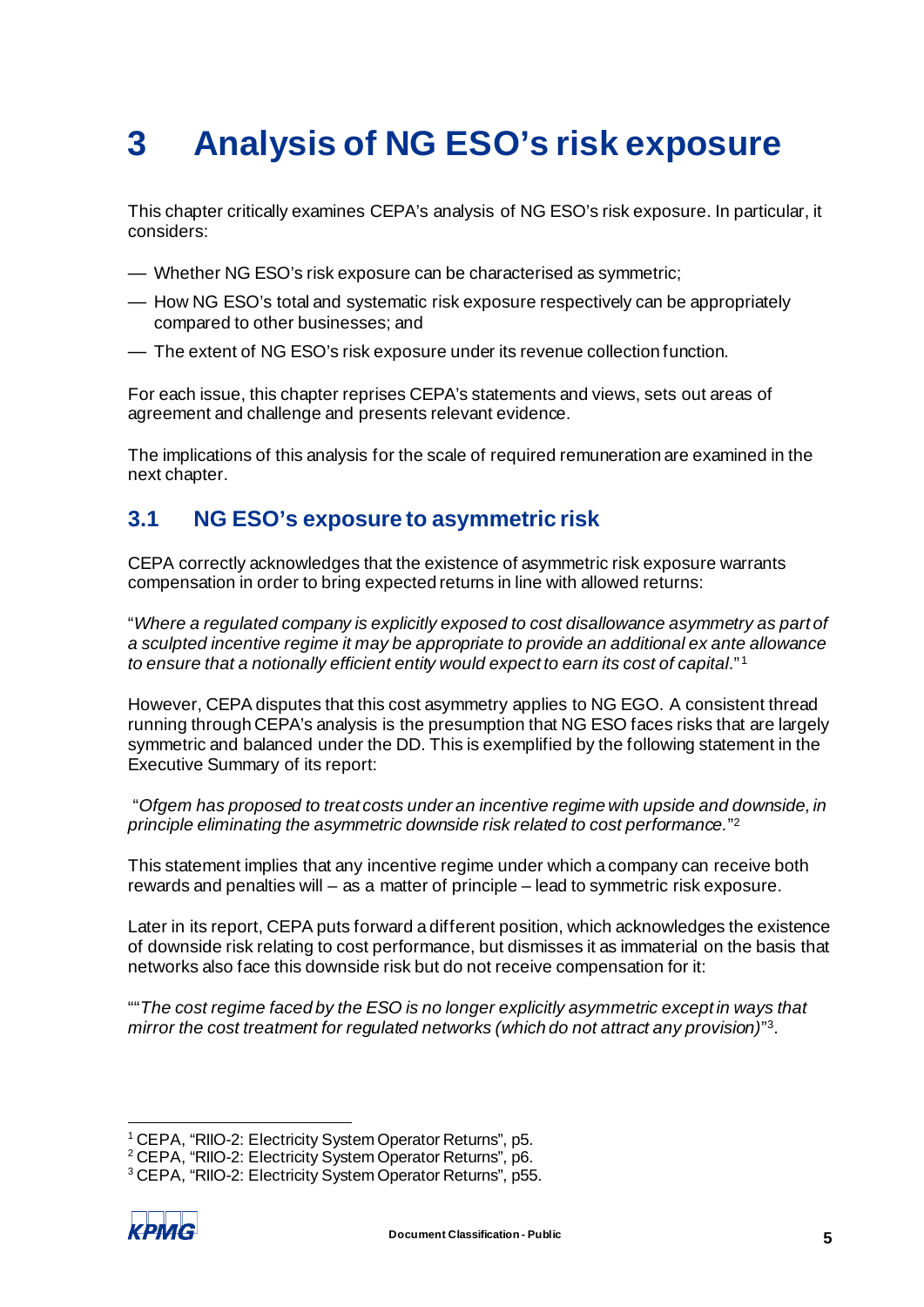# <span id="page-7-0"></span>**3 Analysis of NG ESO's risk exposure**

This chapter critically examines CEPA's analysis of NG ESO's risk exposure. In particular, it considers:

- Whether NG ESO's risk exposure can be characterised as symmetric;
- How NG ESO's total and systematic risk exposure respectively can be appropriately compared to other businesses; and
- The extent of NG ESO's risk exposure under its revenue collection function.

For each issue, this chapter reprises CEPA's statements and views, sets out areas of agreement and challenge and presents relevant evidence.

The implications of this analysis for the scale of required remuneration are examined in the next chapter.

## <span id="page-7-5"></span><span id="page-7-1"></span>**3.1 NG ESO's exposure to asymmetric risk**

CEPA correctly acknowledges that the existence of asymmetric risk exposure warrants compensation in order to bring expected returns in line with allowed returns:

"*Where a regulated company is explicitly exposed to cost disallowance asymmetry as part of a sculpted incentive regime it may be appropriate to provide an additional ex ante allowance to ensure that a notionally efficient entity would expect to earn its cost of capital*." [1](#page-7-2)

However, CEPA disputes that this cost asymmetry applies to NG EGO. A consistent thread running through CEPA's analysis is the presumption that NG ESO faces risks that are largely symmetric and balanced under the DD. This is exemplified by the following statement in the Executive Summary of its report:

"*Ofgem has proposed to treat costs under an incentive regime with upside and downside, in principle eliminating the asymmetric downside risk related to cost performance.*"[2](#page-7-3)

This statement implies that any incentive regime under which a company can receive both rewards and penalties will – as a matter of principle – lead to symmetric risk exposure.

Later in its report, CEPA puts forward a different position, which acknowledges the existence of downside risk relating to cost performance, but dismisses it as immaterial on the basis that networks also face this downside risk but do not receive compensation for it:

""*The cost regime faced by the ESO is no longer explicitly asymmetric except in ways that mirror the cost treatment for regulated networks (which do not attract any provision)*["3](#page-7-4).

<span id="page-7-4"></span><span id="page-7-3"></span><sup>3</sup> CEPA, "RIIO-2: Electricity System Operator Returns", p55.



<span id="page-7-2"></span><sup>&</sup>lt;sup>1</sup> CEPA, "RIIO-2: Electricity System Operator Returns", p5.<br><sup>2</sup> CEPA, "RIIO-2: Electricity System Operator Returns", p6.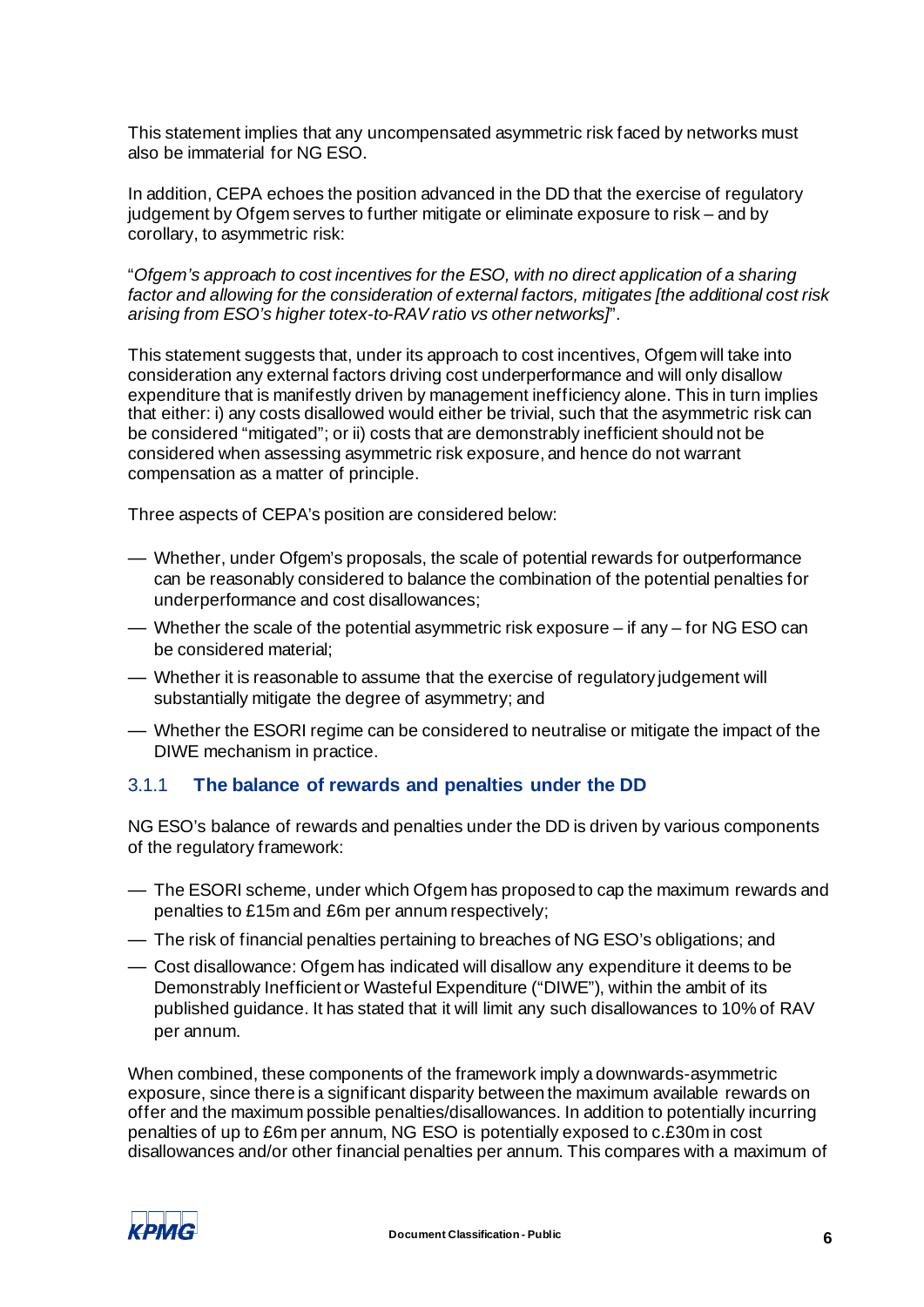This statement implies that any uncompensated asymmetric risk faced by networks must also be immaterial for NG ESO.

In addition, CEPA echoes the position advanced in the DD that the exercise of regulatory judgement by Ofgem serves to further mitigate or eliminate exposure to risk – and by corollary, to asymmetric risk:

"*Ofgem's approach to cost incentives for the ESO, with no direct application of a sharing factor and allowing for the consideration of external factors, mitigates [the additional cost risk arising from ESO's higher totex-to-RAV ratio vs other networks]*".

This statement suggests that, under its approach to cost incentives, Ofgem will take into consideration any external factors driving cost underperformance and will only disallow expenditure that is manifestly driven by management inefficiency alone. This in turn implies that either: i) any costs disallowed would either be trivial, such that the asymmetric risk can be considered "mitigated"; or ii) costs that are demonstrably inefficient should not be considered when assessing asymmetric risk exposure, and hence do not warrant compensation as a matter of principle.

Three aspects of CEPA's position are considered below:

- Whether, under Ofgem's proposals, the scale of potential rewards for outperformance can be reasonably considered to balance the combination of the potential penalties for underperformance and cost disallowances;
- Whether the scale of the potential asymmetric risk exposure if any for NG ESO can be considered material;
- Whether it is reasonable to assume that the exercise of regulatory judgement will substantially mitigate the degree of asymmetry; and
- Whether the ESORI regime can be considered to neutralise or mitigate the impact of the DIWE mechanism in practice.

#### 3.1.1 **The balance of rewards and penalties under the DD**

NG ESO's balance of rewards and penalties under the DD is driven by various components of the regulatory framework:

- The ESORI scheme, under which Ofgem has proposed to cap the maximum rewards and penalties to £15m and £6m per annum respectively;
- The risk of financial penalties pertaining to breaches of NG ESO's obligations; and
- Cost disallowance: Ofgem has indicated will disallow any expenditure it deems to be Demonstrably Inefficient or Wasteful Expenditure ("DIWE"), within the ambit of its published guidance. It has stated that it will limit any such disallowances to 10% of RAV per annum.

When combined, these components of the framework imply a downwards-asymmetric exposure, since there is a significant disparity between the maximum available rewards on offer and the maximum possible penalties/disallowances. In addition to potentially incurring penalties of up to £6m per annum, NG ESO is potentially exposed to c.£30m in cost disallowances and/or other financial penalties per annum. This compares with a maximum of

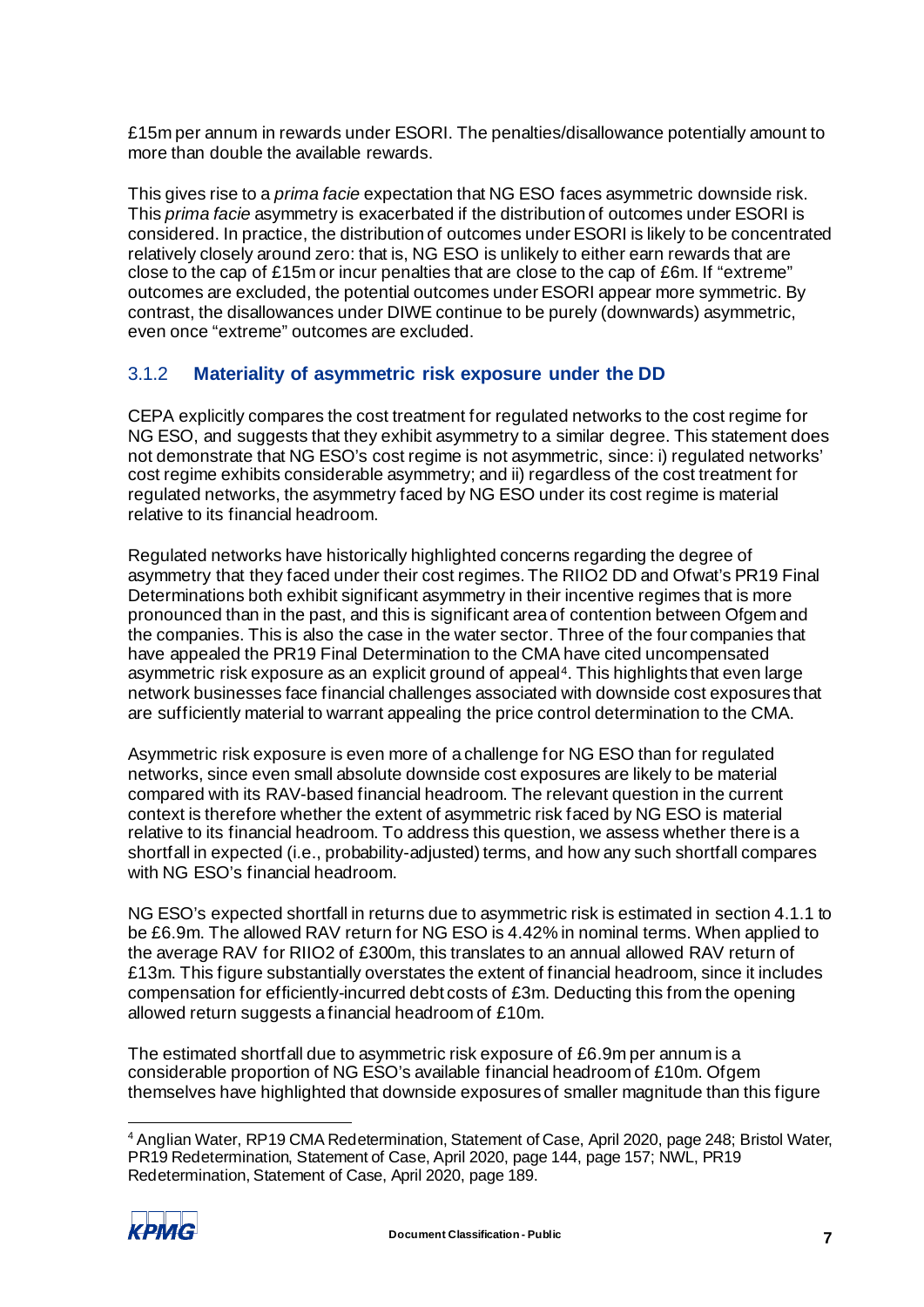£15m per annum in rewards under ESORI. The penalties/disallowance potentially amount to more than double the available rewards.

This gives rise to a *prima facie* expectation that NG ESO faces asymmetric downside risk. This *prima facie* asymmetry is exacerbated if the distribution of outcomes under ESORI is considered. In practice, the distribution of outcomes under ESORI is likely to be concentrated relatively closely around zero: that is, NG ESO is unlikely to either earn rewards that are close to the cap of £15m or incur penalties that are close to the cap of £6m. If "extreme" outcomes are excluded, the potential outcomes under ESORI appear more symmetric. By contrast, the disallowances under DIWE continue to be purely (downwards) asymmetric, even once "extreme" outcomes are excluded.

### 3.1.2 **Materiality of asymmetric risk exposure under the DD**

CEPA explicitly compares the cost treatment for regulated networks to the cost regime for NG ESO, and suggests that they exhibit asymmetry to a similar degree. This statement does not demonstrate that NG ESO's cost regime is not asymmetric, since: i) regulated networks' cost regime exhibits considerable asymmetry; and ii) regardless of the cost treatment for regulated networks, the asymmetry faced by NG ESO under its cost regime is material relative to its financial headroom.

Regulated networks have historically highlighted concerns regarding the degree of asymmetry that they faced under their cost regimes. The RIIO2 DD and Ofwat's PR19 Final Determinations both exhibit significant asymmetry in their incentive regimes that is more pronounced than in the past, and this is significant area of contention between Ofgem and the companies. This is also the case in the water sector. Three of the four companies that have appealed the PR19 Final Determination to the CMA have cited uncompensated asymmetric risk exposure as an explicit ground of appeal[4.](#page-9-0) This highlights that even large network businesses face financial challenges associated with downside cost exposures that are sufficiently material to warrant appealing the price control determination to the CMA.

Asymmetric risk exposure is even more of a challenge for NG ESO than for regulated networks, since even small absolute downside cost exposures are likely to be material compared with its RAV-based financial headroom. The relevant question in the current context is therefore whether the extent of asymmetric risk faced by NG ESO is material relative to its financial headroom. To address this question, we assess whether there is a shortfall in expected (i.e., probability-adjusted) terms, and how any such shortfall compares with NG ESO's financial headroom.

NG ESO's expected shortfall in returns due to asymmetric risk is estimated in sectio[n 4.1.1](#page-19-2) to be £6.9m. The allowed RAV return for NG ESO is 4.42% in nominal terms. When applied to the average RAV for RIIO2 of £300m, this translates to an annual allowed RAV return of £13m. This figure substantially overstates the extent of financial headroom, since it includes compensation for efficiently-incurred debt costs of £3m. Deducting this from the opening allowed return suggests a financial headroom of £10m.

The estimated shortfall due to asymmetric risk exposure of £6.9m per annum is a considerable proportion of NG ESO's available financial headroom of £10m. Ofgem themselves have highlighted that downside exposures of smaller magnitude than this figure

<span id="page-9-0"></span><sup>4</sup> Anglian Water, RP19 CMA Redetermination, Statement of Case, April 2020, page 248; Bristol Water, PR19 Redetermination, Statement of Case, April 2020, page 144, page 157; NWL, PR19 Redetermination, Statement of Case, April 2020, page 189.

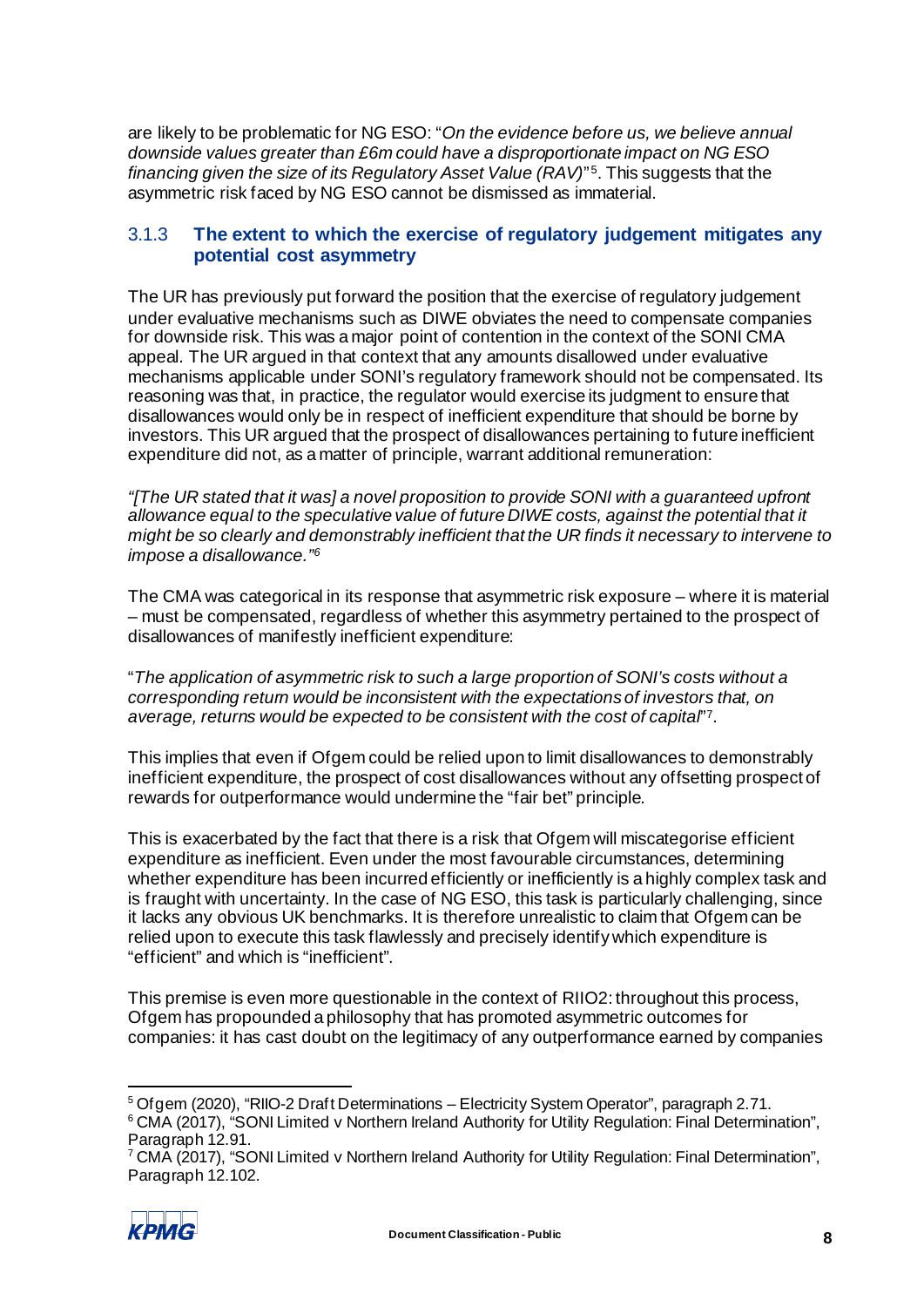are likely to be problematic for NG ESO: "*On the evidence before us, we believe annual downside values greater than £6m could have a disproportionate impact on NG ESO financing given the size of its Regulatory Asset Value (RAV)*"<sup>5</sup>. This suggests that the asymmetric risk faced by NG ESO cannot be dismissed as immaterial.

## 3.1.3 **The extent to which the exercise of regulatory judgement mitigates any potential cost asymmetry**

The UR has previously put forward the position that the exercise of regulatory judgement under evaluative mechanisms such as DIWE obviates the need to compensate companies for downside risk. This was a major point of contention in the context of the SONI CMA appeal. The UR argued in that context that any amounts disallowed under evaluative mechanisms applicable under SONI's regulatory framework should not be compensated. Its reasoning was that, in practice, the regulator would exercise its judgment to ensure that disallowances would only be in respect of inefficient expenditure that should be borne by investors. This UR argued that the prospect of disallowances pertaining to future inefficient expenditure did not, as a matter of principle, warrant additional remuneration:

*"[The UR stated that it was] a novel proposition to provide SONI with a guaranteed upfront*  allowance equal to the speculative value of future DIWE costs, against the potential that it *might be so clearly and demonstrably inefficient that the UR finds it necessary to intervene to impose a disallowance.["6](#page-10-1)*

The CMA was categorical in its response that asymmetric risk exposure – where it is material – must be compensated, regardless of whether this asymmetry pertained to the prospect of disallowances of manifestly inefficient expenditure:

"*The application of asymmetric risk to such a large proportion of SONI's costs without a corresponding return would be inconsistent with the expectations of investors that, on average, returns would be expected to be consistent with the cost of capital*"[7](#page-10-2).

This implies that even if Ofgem could be relied upon to limit disallowances to demonstrably inefficient expenditure, the prospect of cost disallowances without any offsetting prospect of rewards for outperformance would undermine the "fair bet" principle.

This is exacerbated by the fact that there is a risk that Ofgem will miscategorise efficient expenditure as inefficient. Even under the most favourable circumstances, determining whether expenditure has been incurred efficiently or inefficiently is a highly complex task and is fraught with uncertainty. In the case of NG ESO, this task is particularly challenging, since it lacks any obvious UK benchmarks. It is therefore unrealistic to claim that Ofgem can be relied upon to execute this task flawlessly and precisely identify which expenditure is "efficient" and which is "inefficient".

This premise is even more questionable in the context of RIIO2: throughout this process, Ofgem has propounded a philosophy that has promoted asymmetric outcomes for companies: it has cast doubt on the legitimacy of any outperformance earned by companies

<span id="page-10-2"></span><sup>7</sup> CMA (2017), "SONI Limited v Northern Ireland Authority for Utility Regulation: Final Determination", Paragraph 12.102.



<span id="page-10-0"></span><sup>5</sup> Ofgem (2020), "RIIO-2 Draft Determinations – Electricity System Operator", paragraph 2.71.

<span id="page-10-1"></span><sup>&</sup>lt;sup>6</sup> CMA (2017), "SONI Limited v Northern Ireland Authority for Utility Regulation: Final Determination", Paragraph 12.91.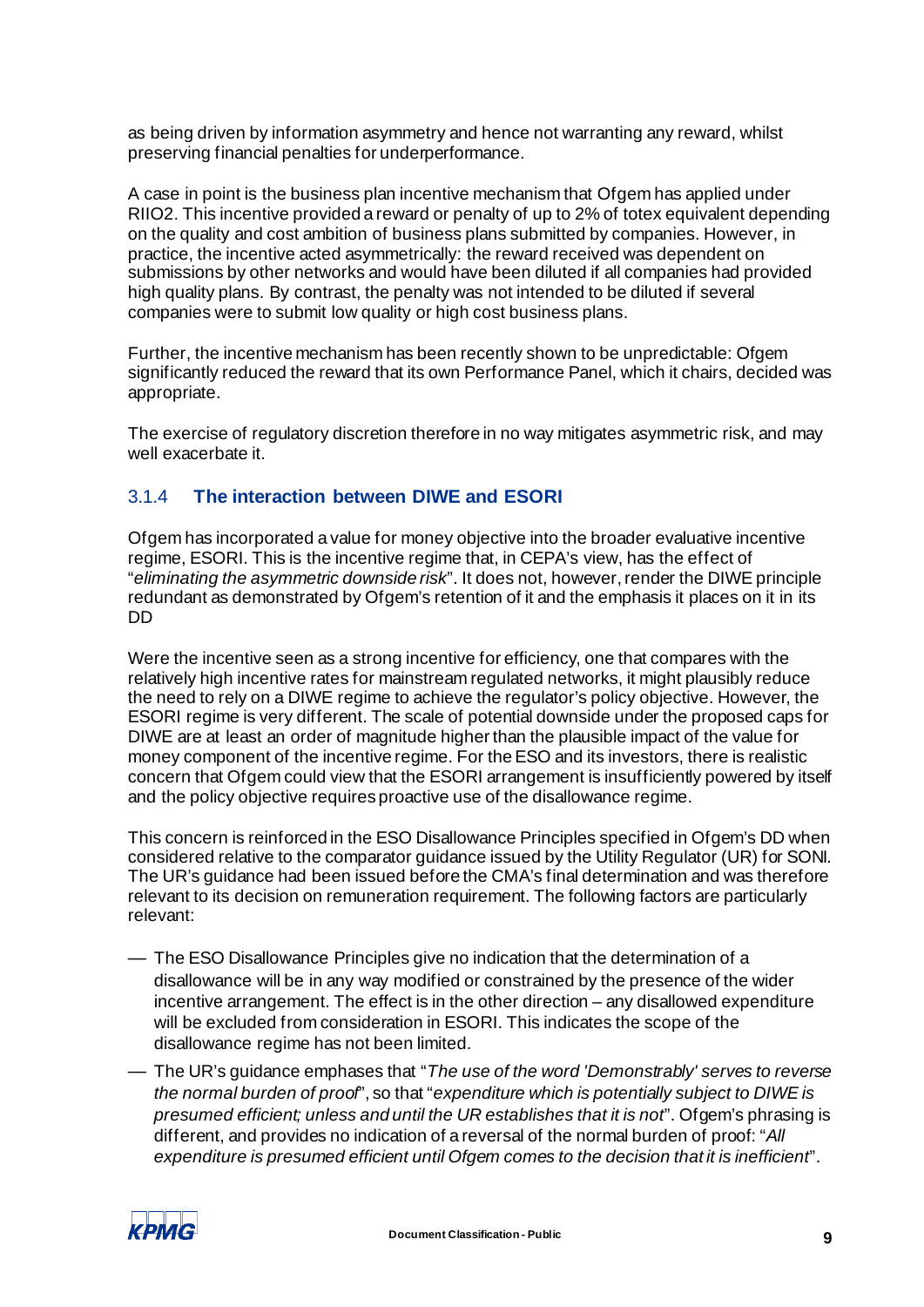as being driven by information asymmetry and hence not warranting any reward, whilst preserving financial penalties for underperformance.

A case in point is the business plan incentive mechanism that Ofgem has applied under RIIO2. This incentive provided a reward or penalty of up to 2% of totex equivalent depending on the quality and cost ambition of business plans submitted by companies. However, in practice, the incentive acted asymmetrically: the reward received was dependent on submissions by other networks and would have been diluted if all companies had provided high quality plans. By contrast, the penalty was not intended to be diluted if several companies were to submit low quality or high cost business plans.

Further, the incentive mechanism has been recently shown to be unpredictable: Ofgem significantly reduced the reward that its own Performance Panel, which it chairs, decided was appropriate.

The exercise of regulatory discretion therefore in no way mitigates asymmetric risk, and may well exacerbate it.

### <span id="page-11-0"></span>3.1.4 **The interaction between DIWE and ESORI**

Ofgem has incorporated a value for money objective into the broader evaluative incentive regime, ESORI. This is the incentive regime that, in CEPA's view, has the effect of "*eliminating the asymmetric downside risk*". It does not, however, render the DIWE principle redundant as demonstrated by Ofgem's retention of it and the emphasis it places on it in its DD

Were the incentive seen as a strong incentive for efficiency, one that compares with the relatively high incentive rates for mainstream regulated networks, it might plausibly reduce the need to rely on a DIWE regime to achieve the regulator's policy objective. However, the ESORI regime is very different. The scale of potential downside under the proposed caps for DIWE are at least an order of magnitude higher than the plausible impact of the value for money component of the incentive regime. For the ESO and its investors, there is realistic concern that Ofgem could view that the ESORI arrangement is insufficiently powered by itself and the policy objective requires proactive use of the disallowance regime.

This concern is reinforced in the ESO Disallowance Principles specified in Ofgem's DD when considered relative to the comparator guidance issued by the Utility Regulator (UR) for SONI. The UR's guidance had been issued before the CMA's final determination and was therefore relevant to its decision on remuneration requirement. The following factors are particularly relevant:

- The ESO Disallowance Principles give no indication that the determination of a disallowance will be in any way modified or constrained by the presence of the wider incentive arrangement. The effect is in the other direction – any disallowed expenditure will be excluded from consideration in ESORI. This indicates the scope of the disallowance regime has not been limited.
- The UR's guidance emphases that "*The use of the word 'Demonstrably' serves to reverse the normal burden of proof*", so that "*expenditure which is potentially subject to DIWE is presumed efficient; unless and until the UR establishes that it is not*". Ofgem's phrasing is different, and provides no indication of a reversal of the normal burden of proof: "*All expenditure is presumed efficient until Ofgem comes to the decision that it is inefficient*".

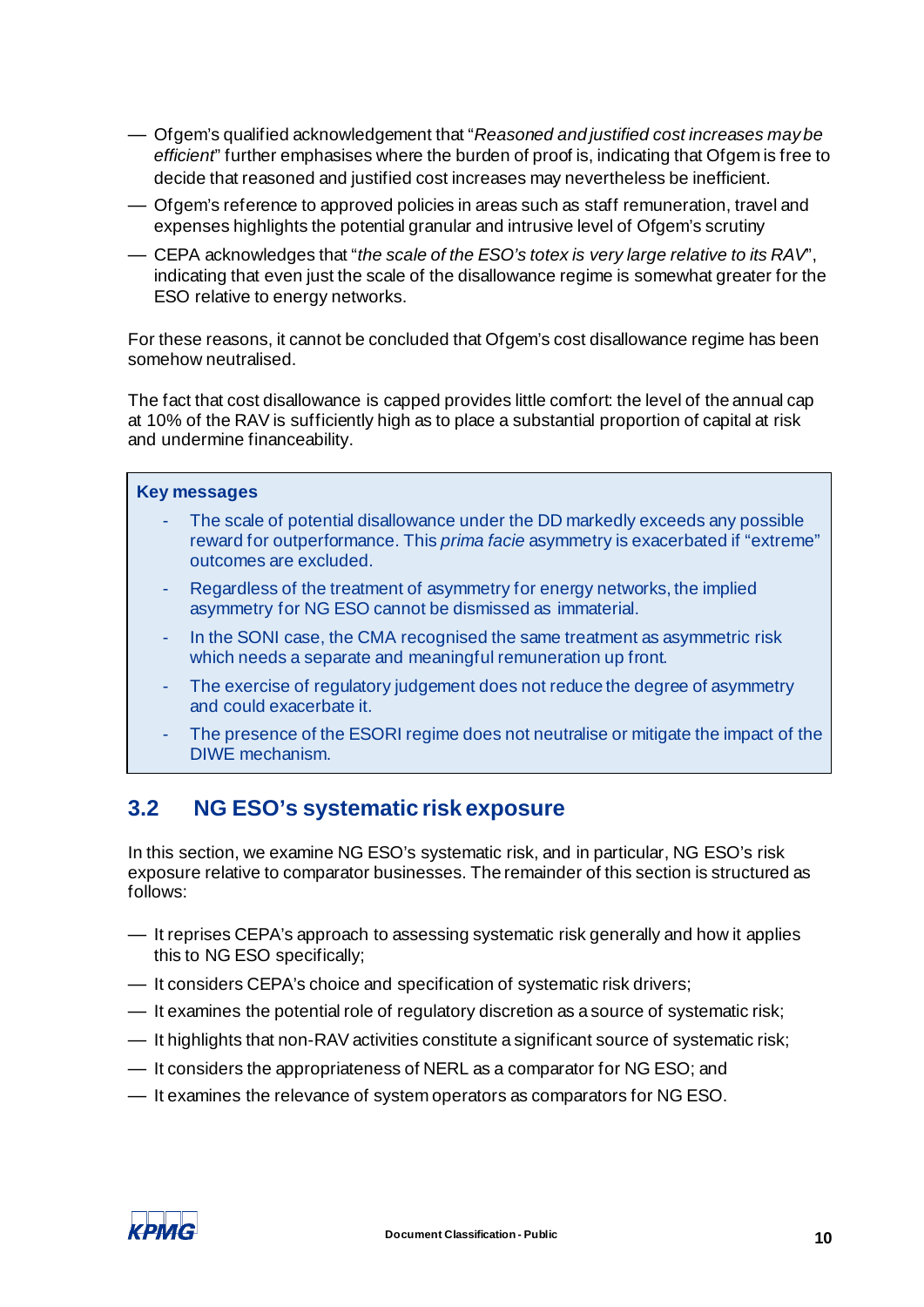- Ofgem's qualified acknowledgement that "*Reasoned and justified cost increases may be efficient*" further emphasises where the burden of proof is, indicating that Ofgem is free to decide that reasoned and justified cost increases may nevertheless be inefficient.
- Ofgem's reference to approved policies in areas such as staff remuneration, travel and expenses highlights the potential granular and intrusive level of Ofgem's scrutiny
- CEPA acknowledges that "*the scale of the ESO's totex is very large relative to its RAV*", indicating that even just the scale of the disallowance regime is somewhat greater for the ESO relative to energy networks.

For these reasons, it cannot be concluded that Ofgem's cost disallowance regime has been somehow neutralised.

The fact that cost disallowance is capped provides little comfort: the level of the annual cap at 10% of the RAV is sufficiently high as to place a substantial proportion of capital at risk and undermine financeability.

## **Key messages**

- The scale of potential disallowance under the DD markedly exceeds any possible reward for outperformance. This *prima facie* asymmetry is exacerbated if "extreme" outcomes are excluded.
- Regardless of the treatment of asymmetry for energy networks, the implied asymmetry for NG ESO cannot be dismissed as immaterial.
- In the SONI case, the CMA recognised the same treatment as asymmetric risk which needs a separate and meaningful remuneration up front.
- The exercise of regulatory judgement does not reduce the degree of asymmetry and could exacerbate it.
- The presence of the ESORI regime does not neutralise or mitigate the impact of the DIWE mechanism.

## <span id="page-12-1"></span><span id="page-12-0"></span>**3.2 NG ESO's systematic risk exposure**

In this section, we examine NG ESO's systematic risk, and in particular, NG ESO's risk exposure relative to comparator businesses. The remainder of this section is structured as follows:

- It reprises CEPA's approach to assessing systematic risk generally and how it applies this to NG ESO specifically;
- It considers CEPA's choice and specification of systematic risk drivers;
- It examines the potential role of regulatory discretion as a source of systematic risk;
- It highlights that non-RAV activities constitute a significant source of systematic risk;
- It considers the appropriateness of NERL as a comparator for NG ESO; and
- It examines the relevance of system operators as comparators for NG ESO.

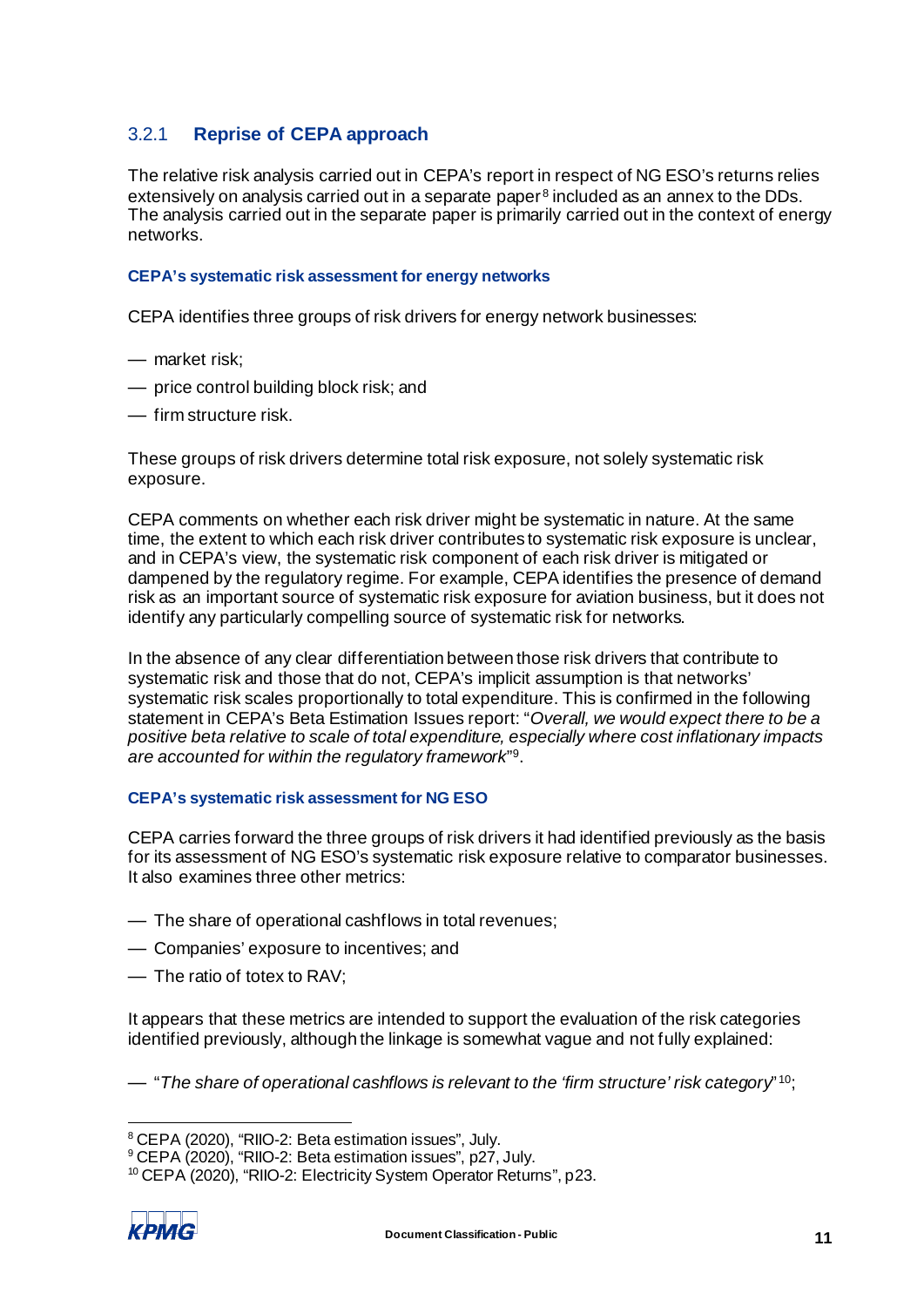## 3.2.1 **Reprise of CEPA approach**

The relative risk analysis carried out in CEPA's report in respect of NG ESO's returns relies extensively on analysis carried out in a separate paper<sup>[8](#page-13-0)</sup> included as an annex to the DDs. The analysis carried out in the separate paper is primarily carried out in the context of energy networks.

#### **CEPA's systematic risk assessment for energy networks**

CEPA identifies three groups of risk drivers for energy network businesses:

- market risk;
- price control building block risk; and
- firm structure risk.

These groups of risk drivers determine total risk exposure, not solely systematic risk exposure.

CEPA comments on whether each risk driver might be systematic in nature. At the same time, the extent to which each risk driver contributes to systematic risk exposure is unclear, and in CEPA's view, the systematic risk component of each risk driver is mitigated or dampened by the regulatory regime. For example, CEPA identifies the presence of demand risk as an important source of systematic risk exposure for aviation business, but it does not identify any particularly compelling source of systematic risk for networks.

In the absence of any clear differentiation between those risk drivers that contribute to systematic risk and those that do not, CEPA's implicit assumption is that networks' systematic risk scales proportionally to total expenditure. This is confirmed in the following statement in CEPA's Beta Estimation Issues report: "*Overall, we would expect there to be a positive beta relative to scale of total expenditure, especially where cost inflationary impacts are accounted for within the regulatory framework*["9](#page-13-1).

#### **CEPA's systematic risk assessment for NG ESO**

CEPA carries forward the three groups of risk drivers it had identified previously as the basis for its assessment of NG ESO's systematic risk exposure relative to comparator businesses. It also examines three other metrics:

- The share of operational cashflows in total revenues;
- Companies' exposure to incentives; and
- The ratio of totex to RAV;

It appears that these metrics are intended to support the evaluation of the risk categories identified previously, although the linkage is somewhat vague and not fully explained:

— "*The share of operational cashflows is relevant to the 'firm structure' risk category*" [10;](#page-13-2)

<span id="page-13-2"></span><span id="page-13-1"></span><sup>10</sup> CEPA (2020), "RIIO-2: Electricity System Operator Returns", p23.



<span id="page-13-0"></span><sup>8</sup> CEPA (2020), "RIIO-2: Beta estimation issues", July.

<sup>&</sup>lt;sup>9</sup> CEPA (2020), "RIIO-2: Beta estimation issues", p27, July.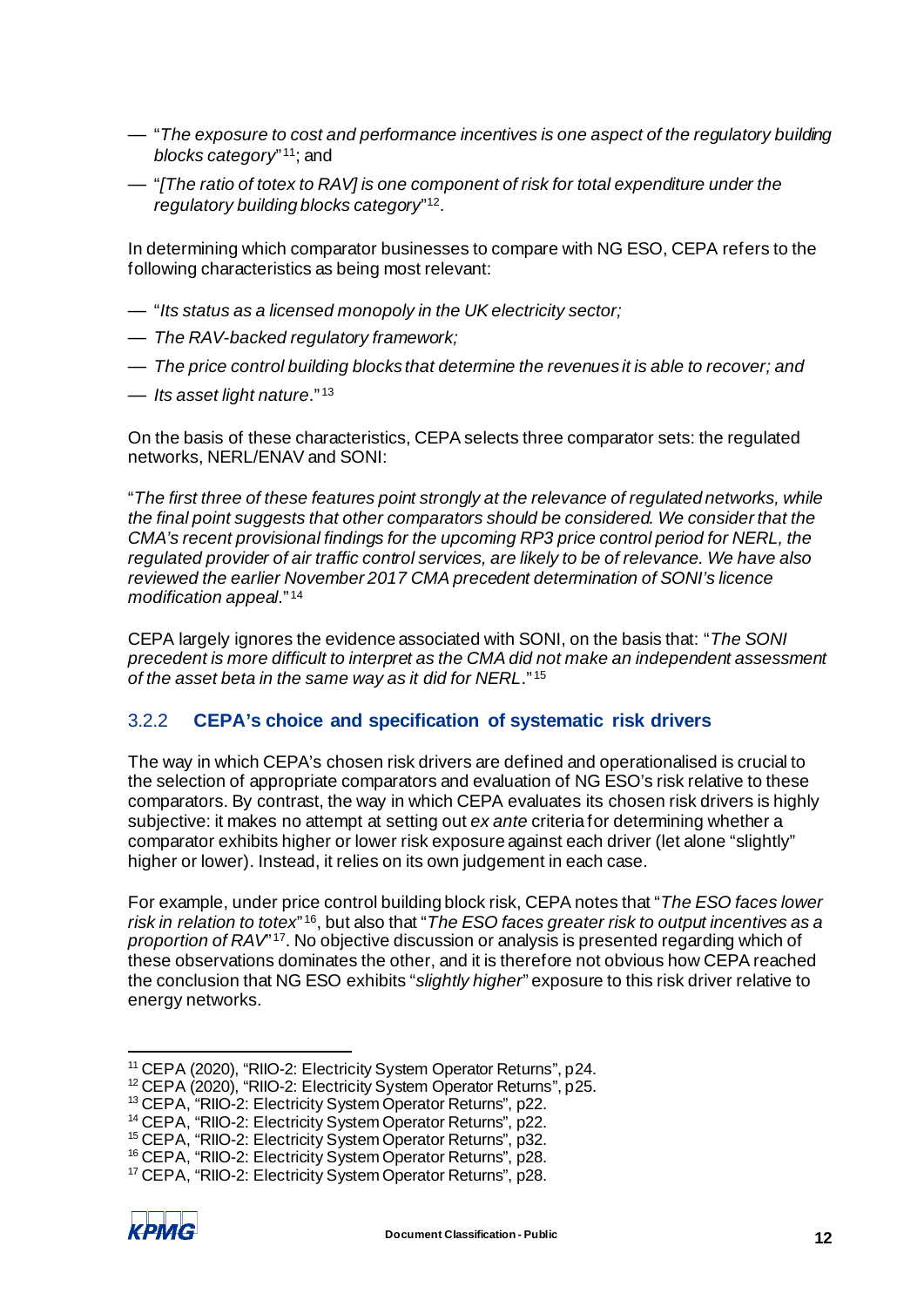- "*The exposure to cost and performance incentives is one aspect of the regulatory building blocks category*" [11](#page-14-0); and
- "*[The ratio of totex to RAV] is one component of risk for total expenditure under the regulatory building blocks category*"[12](#page-14-1).

In determining which comparator businesses to compare with NG ESO, CEPA refers to the following characteristics as being most relevant:

- "*Its status as a licensed monopoly in the UK electricity sector;*
- *The RAV-backed regulatory framework;*
- *The price control building blocks that determine the revenues it is able to recover; and*
- *Its asset light nature*." [13](#page-14-2)

On the basis of these characteristics, CEPA selects three comparator sets: the regulated networks, NERL/ENAV and SONI:

"*The first three of these features point strongly at the relevance of regulated networks, while the final point suggests that other comparators should be considered. We consider that the CMA's recent provisional findings for the upcoming RP3 price control period for NERL, the regulated provider of air traffic control services, are likely to be of relevance. We have also reviewed the earlier November 2017 CMA precedent determination of SONI's licence modification appeal*." [14](#page-14-3)

CEPA largely ignores the evidence associated with SONI, on the basis that: "*The SONI precedent is more difficult to interpret as the CMA did not make an independent assessment of the asset beta in the same way as it did for NERL*." [15](#page-14-4)

## 3.2.2 **CEPA's choice and specification of systematic risk drivers**

The way in which CEPA's chosen risk drivers are defined and operationalised is crucial to the selection of appropriate comparators and evaluation of NG ESO's risk relative to these comparators. By contrast, the way in which CEPA evaluates its chosen risk drivers is highly subjective: it makes no attempt at setting out *ex ante* criteria for determining whether a comparator exhibits higher or lower risk exposure against each driver (let alone "slightly" higher or lower). Instead, it relies on its own judgement in each case.

For example, under price control building block risk, CEPA notes that "*The ESO faces lower risk in relation to totex*" [16](#page-14-5), but also that "*The ESO faces greater risk to output incentives as a proportion of RAV*"<sup>[17](#page-14-6)</sup>. No objective discussion or analysis is presented regarding which of these observations dominates the other, and it is therefore not obvious how CEPA reached the conclusion that NG ESO exhibits "*slightly higher*" exposure to this risk driver relative to energy networks.

<span id="page-14-6"></span><span id="page-14-5"></span><sup>17</sup> CEPA, "RIIO-2: Electricity System Operator Returns", p28.



<span id="page-14-0"></span><sup>&</sup>lt;sup>11</sup> CEPA (2020), "RIIO-2: Electricity System Operator Returns", p24.<br><sup>12</sup> CEPA (2020), "RIIO-2: Electricity System Operator Returns", p25.

<span id="page-14-2"></span><span id="page-14-1"></span><sup>&</sup>lt;sup>13</sup> CEPA, "RIIO-2: Electricity System Operator Returns", p22.

<span id="page-14-3"></span><sup>14</sup> CEPA, "RIIO-2: Electricity System Operator Returns", p22.

<span id="page-14-4"></span><sup>&</sup>lt;sup>15</sup> CEPA, "RIIO-2: Electricity System Operator Returns", p32.

<sup>&</sup>lt;sup>16</sup> CEPA, "RIIO-2: Electricity System Operator Returns", p28.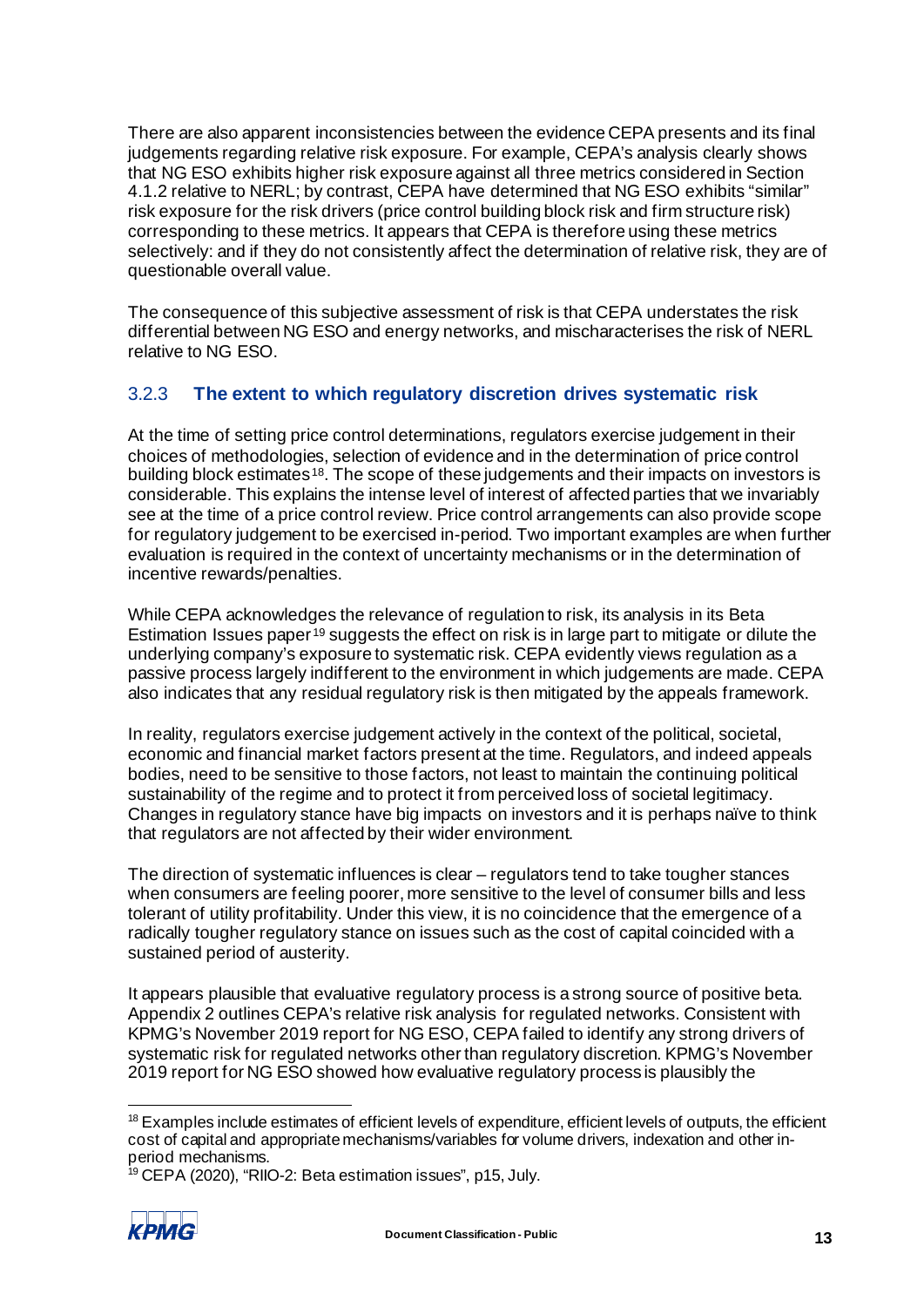There are also apparent inconsistencies between the evidence CEPA presents and its final judgements regarding relative risk exposure. For example, CEPA's analysis clearly shows that NG ESO exhibits higher risk exposure against all three metrics considered in Section 4.1.2 relative to NERL; by contrast, CEPA have determined that NG ESO exhibits "similar" risk exposure for the risk drivers (price control building block risk and firm structure risk) corresponding to these metrics. It appears that CEPA is therefore using these metrics selectively: and if they do not consistently affect the determination of relative risk, they are of questionable overall value.

The consequence of this subjective assessment of risk is that CEPA understates the risk differential between NG ESO and energy networks, and mischaracterises the risk of NERL relative to NG ESO.

## <span id="page-15-2"></span>3.2.3 **The extent to which regulatory discretion drives systematic risk**

At the time of setting price control determinations, regulators exercise judgement in their choices of methodologies, selection of evidence and in the determination of price control building block estimates<sup>18</sup>. The scope of these judgements and their impacts on investors is considerable. This explains the intense level of interest of affected parties that we invariably see at the time of a price control review. Price control arrangements can also provide scope for regulatory judgement to be exercised in-period. Two important examples are when further evaluation is required in the context of uncertainty mechanisms or in the determination of incentive rewards/penalties.

While CEPA acknowledges the relevance of regulation to risk, its analysis in its Beta Estimation Issues paper [19](#page-15-1) suggests the effect on risk is in large part to mitigate or dilute the underlying company's exposure to systematic risk. CEPA evidently views regulation as a passive process largely indifferent to the environment in which judgements are made. CEPA also indicates that any residual regulatory risk is then mitigated by the appeals framework.

In reality, regulators exercise judgement actively in the context of the political, societal, economic and financial market factors present at the time. Regulators, and indeed appeals bodies, need to be sensitive to those factors, not least to maintain the continuing political sustainability of the regime and to protect it from perceived loss of societal legitimacy. Changes in regulatory stance have big impacts on investors and it is perhaps naïve to think that regulators are not affected by their wider environment.

The direction of systematic influences is clear – regulators tend to take tougher stances when consumers are feeling poorer, more sensitive to the level of consumer bills and less tolerant of utility profitability. Under this view, it is no coincidence that the emergence of a radically tougher regulatory stance on issues such as the cost of capital coincided with a sustained period of austerity.

It appears plausible that evaluative regulatory process is a strong source of positive beta. [Appendix 2](#page-40-2) outlines CEPA's relative risk analysis for regulated networks. Consistent with KPMG's November 2019 report for NG ESO, CEPA failed to identify any strong drivers of systematic risk for regulated networks other than regulatory discretion. KPMG's November 2019 report for NG ESO showed how evaluative regulatory process is plausibly the

<span id="page-15-1"></span><sup>19</sup> CEPA (2020), "RIIO-2: Beta estimation issues", p15, July.



<span id="page-15-0"></span><sup>&</sup>lt;sup>18</sup> Examples include estimates of efficient levels of expenditure, efficient levels of outputs, the efficient cost of capital and appropriate mechanisms/variables for volume drivers, indexation and other inperiod mechanisms.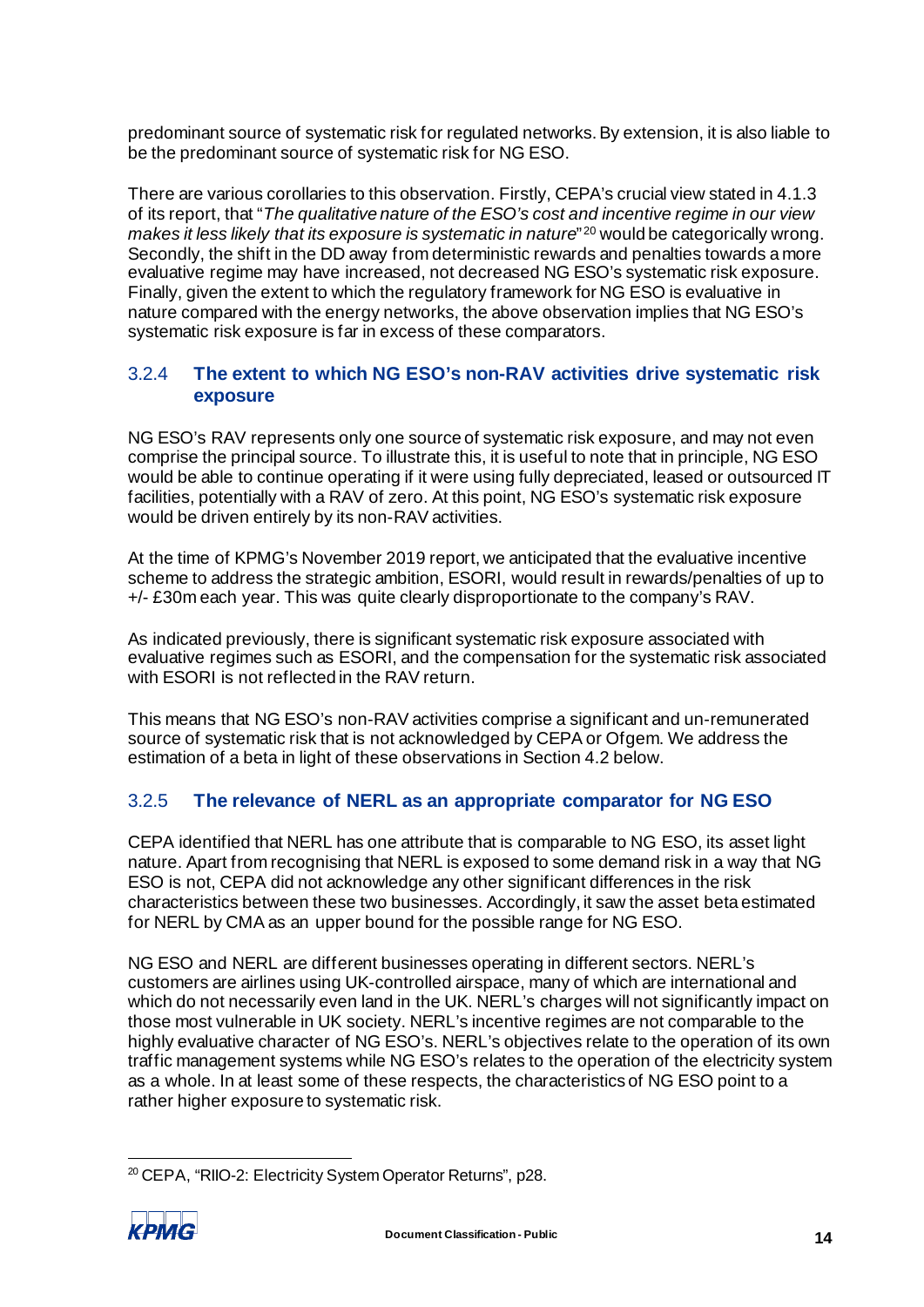predominant source of systematic risk for regulated networks. By extension, it is also liable to be the predominant source of systematic risk for NG ESO.

There are various corollaries to this observation. Firstly, CEPA's crucial view stated in 4.1.3 of its report, that "*The qualitative nature of the ESO's cost and incentive regime in our view makes it less likely that its exposure is systematic in nature*"<sup>[20](#page-16-0)</sup> would be categorically wrong. Secondly, the shift in the DD away from deterministic rewards and penalties towards a more evaluative regime may have increased, not decreased NG ESO's systematic risk exposure. Finally, given the extent to which the regulatory framework for NG ESO is evaluative in nature compared with the energy networks, the above observation implies that NG ESO's systematic risk exposure is far in excess of these comparators.

## <span id="page-16-1"></span>3.2.4 **The extent to which NG ESO's non-RAV activities drive systematic risk exposure**

NG ESO's RAV represents only one source of systematic risk exposure, and may not even comprise the principal source. To illustrate this, it is useful to note that in principle, NG ESO would be able to continue operating if it were using fully depreciated, leased or outsourced IT facilities, potentially with a RAV of zero. At this point, NG ESO's systematic risk exposure would be driven entirely by its non-RAV activities.

At the time of KPMG's November 2019 report, we anticipated that the evaluative incentive scheme to address the strategic ambition, ESORI, would result in rewards/penalties of up to +/- £30m each year. This was quite clearly disproportionate to the company's RAV.

As indicated previously, there is significant systematic risk exposure associated with evaluative regimes such as ESORI, and the compensation for the systematic risk associated with ESORI is not reflected in the RAV return.

This means that NG ESO's non-RAV activities comprise a significant and un-remunerated source of systematic risk that is not acknowledged by CEPA or Ofgem. We address the estimation of a beta in light of these observations in Sectio[n 4.2](#page-22-1) below.

## <span id="page-16-2"></span>3.2.5 **The relevance of NERL as an appropriate comparator for NG ESO**

CEPA identified that NERL has one attribute that is comparable to NG ESO, its asset light nature. Apart from recognising that NERL is exposed to some demand risk in a way that NG ESO is not, CEPA did not acknowledge any other significant differences in the risk characteristics between these two businesses. Accordingly, it saw the asset beta estimated for NERL by CMA as an upper bound for the possible range for NG ESO.

NG ESO and NERL are different businesses operating in different sectors. NERL's customers are airlines using UK-controlled airspace, many of which are international and which do not necessarily even land in the UK. NERL's charges will not significantly impact on those most vulnerable in UK society. NERL's incentive regimes are not comparable to the highly evaluative character of NG ESO's. NERL's objectives relate to the operation of its own traffic management systems while NG ESO's relates to the operation of the electricity system as a whole. In at least some of these respects, the characteristics of NG ESO point to a rather higher exposure to systematic risk.

<span id="page-16-0"></span><sup>20</sup> CEPA, "RIIO-2: Electricity System Operator Returns", p28.

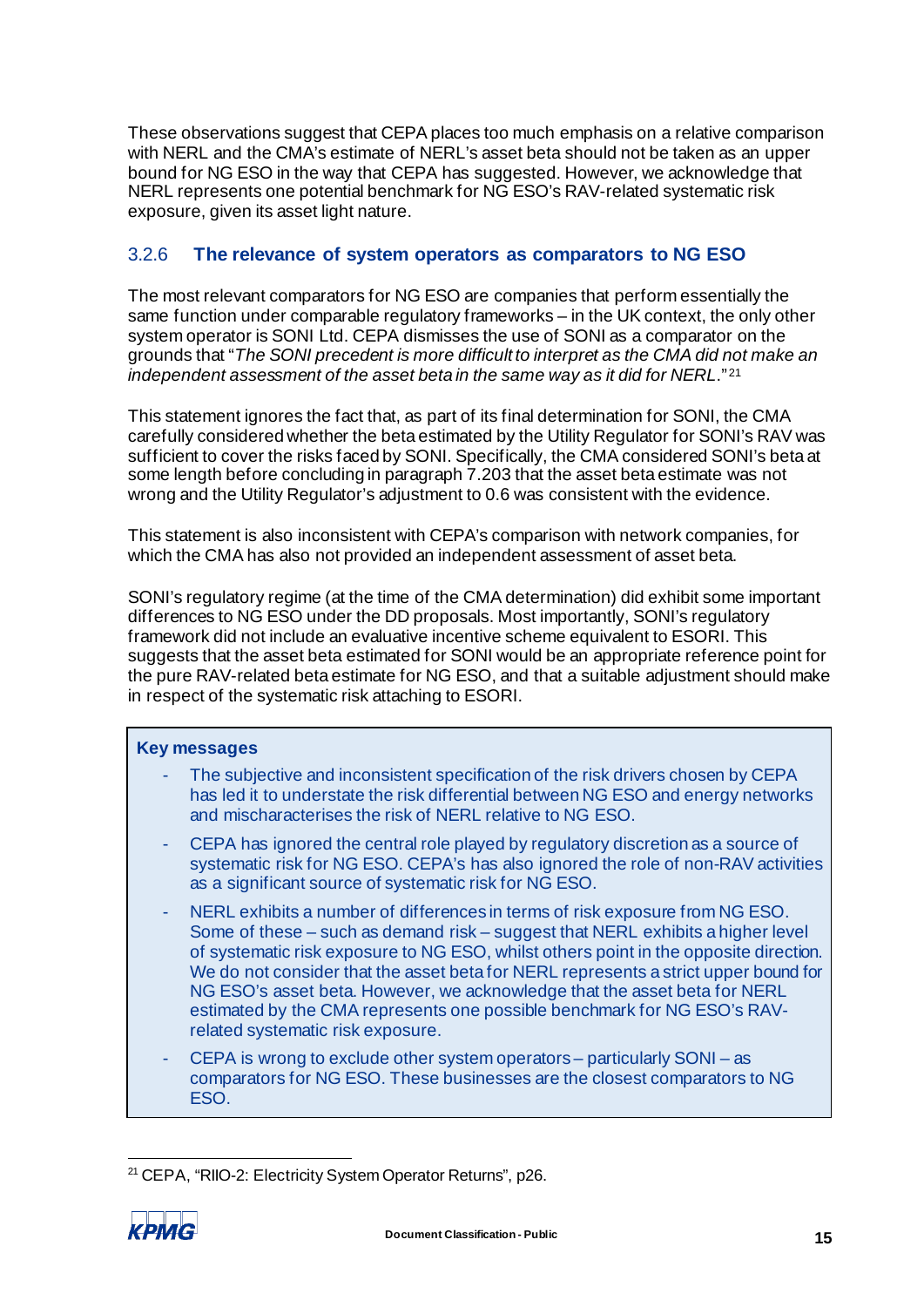These observations suggest that CEPA places too much emphasis on a relative comparison with NERL and the CMA's estimate of NERL's asset beta should not be taken as an upper bound for NG ESO in the way that CEPA has suggested. However, we acknowledge that NERL represents one potential benchmark for NG ESO's RAV-related systematic risk exposure, given its asset light nature.

## <span id="page-17-1"></span>3.2.6 **The relevance of system operators as comparators to NG ESO**

The most relevant comparators for NG ESO are companies that perform essentially the same function under comparable regulatory frameworks – in the UK context, the only other system operator is SONI Ltd. CEPA dismisses the use of SONI as a comparator on the grounds that "*The SONI precedent is more difficult to interpret as the CMA did not make an independent assessment of the asset beta in the same way as it did for NERL*." [21](#page-17-0)

This statement ignores the fact that, as part of its final determination for SONI, the CMA carefully considered whether the beta estimated by the Utility Regulator for SONI's RAV was sufficient to cover the risks faced by SONI. Specifically, the CMA considered SONI's beta at some length before concluding in paragraph 7.203 that the asset beta estimate was not wrong and the Utility Regulator's adjustment to 0.6 was consistent with the evidence.

This statement is also inconsistent with CEPA's comparison with network companies, for which the CMA has also not provided an independent assessment of asset beta.

SONI's regulatory regime (at the time of the CMA determination) did exhibit some important differences to NG ESO under the DD proposals. Most importantly, SONI's regulatory framework did not include an evaluative incentive scheme equivalent to ESORI. This suggests that the asset beta estimated for SONI would be an appropriate reference point for the pure RAV-related beta estimate for NG ESO, and that a suitable adjustment should make in respect of the systematic risk attaching to ESORI.

#### **Key messages**

- The subjective and inconsistent specification of the risk drivers chosen by CEPA has led it to understate the risk differential between NG ESO and energy networks and mischaracterises the risk of NERL relative to NG ESO.
- CEPA has ignored the central role played by regulatory discretion as a source of systematic risk for NG ESO. CEPA's has also ignored the role of non-RAV activities as a significant source of systematic risk for NG ESO.
- NERL exhibits a number of differences in terms of risk exposure from NG ESO. Some of these – such as demand risk – suggest that NERL exhibits a higher level of systematic risk exposure to NG ESO, whilst others point in the opposite direction. We do not consider that the asset beta for NERL represents a strict upper bound for NG ESO's asset beta. However, we acknowledge that the asset beta for NERL estimated by the CMA represents one possible benchmark for NG ESO's RAVrelated systematic risk exposure.
- CEPA is wrong to exclude other system operators particularly SONI as comparators for NG ESO. These businesses are the closest comparators to NG ESO.

<span id="page-17-0"></span><sup>21</sup> CEPA, "RIIO-2: Electricity System Operator Returns", p26.

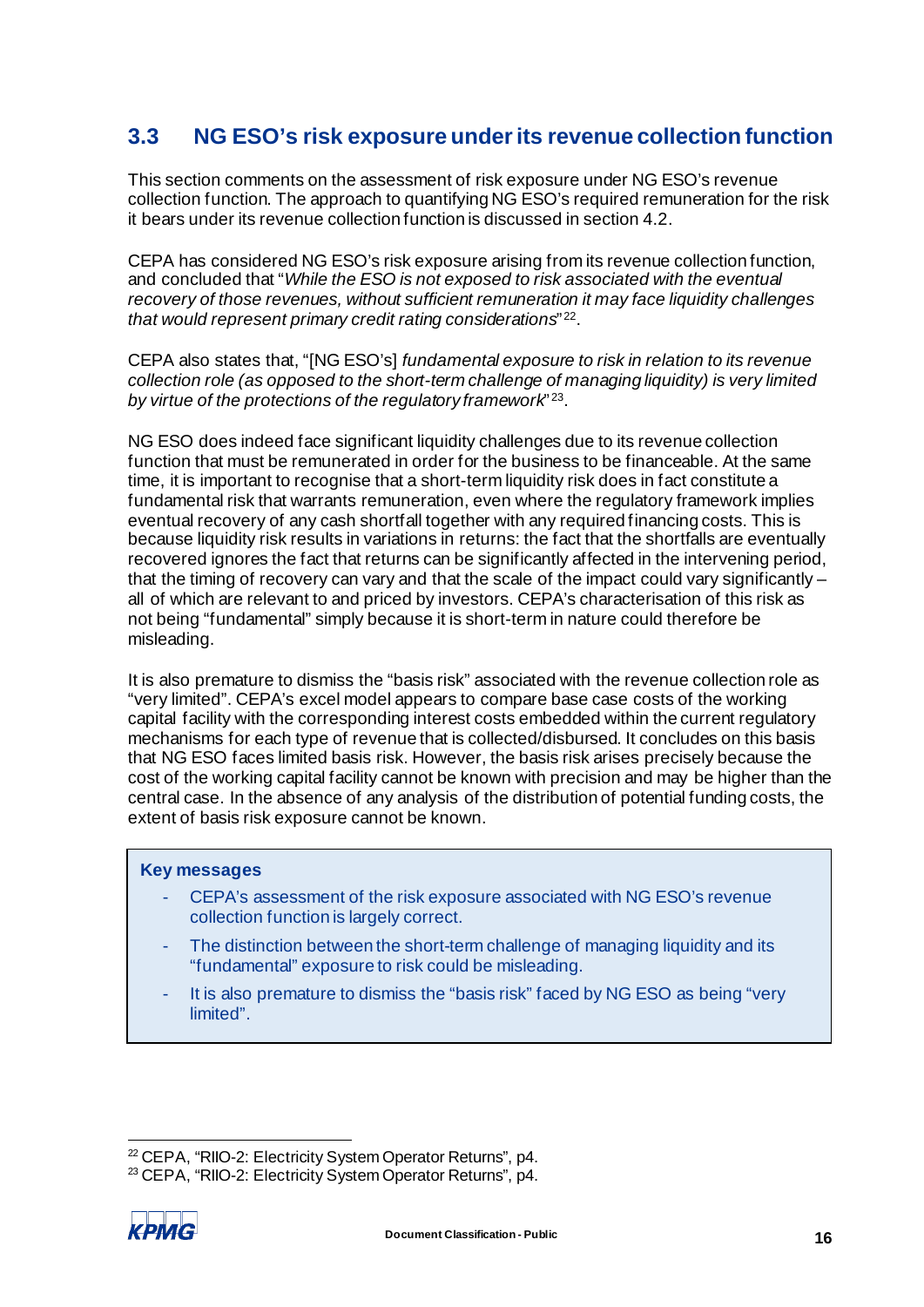# <span id="page-18-3"></span><span id="page-18-0"></span>**3.3 NG ESO's risk exposure under its revenue collection function**

This section comments on the assessment of risk exposure under NG ESO's revenue collection function. The approach to quantifying NG ESO's required remuneration for the risk it bears under its revenue collection function is discussed in sectio[n 4.2](#page-22-1).

CEPA has considered NG ESO's risk exposure arising from its revenue collection function, and concluded that "*While the ESO is not exposed to risk associated with the eventual recovery of those revenues, without sufficient remuneration it may face liquidity challenges that would represent primary credit rating considerations*" [22](#page-18-1).

CEPA also states that, "[NG ESO's] *fundamental exposure to risk in relation to its revenue collection role (as opposed to the short-term challenge of managing liquidity) is very limited by virtue of the protections of the regulatory framework*" [23](#page-18-2).

NG ESO does indeed face significant liquidity challenges due to its revenue collection function that must be remunerated in order for the business to be financeable. At the same time, it is important to recognise that a short-term liquidity risk does in fact constitute a fundamental risk that warrants remuneration, even where the regulatory framework implies eventual recovery of any cash shortfall together with any required financing costs. This is because liquidity risk results in variations in returns: the fact that the shortfalls are eventually recovered ignores the fact that returns can be significantly affected in the intervening period, that the timing of recovery can vary and that the scale of the impact could vary significantly – all of which are relevant to and priced by investors. CEPA's characterisation of this risk as not being "fundamental" simply because it is short-term in nature could therefore be misleading.

It is also premature to dismiss the "basis risk" associated with the revenue collection role as "very limited". CEPA's excel model appears to compare base case costs of the working capital facility with the corresponding interest costs embedded within the current regulatory mechanisms for each type of revenue that is collected/disbursed. It concludes on this basis that NG ESO faces limited basis risk. However, the basis risk arises precisely because the cost of the working capital facility cannot be known with precision and may be higher than the central case. In the absence of any analysis of the distribution of potential funding costs, the extent of basis risk exposure cannot be known.

#### **Key messages**

- CEPA's assessment of the risk exposure associated with NG ESO's revenue collection function is largely correct.
- The distinction between the short-term challenge of managing liquidity and its "fundamental" exposure to risk could be misleading.
- It is also premature to dismiss the "basis risk" faced by NG ESO as being "very limited".

<span id="page-18-2"></span><span id="page-18-1"></span><sup>23</sup> CEPA, "RIIO-2: Electricity System Operator Returns", p4.



<sup>&</sup>lt;sup>22</sup> CEPA, "RIIO-2: Electricity System Operator Returns", p4.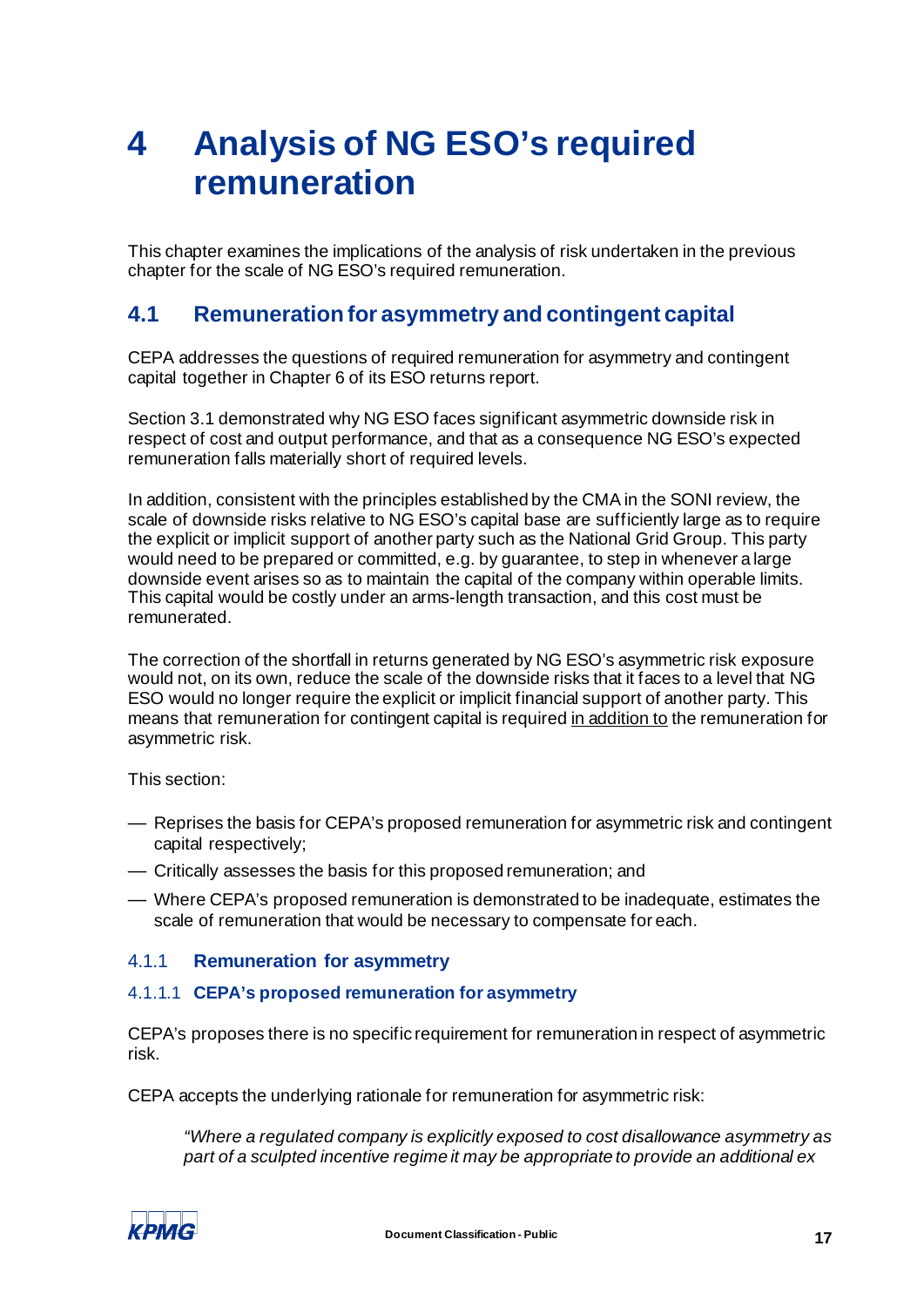# <span id="page-19-0"></span>**4 Analysis of NG ESO's required remuneration**

This chapter examines the implications of the analysis of risk undertaken in the previous chapter for the scale of NG ESO's required remuneration.

## <span id="page-19-1"></span>**4.1 Remuneration for asymmetry and contingent capital**

CEPA addresses the questions of required remuneration for asymmetry and contingent capital together in Chapter 6 of its ESO returns report.

Section [3.1](#page-7-5) demonstrated why NG ESO faces significant asymmetric downside risk in respect of cost and output performance, and that as a consequence NG ESO's expected remuneration falls materially short of required levels.

In addition, consistent with the principles established by the CMA in the SONI review, the scale of downside risks relative to NG ESO's capital base are sufficiently large as to require the explicit or implicit support of another party such as the National Grid Group. This party would need to be prepared or committed, e.g. by guarantee, to step in whenever a large downside event arises so as to maintain the capital of the company within operable limits. This capital would be costly under an arms-length transaction, and this cost must be remunerated.

The correction of the shortfall in returns generated by NG ESO's asymmetric risk exposure would not, on its own, reduce the scale of the downside risks that it faces to a level that NG ESO would no longer require the explicit or implicit financial support of another party. This means that remuneration for contingent capital is required in addition to the remuneration for asymmetric risk.

This section:

- Reprises the basis for CEPA's proposed remuneration for asymmetric risk and contingent capital respectively;
- Critically assesses the basis for this proposed remuneration; and
- Where CEPA's proposed remuneration is demonstrated to be inadequate, estimates the scale of remuneration that would be necessary to compensate for each.

## <span id="page-19-2"></span>4.1.1 **Remuneration for asymmetry**

### 4.1.1.1 **CEPA's proposed remuneration for asymmetry**

CEPA's proposes there is no specific requirement for remuneration in respect of asymmetric risk.

CEPA accepts the underlying rationale for remuneration for asymmetric risk:

*"Where a regulated company is explicitly exposed to cost disallowance asymmetry as part of a sculpted incentive regime it may be appropriate to provide an additional ex* 

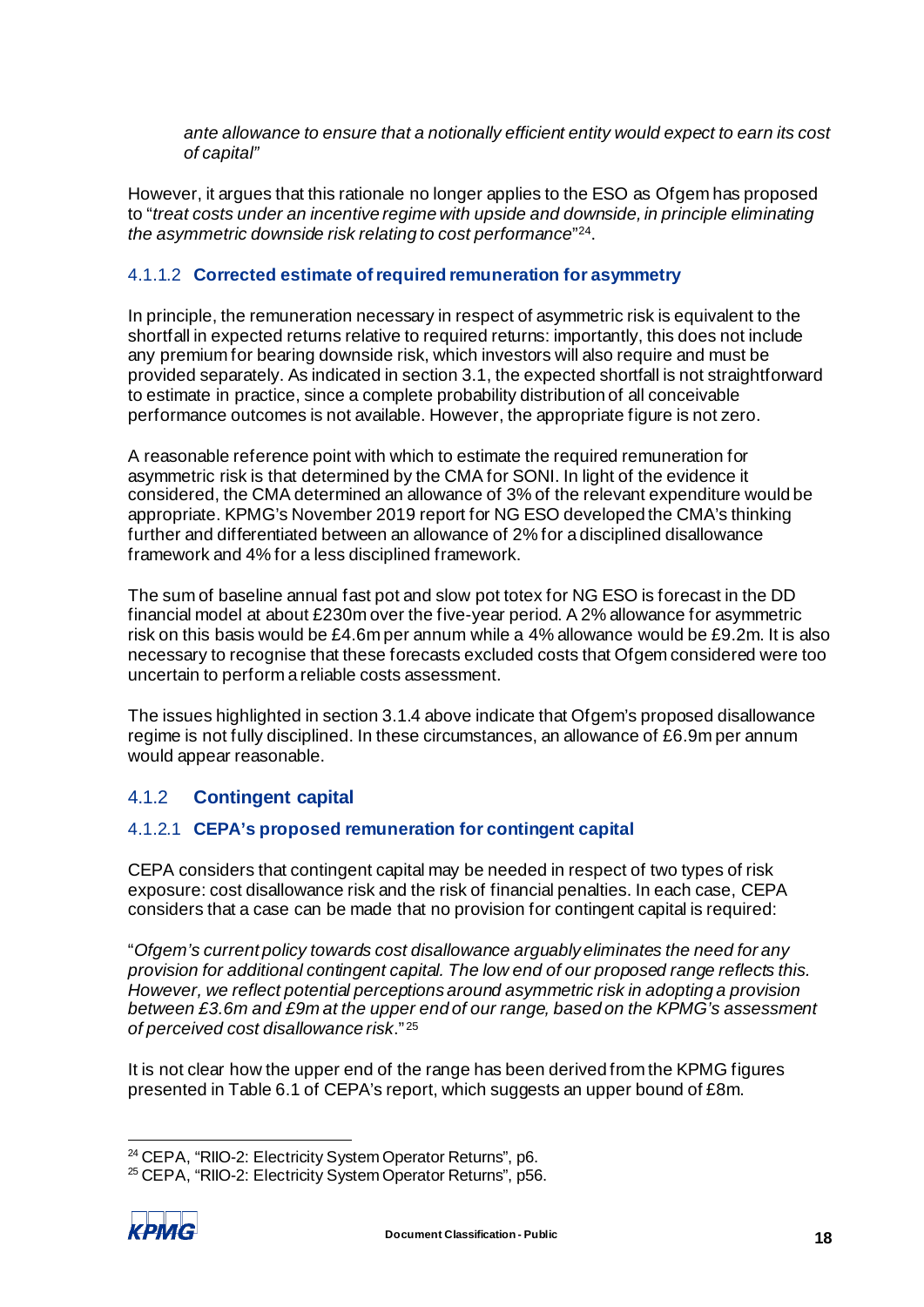*ante allowance to ensure that a notionally efficient entity would expect to earn its cost of capital"*

However, it argues that this rationale no longer applies to the ESO as Ofgem has proposed to "*treat costs under an incentive regime with upside and downside, in principle eliminating the asymmetric downside risk relating to cost performance*"[24.](#page-20-0)

#### 4.1.1.2 **Corrected estimate of required remuneration for asymmetry**

In principle, the remuneration necessary in respect of asymmetric risk is equivalent to the shortfall in expected returns relative to required returns: importantly, this does not include any premium for bearing downside risk, which investors will also require and must be provided separately. As indicated in section [3.1,](#page-7-5) the expected shortfall is not straightforward to estimate in practice, since a complete probability distribution of all conceivable performance outcomes is not available. However, the appropriate figure is not zero.

A reasonable reference point with which to estimate the required remuneration for asymmetric risk is that determined by the CMA for SONI. In light of the evidence it considered, the CMA determined an allowance of 3% of the relevant expenditure would be appropriate. KPMG's November 2019 report for NG ESO developed the CMA's thinking further and differentiated between an allowance of 2% for a disciplined disallowance framework and 4% for a less disciplined framework.

The sum of baseline annual fast pot and slow pot totex for NG ESO is forecast in the DD financial model at about £230m over the five-year period. A 2% allowance for asymmetric risk on this basis would be £4.6m per annum while a 4% allowance would be £9.2m. It is also necessary to recognise that these forecasts excluded costs that Ofgem considered were too uncertain to perform a reliable costs assessment.

The issues highlighted in sectio[n 3.1.4](#page-11-0) above indicate that Ofgem's proposed disallowance regime is not fully disciplined. In these circumstances, an allowance of £6.9m per annum would appear reasonable.

## 4.1.2 **Contingent capital**

### 4.1.2.1 **CEPA's proposed remuneration for contingent capital**

CEPA considers that contingent capital may be needed in respect of two types of risk exposure: cost disallowance risk and the risk of financial penalties. In each case, CEPA considers that a case can be made that no provision for contingent capital is required:

"*Ofgem's current policy towards cost disallowance arguably eliminates the need for any provision for additional contingent capital. The low end of our proposed range reflects this. However, we reflect potential perceptions around asymmetric risk in adopting a provision between £3.6m and £9m at the upper end of our range, based on the KPMG's assessment of perceived cost disallowance risk*." [25](#page-20-1)

It is not clear how the upper end of the range has been derived from the KPMG figures presented in Table 6.1 of CEPA's report, which suggests an upper bound of £8m.

<span id="page-20-1"></span><span id="page-20-0"></span><sup>25</sup> CEPA, "RIIO-2: Electricity System Operator Returns", p56.



<sup>24</sup> CEPA, "RIIO-2: Electricity System Operator Returns", p6.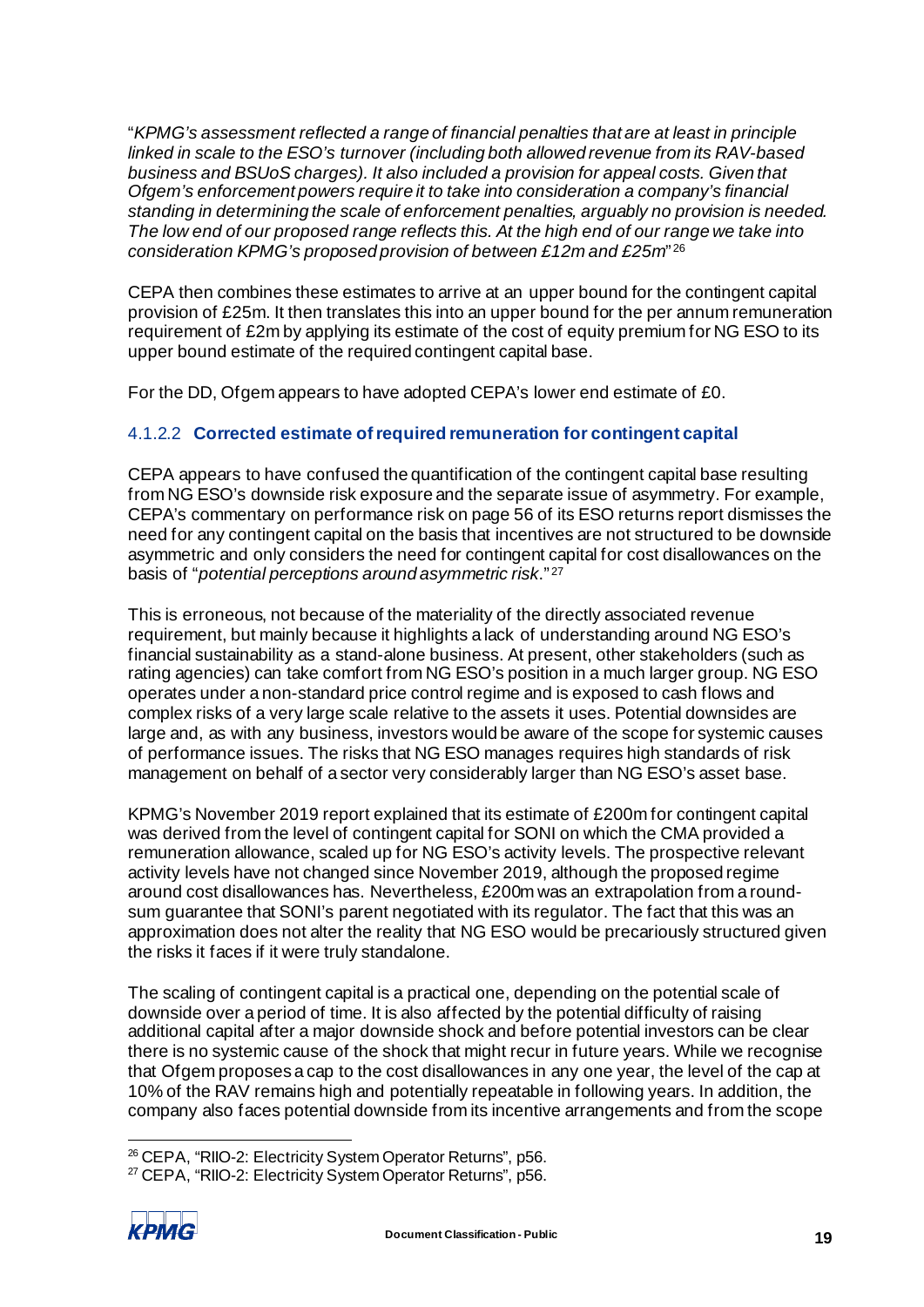"*KPMG's assessment reflected a range of financial penalties that are at least in principle linked in scale to the ESO's turnover (including both allowed revenue from its RAV-based business and BSUoS charges). It also included a provision for appeal costs. Given that Ofgem's enforcement powers require it to take into consideration a company's financial standing in determining the scale of enforcement penalties, arguably no provision is needed. The low end of our proposed range reflects this. At the high end of our range we take into consideration KPMG's proposed provision of between £12m and £25m*" [26](#page-21-0)

CEPA then combines these estimates to arrive at an upper bound for the contingent capital provision of £25m. It then translates this into an upper bound for the per annum remuneration requirement of £2m by applying its estimate of the cost of equity premium for NG ESO to its upper bound estimate of the required contingent capital base.

For the DD, Ofgem appears to have adopted CEPA's lower end estimate of £0.

## 4.1.2.2 **Corrected estimate of required remuneration for contingent capital**

CEPA appears to have confused the quantification of the contingent capital base resulting from NG ESO's downside risk exposure and the separate issue of asymmetry. For example, CEPA's commentary on performance risk on page 56 of its ESO returns report dismisses the need for any contingent capital on the basis that incentives are not structured to be downside asymmetric and only considers the need for contingent capital for cost disallowances on the basis of "*potential perceptions around asymmetric risk*." [27](#page-21-1)

This is erroneous, not because of the materiality of the directly associated revenue requirement, but mainly because it highlights a lack of understanding around NG ESO's financial sustainability as a stand-alone business. At present, other stakeholders (such as rating agencies) can take comfort from NG ESO's position in a much larger group. NG ESO operates under a non-standard price control regime and is exposed to cash flows and complex risks of a very large scale relative to the assets it uses. Potential downsides are large and, as with any business, investors would be aware of the scope for systemic causes of performance issues. The risks that NG ESO manages requires high standards of risk management on behalf of a sector very considerably larger than NG ESO's asset base.

KPMG's November 2019 report explained that its estimate of £200m for contingent capital was derived from the level of contingent capital for SONI on which the CMA provided a remuneration allowance, scaled up for NG ESO's activity levels. The prospective relevant activity levels have not changed since November 2019, although the proposed regime around cost disallowances has. Nevertheless, £200m was an extrapolation from a roundsum guarantee that SONI's parent negotiated with its regulator. The fact that this was an approximation does not alter the reality that NG ESO would be precariously structured given the risks it faces if it were truly standalone.

The scaling of contingent capital is a practical one, depending on the potential scale of downside over a period of time. It is also affected by the potential difficulty of raising additional capital after a major downside shock and before potential investors can be clear there is no systemic cause of the shock that might recur in future years. While we recognise that Ofgem proposes a cap to the cost disallowances in any one year, the level of the cap at 10% of the RAV remains high and potentially repeatable in following years. In addition, the company also faces potential downside from its incentive arrangements and from the scope

<span id="page-21-1"></span><span id="page-21-0"></span><sup>&</sup>lt;sup>27</sup> CEPA, "RIIO-2: Electricity System Operator Returns", p56.



<sup>26</sup> CEPA, "RIIO-2: Electricity System Operator Returns", p56.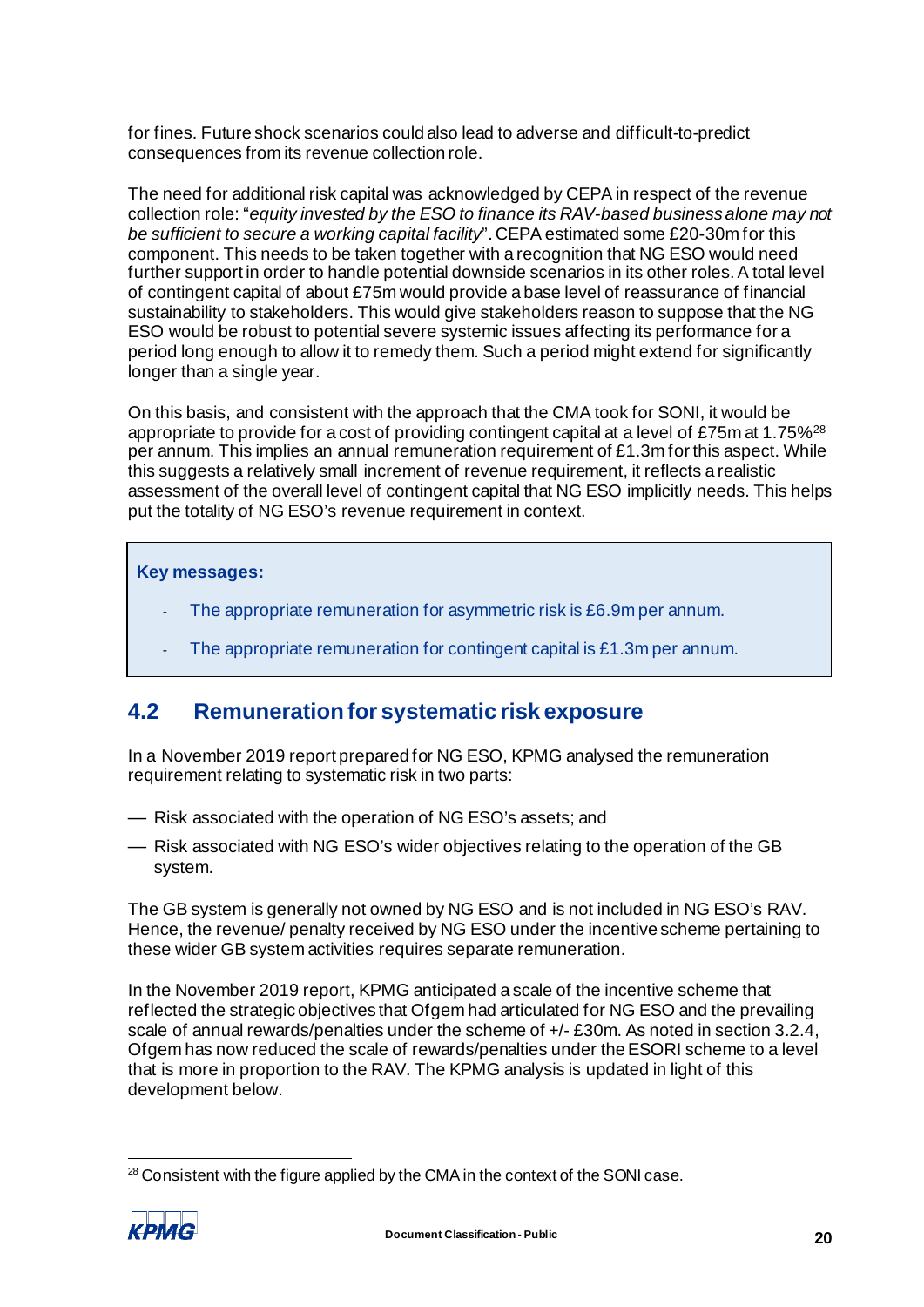for fines. Future shock scenarios could also lead to adverse and difficult-to-predict consequences from its revenue collection role.

The need for additional risk capital was acknowledged by CEPA in respect of the revenue collection role: "*equity invested by the ESO to finance its RAV-based business alone may not be sufficient to secure a working capital facility*". CEPA estimated some £20-30m for this component. This needs to be taken together with a recognition that NG ESO would need further support in order to handle potential downside scenarios in its other roles. A total level of contingent capital of about £75m would provide a base level of reassurance of financial sustainability to stakeholders. This would give stakeholders reason to suppose that the NG ESO would be robust to potential severe systemic issues affecting its performance for a period long enough to allow it to remedy them. Such a period might extend for significantly longer than a single year.

On this basis, and consistent with the approach that the CMA took for SONI, it would be appropriate to provide for a cost of providing contingent capital at a level of £75m at 1.75%<sup>[28](#page-22-2)</sup> per annum. This implies an annual remuneration requirement of £1.3m for this aspect. While this suggests a relatively small increment of revenue requirement, it reflects a realistic assessment of the overall level of contingent capital that NG ESO implicitly needs. This helps put the totality of NG ESO's revenue requirement in context.

#### **Key messages:**

- The appropriate remuneration for asymmetric risk is £6.9m per annum.
- The appropriate remuneration for contingent capital is £1.3m per annum.

## <span id="page-22-1"></span><span id="page-22-0"></span>**4.2 Remuneration for systematic risk exposure**

In a November 2019 report prepared for NG ESO, KPMG analysed the remuneration requirement relating to systematic risk in two parts:

- Risk associated with the operation of NG ESO's assets; and
- Risk associated with NG ESO's wider objectives relating to the operation of the GB system.

The GB system is generally not owned by NG ESO and is not included in NG ESO's RAV. Hence, the revenue/ penalty received by NG ESO under the incentive scheme pertaining to these wider GB system activities requires separate remuneration.

In the November 2019 report, KPMG anticipated a scale of the incentive scheme that reflected the strategic objectives that Ofgem had articulated for NG ESO and the prevailing scale of annual rewards/penalties under the scheme of  $+/-$  £30m. As noted in sectio[n 3.2.4](#page-16-1), Ofgem has now reduced the scale of rewards/penalties under the ESORI scheme to a level that is more in proportion to the RAV. The KPMG analysis is updated in light of this development below.

<span id="page-22-2"></span><sup>&</sup>lt;sup>28</sup> Consistent with the figure applied by the CMA in the context of the SONI case.

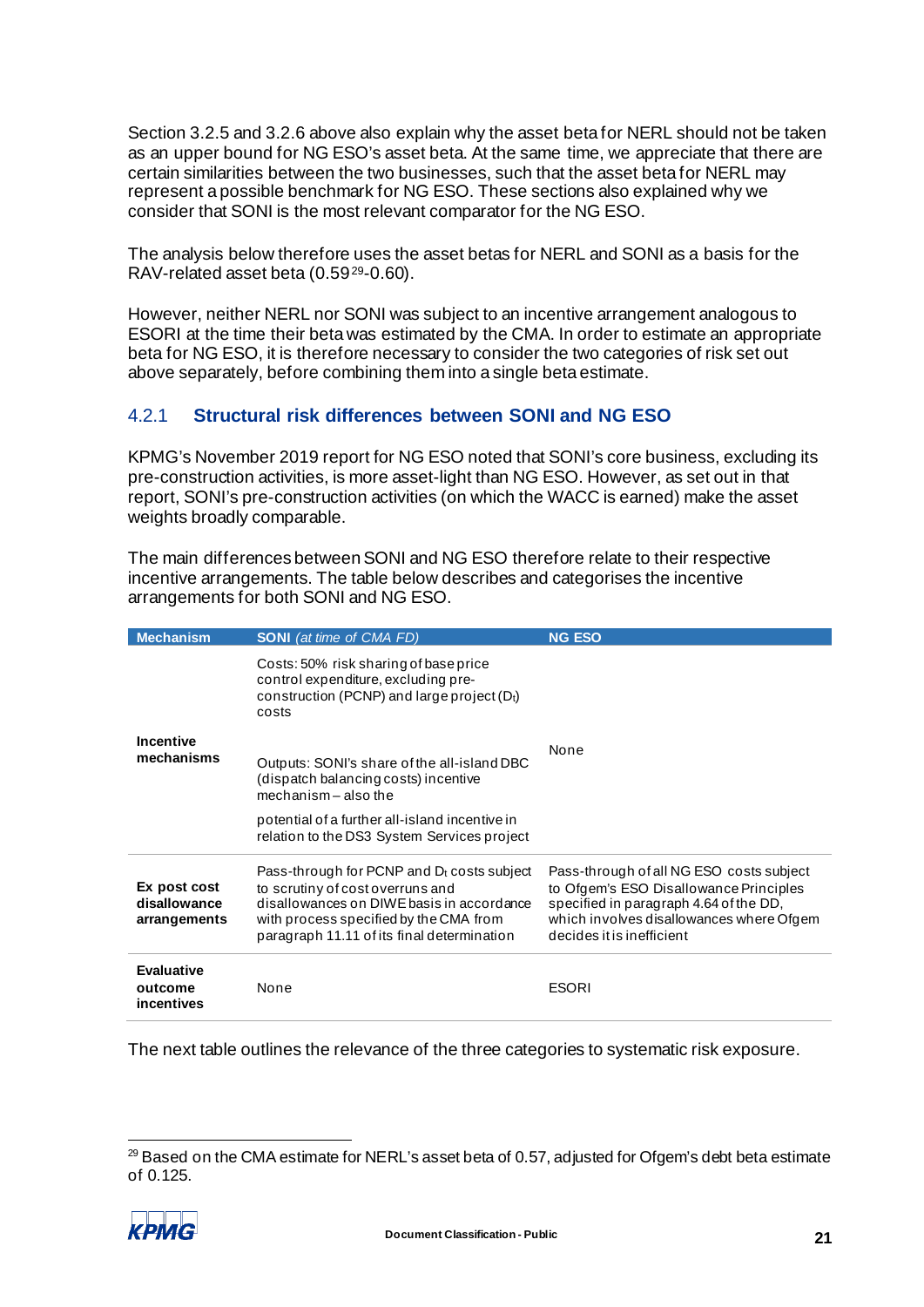Section [3.2.5](#page-16-2) and [3.2.6](#page-17-1) above also explain why the asset beta for NERL should not be taken as an upper bound for NG ESO's asset beta. At the same time, we appreciate that there are certain similarities between the two businesses, such that the asset beta for NERL may represent a possible benchmark for NG ESO. These sections also explained why we consider that SONI is the most relevant comparator for the NG ESO.

The analysis below therefore uses the asset betas for NERL and SONI as a basis for the RAV-related asset beta (0.59[29](#page-23-0)-0.60).

However, neither NERL nor SONI was subject to an incentive arrangement analogous to ESORI at the time their beta was estimated by the CMA. In order to estimate an appropriate beta for NG ESO, it is therefore necessary to consider the two categories of risk set out above separately, before combining them into a single beta estimate.

## <span id="page-23-1"></span>4.2.1 **Structural risk differences between SONI and NG ESO**

KPMG's November 2019 report for NG ESO noted that SONI's core business, excluding its pre-construction activities, is more asset-light than NG ESO. However, as set out in that report, SONI's pre-construction activities (on which the WACC is earned) make the asset weights broadly comparable.

The main differences between SONI and NG ESO therefore relate to their respective incentive arrangements. The table below describes and categorises the incentive arrangements for both SONI and NG ESO.

| <b>Mechanism</b>                             | <b>SONI</b> (at time of CMA FD)                                                                                                                                                                                        | <b>NG ESO</b>                                                                                                                                                                                         |
|----------------------------------------------|------------------------------------------------------------------------------------------------------------------------------------------------------------------------------------------------------------------------|-------------------------------------------------------------------------------------------------------------------------------------------------------------------------------------------------------|
|                                              | Costs: 50% risk sharing of base price<br>control expenditure, excluding pre-<br>construction (PCNP) and large project $(D_t)$<br>costs                                                                                 |                                                                                                                                                                                                       |
| Incentive<br>mechanisms                      | Outputs: SONI's share of the all-island DBC<br>(dispatch balancing costs) incentive<br>mechanism $-$ also the                                                                                                          | None                                                                                                                                                                                                  |
|                                              | potential of a further all-island incentive in<br>relation to the DS3 System Services project                                                                                                                          |                                                                                                                                                                                                       |
| Ex post cost<br>disallowance<br>arrangements | Pass-through for PCNP and $D_t$ costs subject<br>to scrutiny of cost overruns and<br>disallowances on DIWE basis in accordance<br>with process specified by the CMA from<br>paragraph 11.11 of its final determination | Pass-through of all NG ESO costs subject<br>to Ofgem's ESO Disallowance Principles<br>specified in paragraph 4.64 of the DD,<br>which involves disallowances where Ofgem<br>decides it is inefficient |
| <b>Evaluative</b><br>outcome<br>incentives   | None                                                                                                                                                                                                                   | <b>ESORI</b>                                                                                                                                                                                          |

The next table outlines the relevance of the three categories to systematic risk exposure.

<span id="page-23-0"></span> $29$  Based on the CMA estimate for NERL's asset beta of 0.57, adjusted for Ofgem's debt beta estimate of 0.125.

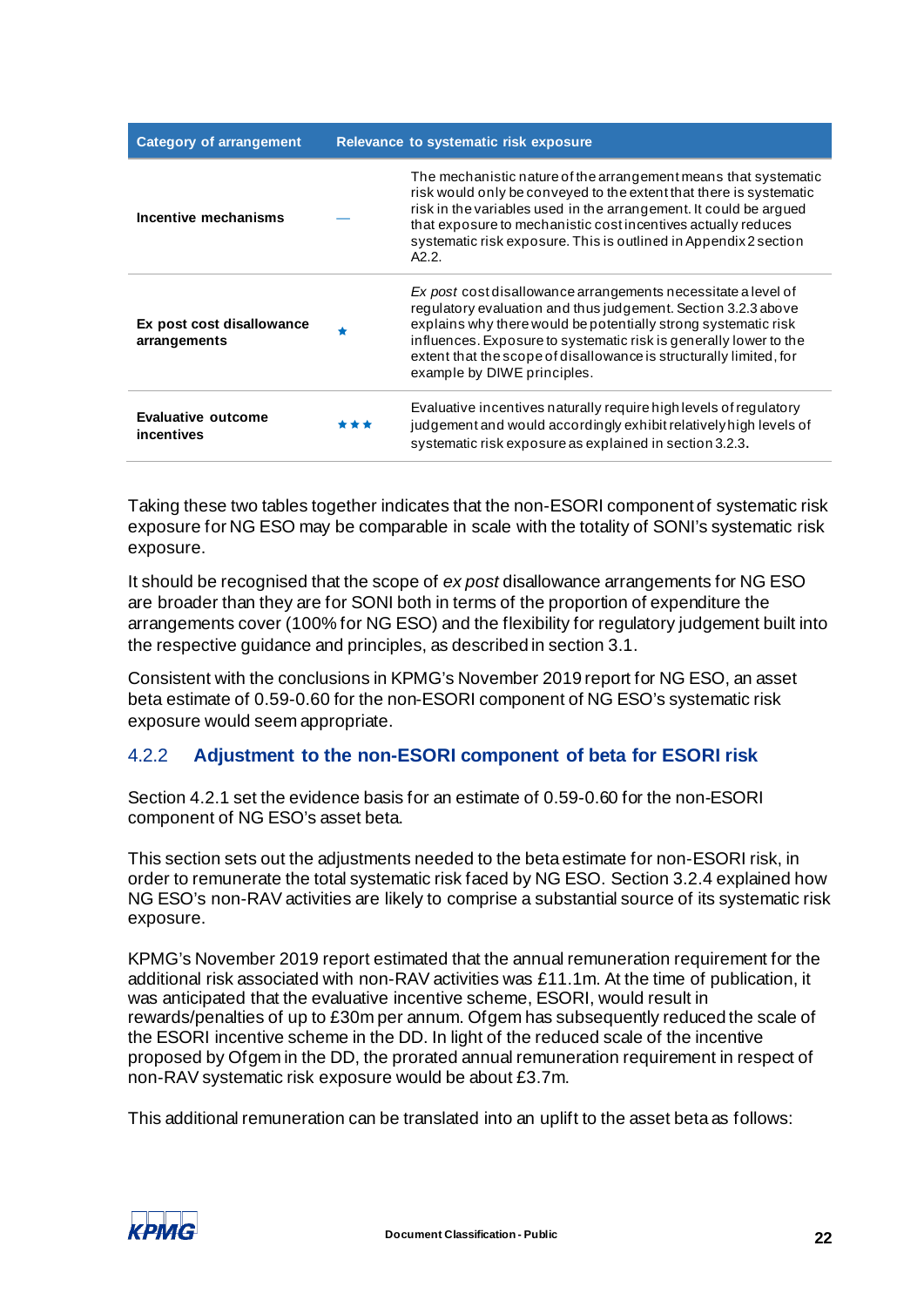| <b>Category of arrangement</b>            |       | Relevance to systematic risk exposure                                                                                                                                                                                                                                                                                                                                      |
|-------------------------------------------|-------|----------------------------------------------------------------------------------------------------------------------------------------------------------------------------------------------------------------------------------------------------------------------------------------------------------------------------------------------------------------------------|
| Incentive mechanisms                      |       | The mechanistic nature of the arrangement means that systematic<br>risk would only be conveyed to the extent that there is systematic<br>risk in the variables used in the arrangement. It could be argued<br>that exposure to mechanistic cost incentives actually reduces<br>systematic risk exposure. This is outlined in Appendix 2 section<br>A2.2.                   |
| Ex post cost disallowance<br>arrangements |       | Ex post cost disallowance arrangements necessitate a level of<br>regulatory evaluation and thus judgement. Section 3.2.3 above<br>explains why there would be potentially strong systematic risk<br>influences. Exposure to systematic risk is generally lower to the<br>extent that the scope of disallowance is structurally limited, for<br>example by DIWE principles. |
| Evaluative outcome<br>incentives          | * * * | Evaluative incentives naturally require high levels of regulatory<br>judgement and would accordingly exhibit relatively high levels of<br>systematic risk exposure as explained in section 3.2.3.                                                                                                                                                                          |

Taking these two tables together indicates that the non-ESORI component of systematic risk exposure for NG ESO may be comparable in scale with the totality of SONI's systematic risk exposure.

It should be recognised that the scope of *ex post* disallowance arrangements for NG ESO are broader than they are for SONI both in terms of the proportion of expenditure the arrangements cover (100% for NG ESO) and the flexibility for regulatory judgement built into the respective guidance and principles, as described in sectio[n 3.1.](#page-7-5)

Consistent with the conclusions in KPMG's November 2019 report for NG ESO, an asset beta estimate of 0.59-0.60 for the non-ESORI component of NG ESO's systematic risk exposure would seem appropriate.

## 4.2.2 **Adjustment to the non-ESORI component of beta for ESORI risk**

Section [4.2.1](#page-23-1) set the evidence basis for an estimate of 0.59-0.60 for the non-ESORI component of NG ESO's asset beta.

This section sets out the adjustments needed to the beta estimate for non-ESORI risk, in order to remunerate the total systematic risk faced by NG ESO. Sectio[n 3.2.4](#page-16-1) explained how NG ESO's non-RAV activities are likely to comprise a substantial source of its systematic risk exposure.

KPMG's November 2019 report estimated that the annual remuneration requirement for the additional risk associated with non-RAV activities was £11.1m. At the time of publication, it was anticipated that the evaluative incentive scheme, ESORI, would result in rewards/penalties of up to £30m per annum. Ofgem has subsequently reduced the scale of the ESORI incentive scheme in the DD. In light of the reduced scale of the incentive proposed by Ofgem in the DD, the prorated annual remuneration requirement in respect of non-RAV systematic risk exposure would be about £3.7m.

This additional remuneration can be translated into an uplift to the asset beta as follows:

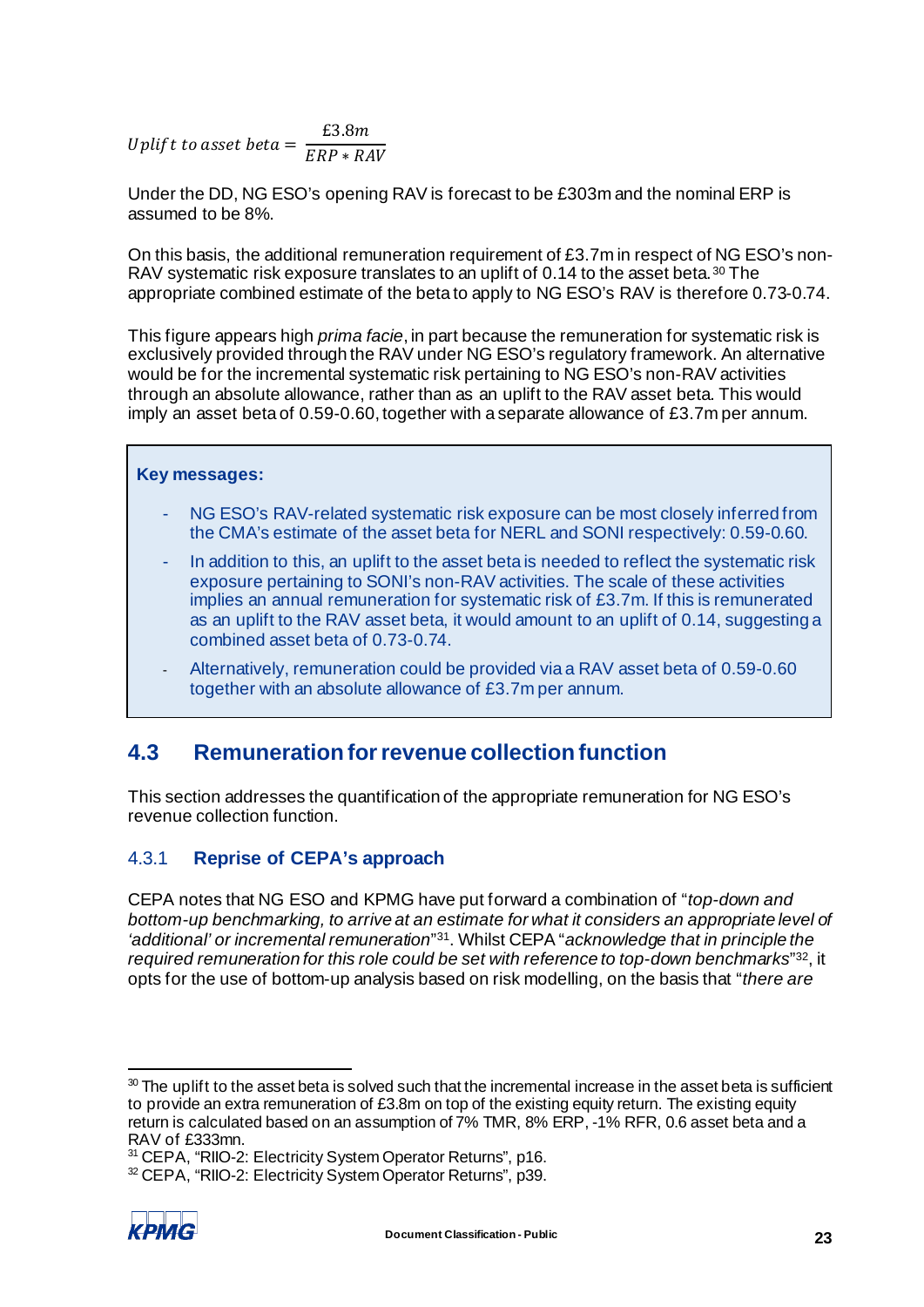Uplif t to asset bet  $a = \frac{\text{\texttt{t3.8}}m}{\text{\texttt{ERP}} * \text{\texttt{RAV}}}$ 

Under the DD, NG ESO's opening RAV is forecast to be £303m and the nominal ERP is assumed to be 8%.

On this basis, the additional remuneration requirement of £3.7m in respect of NG ESO's non-RAV systematic risk exposure translates to an uplift of 0.14 to the asset beta. [30](#page-25-1) The appropriate combined estimate of the beta to apply to NG ESO's RAV is therefore 0.73-0.74.

This figure appears high *prima facie*, in part because the remuneration for systematic risk is exclusively provided through the RAV under NG ESO's regulatory framework. An alternative would be for the incremental systematic risk pertaining to NG ESO's non-RAV activities through an absolute allowance, rather than as an uplift to the RAV asset beta. This would imply an asset beta of 0.59-0.60, together with a separate allowance of £3.7m per annum.

### **Key messages:**

- NG ESO's RAV-related systematic risk exposure can be most closely inferred from the CMA's estimate of the asset beta for NERL and SONI respectively: 0.59-0.60.
- In addition to this, an uplift to the asset beta is needed to reflect the systematic risk exposure pertaining to SONI's non-RAV activities. The scale of these activities implies an annual remuneration for systematic risk of £3.7m. If this is remunerated as an uplift to the RAV asset beta, it would amount to an uplift of 0.14, suggesting a combined asset beta of 0.73-0.74.
- Alternatively, remuneration could be provided via a RAV asset beta of 0.59-0.60 together with an absolute allowance of £3.7m per annum.

## <span id="page-25-4"></span><span id="page-25-0"></span>**4.3 Remuneration for revenue collection function**

This section addresses the quantification of the appropriate remuneration for NG ESO's revenue collection function.

## 4.3.1 **Reprise of CEPA's approach**

CEPA notes that NG ESO and KPMG have put forward a combination of "*top-down and bottom-up benchmarking, to arrive at an estimate for what it considers an appropriate level of 'additional' or incremental remuneration*"[31.](#page-25-2) Whilst CEPA "*acknowledge that in principle the required remuneration for this role could be set with reference to top-down benchmarks*"[32,](#page-25-3) it opts for the use of bottom-up analysis based on risk modelling, on the basis that "*there are* 

<span id="page-25-3"></span><span id="page-25-2"></span><sup>32</sup> CEPA, "RIIO-2: Electricity System Operator Returns", p39.



<span id="page-25-1"></span> $30$  The uplift to the asset beta is solved such that the incremental increase in the asset beta is sufficient to provide an extra remuneration of £3.8m on top of the existing equity return. The existing equity return is calculated based on an assumption of 7% TMR, 8% ERP, -1% RFR, 0.6 asset beta and a RAV of £333mn.

<sup>&</sup>lt;sup>31</sup> CEPA, "RIIO-2: Electricity System Operator Returns", p16.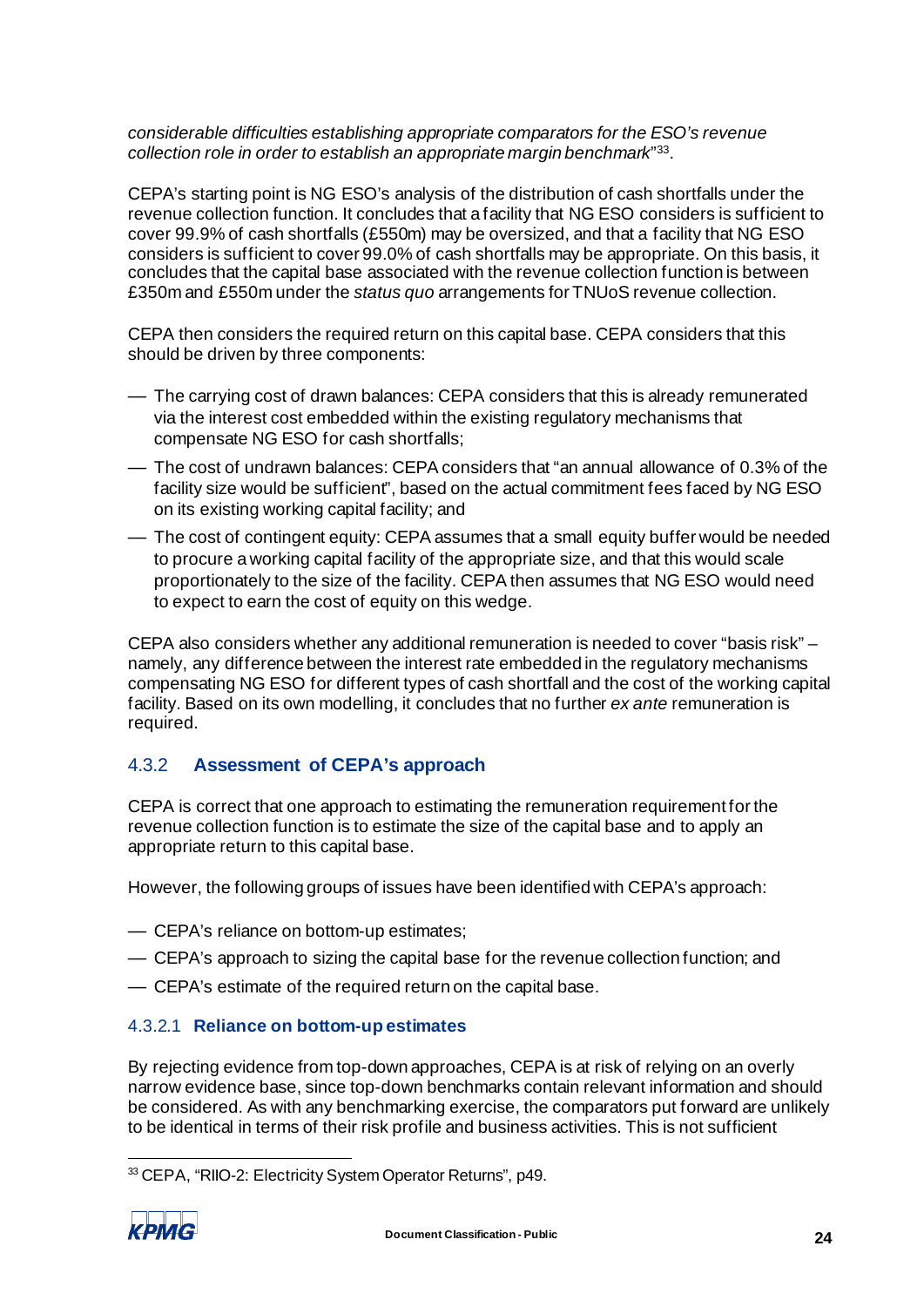*considerable difficulties establishing appropriate comparators for the ESO's revenue collection role in order to establish an appropriate margin benchmark*"[33](#page-26-0).

CEPA's starting point is NG ESO's analysis of the distribution of cash shortfalls under the revenue collection function. It concludes that a facility that NG ESO considers is sufficient to cover 99.9% of cash shortfalls (£550m) may be oversized, and that a facility that NG ESO considers is sufficient to cover 99.0% of cash shortfalls may be appropriate. On this basis, it concludes that the capital base associated with the revenue collection function is between £350m and £550m under the *status quo* arrangements for TNUoS revenue collection.

CEPA then considers the required return on this capital base. CEPA considers that this should be driven by three components:

- The carrying cost of drawn balances: CEPA considers that this is already remunerated via the interest cost embedded within the existing regulatory mechanisms that compensate NG ESO for cash shortfalls;
- The cost of undrawn balances: CEPA considers that "an annual allowance of 0.3% of the facility size would be sufficient", based on the actual commitment fees faced by NG ESO on its existing working capital facility; and
- The cost of contingent equity: CEPA assumes that a small equity buffer would be needed to procure a working capital facility of the appropriate size, and that this would scale proportionately to the size of the facility. CEPA then assumes that NG ESO would need to expect to earn the cost of equity on this wedge.

CEPA also considers whether any additional remuneration is needed to cover "basis risk" – namely, any difference between the interest rate embedded in the regulatory mechanisms compensating NG ESO for different types of cash shortfall and the cost of the working capital facility. Based on its own modelling, it concludes that no further *ex ante* remuneration is required.

## 4.3.2 **Assessment of CEPA's approach**

CEPA is correct that one approach to estimating the remuneration requirement for the revenue collection function is to estimate the size of the capital base and to apply an appropriate return to this capital base.

However, the following groups of issues have been identified with CEPA's approach:

- CEPA's reliance on bottom-up estimates;
- CEPA's approach to sizing the capital base for the revenue collection function; and
- CEPA's estimate of the required return on the capital base.

#### 4.3.2.1 **Reliance on bottom-up estimates**

By rejecting evidence from top-down approaches, CEPA is at risk of relying on an overly narrow evidence base, since top-down benchmarks contain relevant information and should be considered. As with any benchmarking exercise, the comparators put forward are unlikely to be identical in terms of their risk profile and business activities. This is not sufficient

<span id="page-26-0"></span><sup>33</sup> CEPA, "RIIO-2: Electricity System Operator Returns", p49.

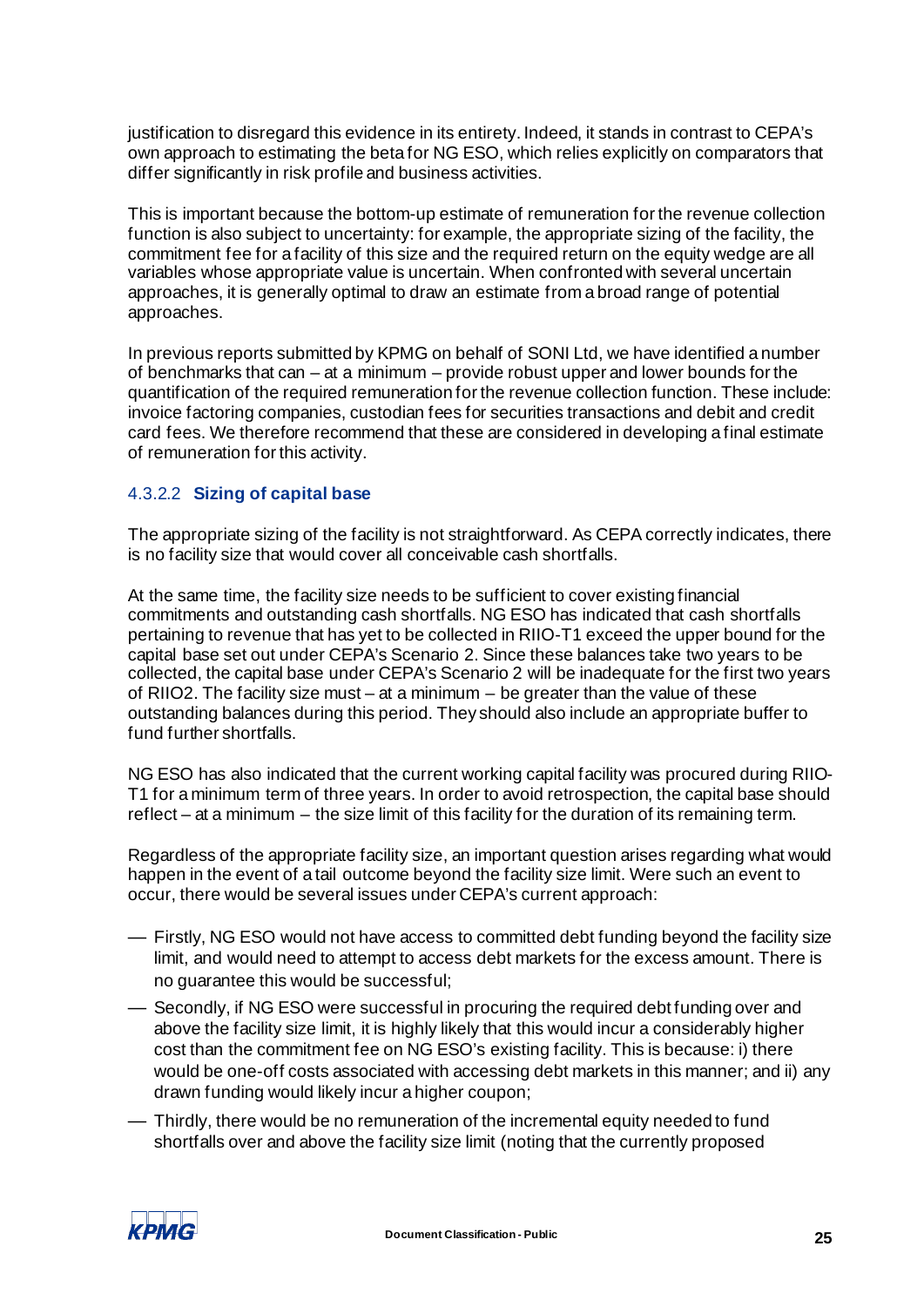justification to disregard this evidence in its entirety. Indeed, it stands in contrast to CEPA's own approach to estimating the beta for NG ESO, which relies explicitly on comparators that differ significantly in risk profile and business activities.

This is important because the bottom-up estimate of remuneration for the revenue collection function is also subject to uncertainty: for example, the appropriate sizing of the facility, the commitment fee for a facility of this size and the required return on the equity wedge are all variables whose appropriate value is uncertain. When confronted with several uncertain approaches, it is generally optimal to draw an estimate from a broad range of potential approaches.

In previous reports submitted by KPMG on behalf of SONI Ltd, we have identified a number of benchmarks that can – at a minimum – provide robust upper and lower bounds for the quantification of the required remuneration for the revenue collection function. These include: invoice factoring companies, custodian fees for securities transactions and debit and credit card fees. We therefore recommend that these are considered in developing a final estimate of remuneration for this activity.

### 4.3.2.2 **Sizing of capital base**

The appropriate sizing of the facility is not straightforward. As CEPA correctly indicates, there is no facility size that would cover all conceivable cash shortfalls.

At the same time, the facility size needs to be sufficient to cover existing financial commitments and outstanding cash shortfalls. NG ESO has indicated that cash shortfalls pertaining to revenue that has yet to be collected in RIIO-T1 exceed the upper bound for the capital base set out under CEPA's Scenario 2. Since these balances take two years to be collected, the capital base under CEPA's Scenario 2 will be inadequate for the first two years of RIIO2. The facility size must – at a minimum – be greater than the value of these outstanding balances during this period. They should also include an appropriate buffer to fund further shortfalls.

NG ESO has also indicated that the current working capital facility was procured during RIIO-T1 for a minimum term of three years. In order to avoid retrospection, the capital base should reflect – at a minimum – the size limit of this facility for the duration of its remaining term.

Regardless of the appropriate facility size, an important question arises regarding what would happen in the event of a tail outcome beyond the facility size limit. Were such an event to occur, there would be several issues under CEPA's current approach:

- Firstly, NG ESO would not have access to committed debt funding beyond the facility size limit, and would need to attempt to access debt markets for the excess amount. There is no guarantee this would be successful;
- Secondly, if NG ESO were successful in procuring the required debt funding over and above the facility size limit, it is highly likely that this would incur a considerably higher cost than the commitment fee on NG ESO's existing facility. This is because: i) there would be one-off costs associated with accessing debt markets in this manner; and ii) any drawn funding would likely incur a higher coupon;
- Thirdly, there would be no remuneration of the incremental equity needed to fund shortfalls over and above the facility size limit (noting that the currently proposed

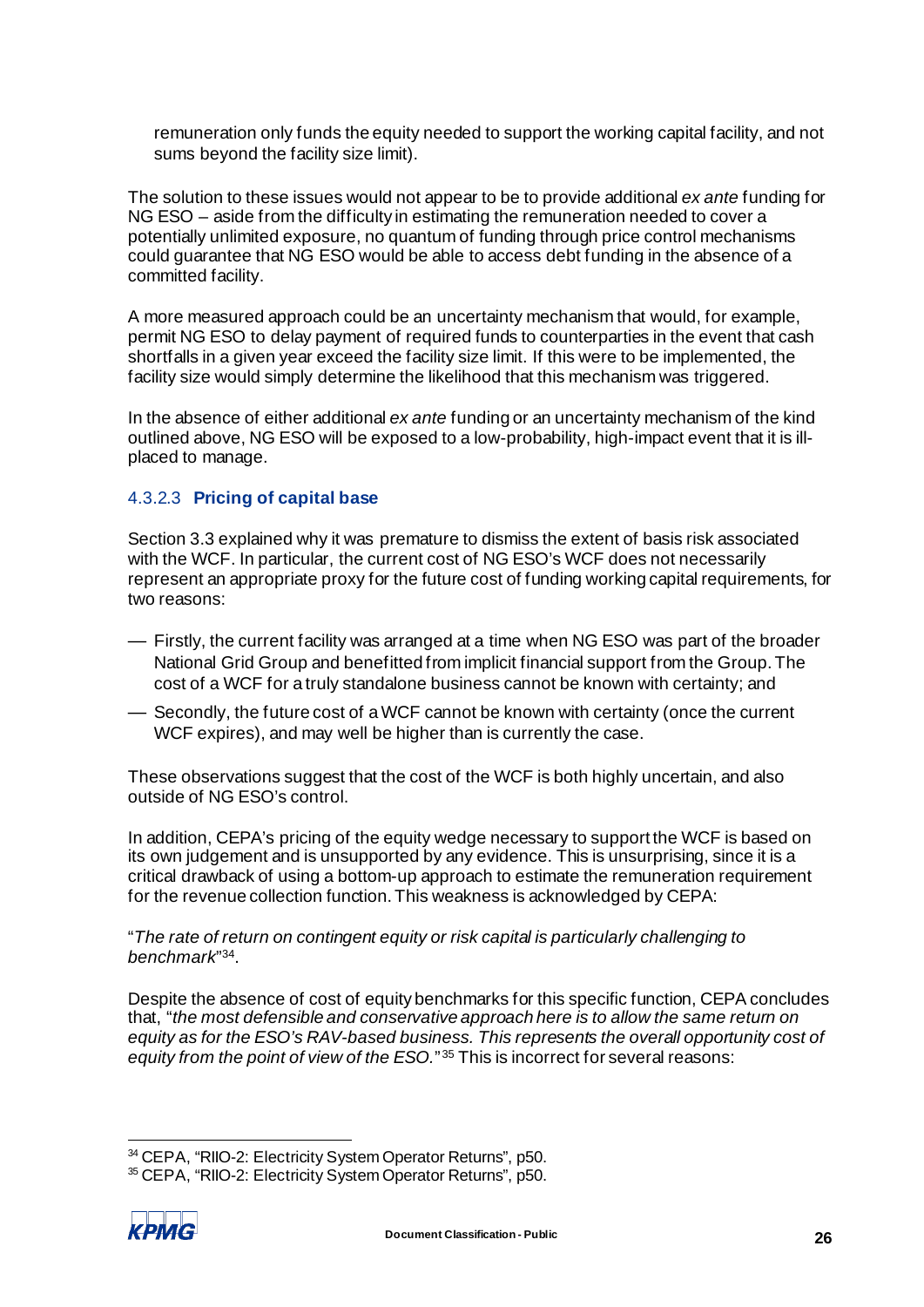remuneration only funds the equity needed to support the working capital facility, and not sums beyond the facility size limit).

The solution to these issues would not appear to be to provide additional *ex ante* funding for NG ESO – aside from the difficulty in estimating the remuneration needed to cover a potentially unlimited exposure, no quantum of funding through price control mechanisms could guarantee that NG ESO would be able to access debt funding in the absence of a committed facility.

A more measured approach could be an uncertainty mechanism that would, for example, permit NG ESO to delay payment of required funds to counterparties in the event that cash shortfalls in a given year exceed the facility size limit. If this were to be implemented, the facility size would simply determine the likelihood that this mechanism was triggered.

In the absence of either additional *ex ante* funding or an uncertainty mechanism of the kind outlined above, NG ESO will be exposed to a low-probability, high-impact event that it is illplaced to manage.

#### 4.3.2.3 **Pricing of capital base**

Section [3.3](#page-18-3) explained why it was premature to dismiss the extent of basis risk associated with the WCF. In particular, the current cost of NG ESO's WCF does not necessarily represent an appropriate proxy for the future cost of funding working capital requirements, for two reasons:

- Firstly, the current facility was arranged at a time when NG ESO was part of the broader National Grid Group and benefitted from implicit financial support from the Group. The cost of a WCF for a truly standalone business cannot be known with certainty; and
- Secondly, the future cost of a WCF cannot be known with certainty (once the current WCF expires), and may well be higher than is currently the case.

These observations suggest that the cost of the WCF is both highly uncertain, and also outside of NG ESO's control.

In addition, CEPA's pricing of the equity wedge necessary to support the WCF is based on its own judgement and is unsupported by any evidence. This is unsurprising, since it is a critical drawback of using a bottom-up approach to estimate the remuneration requirement for the revenue collection function. This weakness is acknowledged by CEPA:

"*The rate of return on contingent equity or risk capital is particularly challenging to benchmark*"[34](#page-28-0).

Despite the absence of cost of equity benchmarks for this specific function, CEPA concludes that, "*the most defensible and conservative approach here is to allow the same return on equity as for the ESO's RAV-based business. This represents the overall opportunity cost of equity from the point of view of the ESO.*"<sup>[35](#page-28-1)</sup> This is incorrect for several reasons:

<span id="page-28-1"></span><span id="page-28-0"></span><sup>35</sup> CEPA, "RIIO-2: Electricity System Operator Returns", p50.



<sup>34</sup> CEPA, "RIIO-2: Electricity System Operator Returns", p50.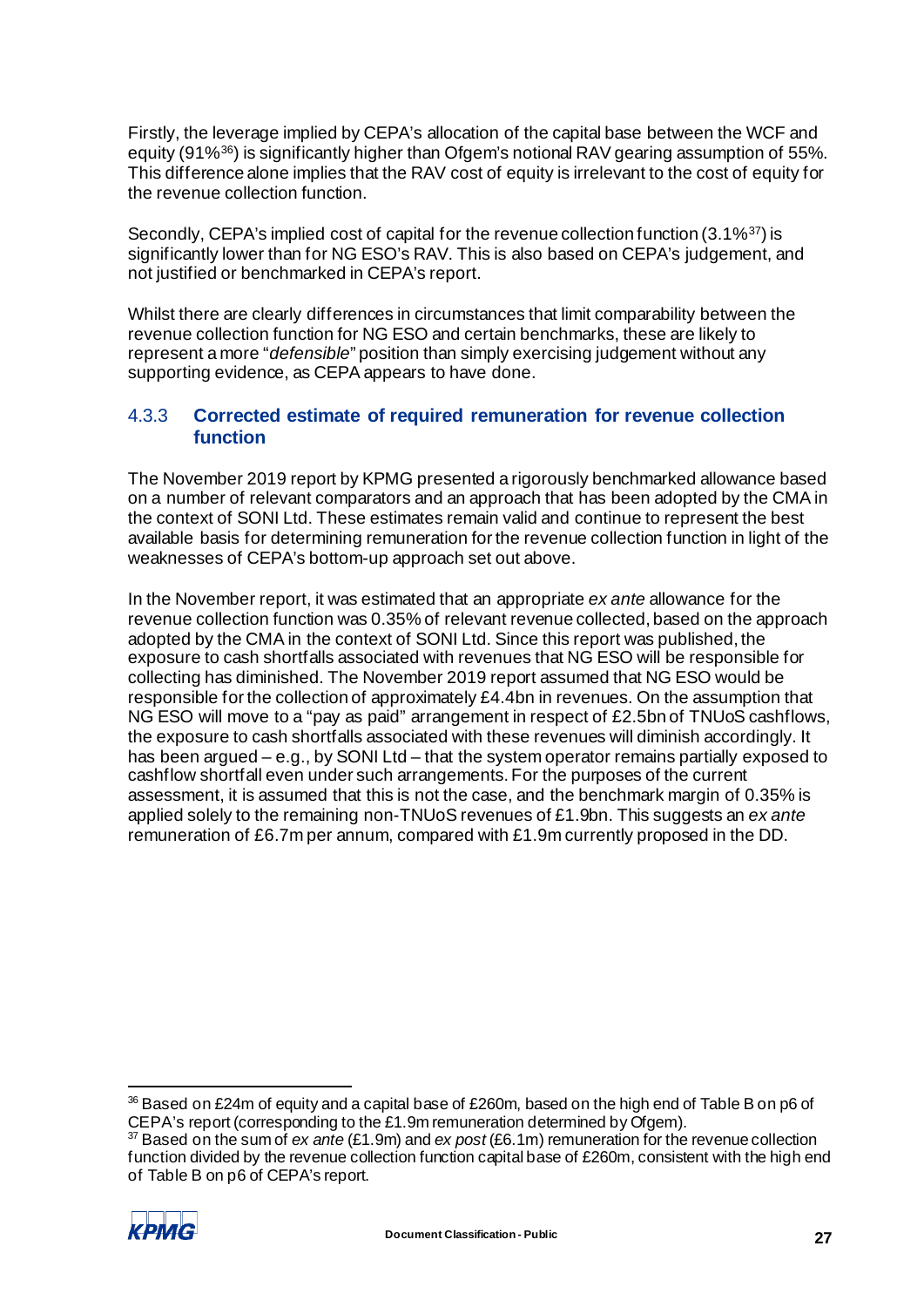Firstly, the leverage implied by CEPA's allocation of the capital base between the WCF and equity (91%[36](#page-29-0)) is significantly higher than Ofgem's notional RAV gearing assumption of 55%. This difference alone implies that the RAV cost of equity is irrelevant to the cost of equity for the revenue collection function.

Secondly, CEPA's implied cost of capital for the revenue collection function (3.1%<sup>[37](#page-29-1)</sup>) is significantly lower than for NG ESO's RAV. This is also based on CEPA's judgement, and not justified or benchmarked in CEPA's report.

Whilst there are clearly differences in circumstances that limit comparability between the revenue collection function for NG ESO and certain benchmarks, these are likely to represent a more "*defensible*" position than simply exercising judgement without any supporting evidence, as CEPA appears to have done.

## 4.3.3 **Corrected estimate of required remuneration for revenue collection function**

The November 2019 report by KPMG presented a rigorously benchmarked allowance based on a number of relevant comparators and an approach that has been adopted by the CMA in the context of SONI Ltd. These estimates remain valid and continue to represent the best available basis for determining remuneration for the revenue collection function in light of the weaknesses of CEPA's bottom-up approach set out above.

In the November report, it was estimated that an appropriate *ex ante* allowance for the revenue collection function was 0.35% of relevant revenue collected, based on the approach adopted by the CMA in the context of SONI Ltd. Since this report was published, the exposure to cash shortfalls associated with revenues that NG ESO will be responsible for collecting has diminished. The November 2019 report assumed that NG ESO would be responsible for the collection of approximately £4.4bn in revenues. On the assumption that NG ESO will move to a "pay as paid" arrangement in respect of £2.5bn of TNUoS cashflows, the exposure to cash shortfalls associated with these revenues will diminish accordingly. It has been argued – e.g., by SONI Ltd – that the system operator remains partially exposed to cashflow shortfall even under such arrangements. For the purposes of the current assessment, it is assumed that this is not the case, and the benchmark margin of 0.35% is applied solely to the remaining non-TNUoS revenues of £1.9bn. This suggests an *ex ante* remuneration of £6.7m per annum, compared with £1.9m currently proposed in the DD.

<span id="page-29-1"></span><sup>37</sup> Based on the sum of *ex ante* (£1.9m) and *ex post* (£6.1m) remuneration for the revenue collection function divided by the revenue collection function capital base of £260m, consistent with the high end of Table B on p6 of CEPA's report.



<span id="page-29-0"></span><sup>36</sup> Based on £24m of equity and a capital base of £260m, based on the high end of Table B on p6 of CEPA's report (corresponding to the £1.9m remuneration determined by Ofgem).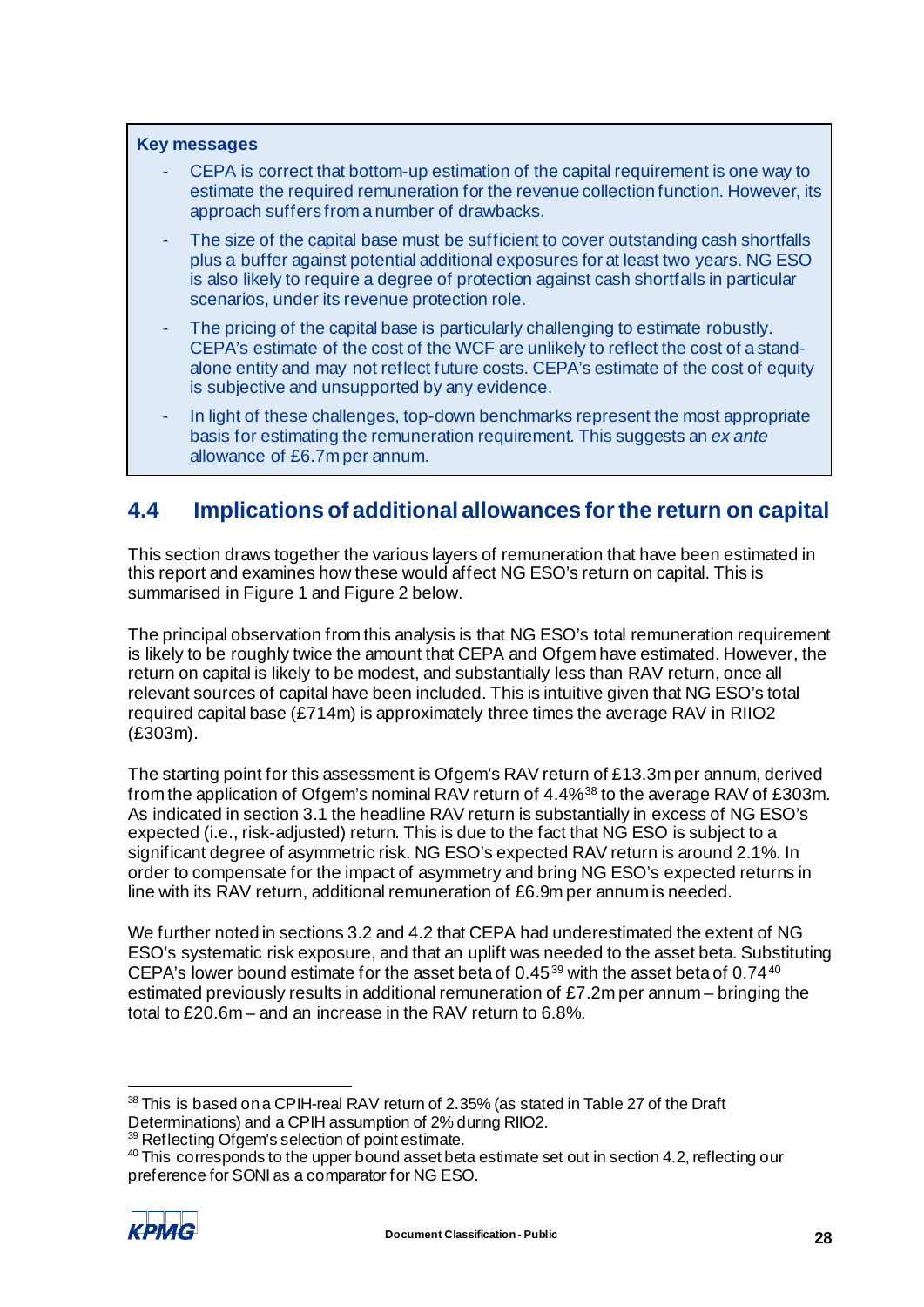#### **Key messages**

- CEPA is correct that bottom-up estimation of the capital requirement is one way to estimate the required remuneration for the revenue collection function. However, its approach suffers from a number of drawbacks.
- The size of the capital base must be sufficient to cover outstanding cash shortfalls plus a buffer against potential additional exposures for at least two years. NG ESO is also likely to require a degree of protection against cash shortfalls in particular scenarios, under its revenue protection role.
- The pricing of the capital base is particularly challenging to estimate robustly. CEPA's estimate of the cost of the WCF are unlikely to reflect the cost of a standalone entity and may not reflect future costs. CEPA's estimate of the cost of equity is subjective and unsupported by any evidence.
- In light of these challenges, top-down benchmarks represent the most appropriate basis for estimating the remuneration requirement. This suggests an *ex ante* allowance of £6.7m per annum.

## <span id="page-30-0"></span>**4.4 Implications of additional allowances for the return on capital**

This section draws together the various layers of remuneration that have been estimated in this report and examines how these would affect NG ESO's return on capital. This is summarised in [Figure 1](#page-31-0) an[d Figure 2](#page-32-0) below.

The principal observation from this analysis is that NG ESO's total remuneration requirement is likely to be roughly twice the amount that CEPA and Ofgem have estimated. However, the return on capital is likely to be modest, and substantially less than RAV return, once all relevant sources of capital have been included. This is intuitive given that NG ESO's total required capital base (£714m) is approximately three times the average RAV in RIIO2 (£303m).

The starting point for this assessment is Ofgem's RAV return of £13.3m per annum, derived from the application of Ofgem's nominal RAV return of 4.4%[38](#page-30-1) to the average RAV of £303m. As indicated in section [3.1](#page-7-5) the headline RAV return is substantially in excess of NG ESO's expected (i.e., risk-adjusted) return. This is due to the fact that NG ESO is subject to a significant degree of asymmetric risk. NG ESO's expected RAV return is around 2.1%. In order to compensate for the impact of asymmetry and bring NG ESO's expected returns in line with its RAV return, additional remuneration of £6.9m per annum is needed.

We further noted in section[s 3.2](#page-12-1) an[d 4.2](#page-22-1) that CEPA had underestimated the extent of NG ESO's systematic risk exposure, and that an uplift was needed to the asset beta. Substituting CEPA's lower bound estimate for the asset beta of 0.45[39](#page-30-2) with the asset beta of 0.74[40](#page-30-3) estimated previously results in additional remuneration of £7.2m per annum – bringing the total to £20.6m – and an increase in the RAV return to 6.8%.

<span id="page-30-3"></span><span id="page-30-2"></span><sup>&</sup>lt;sup>40</sup> This corresponds to the upper bound asset beta estimate set out in sectio[n 4.2,](#page-22-1) reflecting our preference for SONI as a comparator for NG ESO.



<span id="page-30-1"></span><sup>38</sup> This is based on a CPIH-real RAV return of 2.35% (as stated in Table 27 of the Draft Determinations) and a CPIH assumption of 2% during RIIO2.

<sup>&</sup>lt;sup>39</sup> Reflecting Ofgem's selection of point estimate.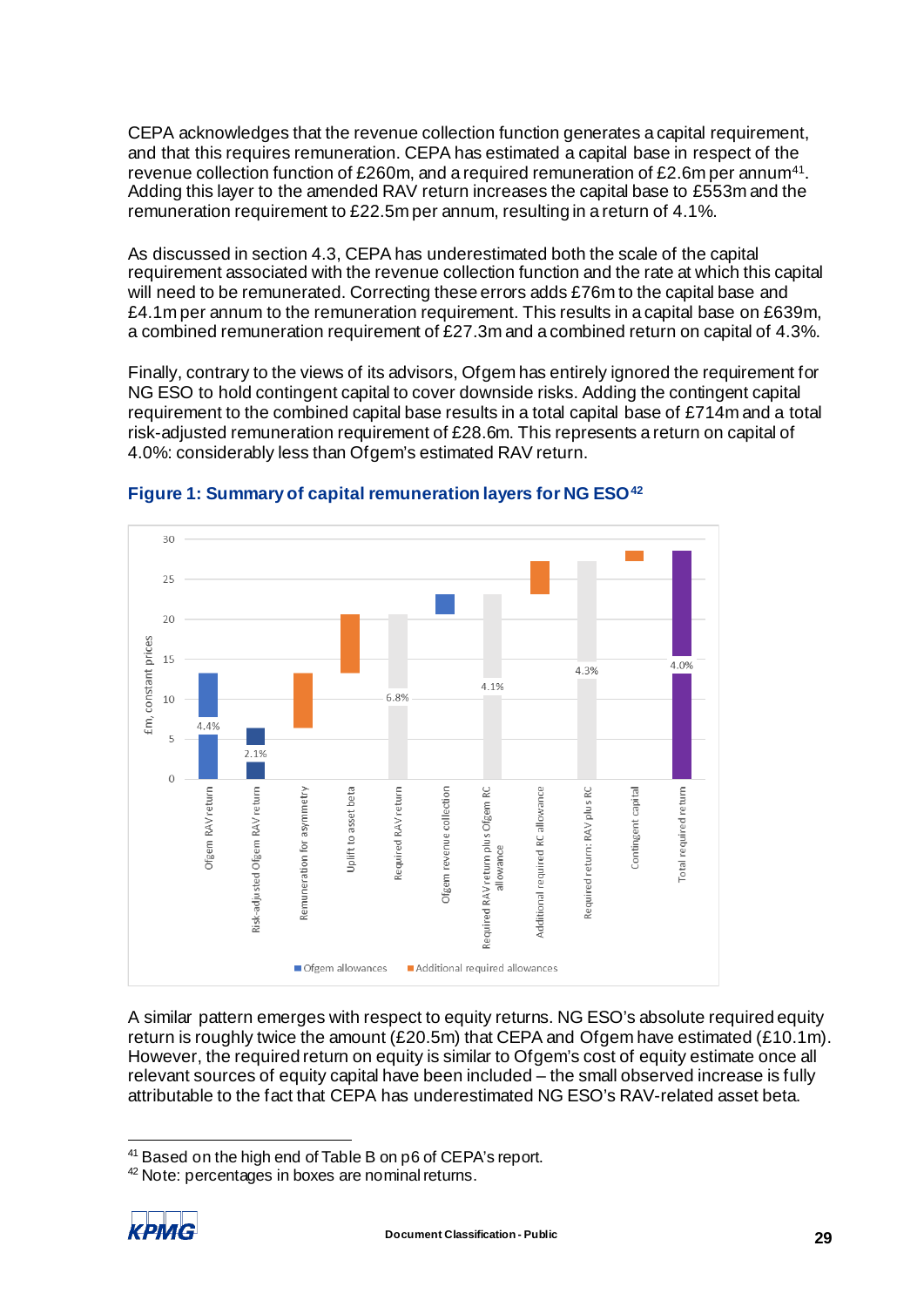CEPA acknowledges that the revenue collection function generates a capital requirement, and that this requires remuneration. CEPA has estimated a capital base in respect of the revenue collection function of £260m, and a required remuneration of £2.6m per annu[m41](#page-31-1). Adding this layer to the amended RAV return increases the capital base to £553m and the remuneration requirement to £22.5m per annum, resulting in a return of 4.1%.

As discussed in sectio[n 4.3,](#page-25-4) CEPA has underestimated both the scale of the capital requirement associated with the revenue collection function and the rate at which this capital will need to be remunerated. Correcting these errors adds £76m to the capital base and £4.1m per annum to the remuneration requirement. This results in a capital base on £639m, a combined remuneration requirement of £27.3m and a combined return on capital of 4.3%.

Finally, contrary to the views of its advisors, Ofgem has entirely ignored the requirement for NG ESO to hold contingent capital to cover downside risks. Adding the contingent capital requirement to the combined capital base results in a total capital base of £714m and a total risk-adjusted remuneration requirement of £28.6m. This represents a return on capital of 4.0%: considerably less than Ofgem's estimated RAV return.



<span id="page-31-0"></span>**Figure 1: Summary of capital remuneration layers for NG ESO[42](#page-31-2)**

A similar pattern emerges with respect to equity returns. NG ESO's absolute required equity return is roughly twice the amount (£20.5m) that CEPA and Ofgem have estimated ( $£10.1m$ ). However, the required return on equity is similar to Ofgem's cost of equity estimate once all relevant sources of equity capital have been included – the small observed increase is fully attributable to the fact that CEPA has underestimated NG ESO's RAV-related asset beta.

<span id="page-31-2"></span><span id="page-31-1"></span><sup>42</sup> Note: percentages in boxes are nominal returns.



<sup>&</sup>lt;sup>41</sup> Based on the high end of Table B on p6 of CEPA's report.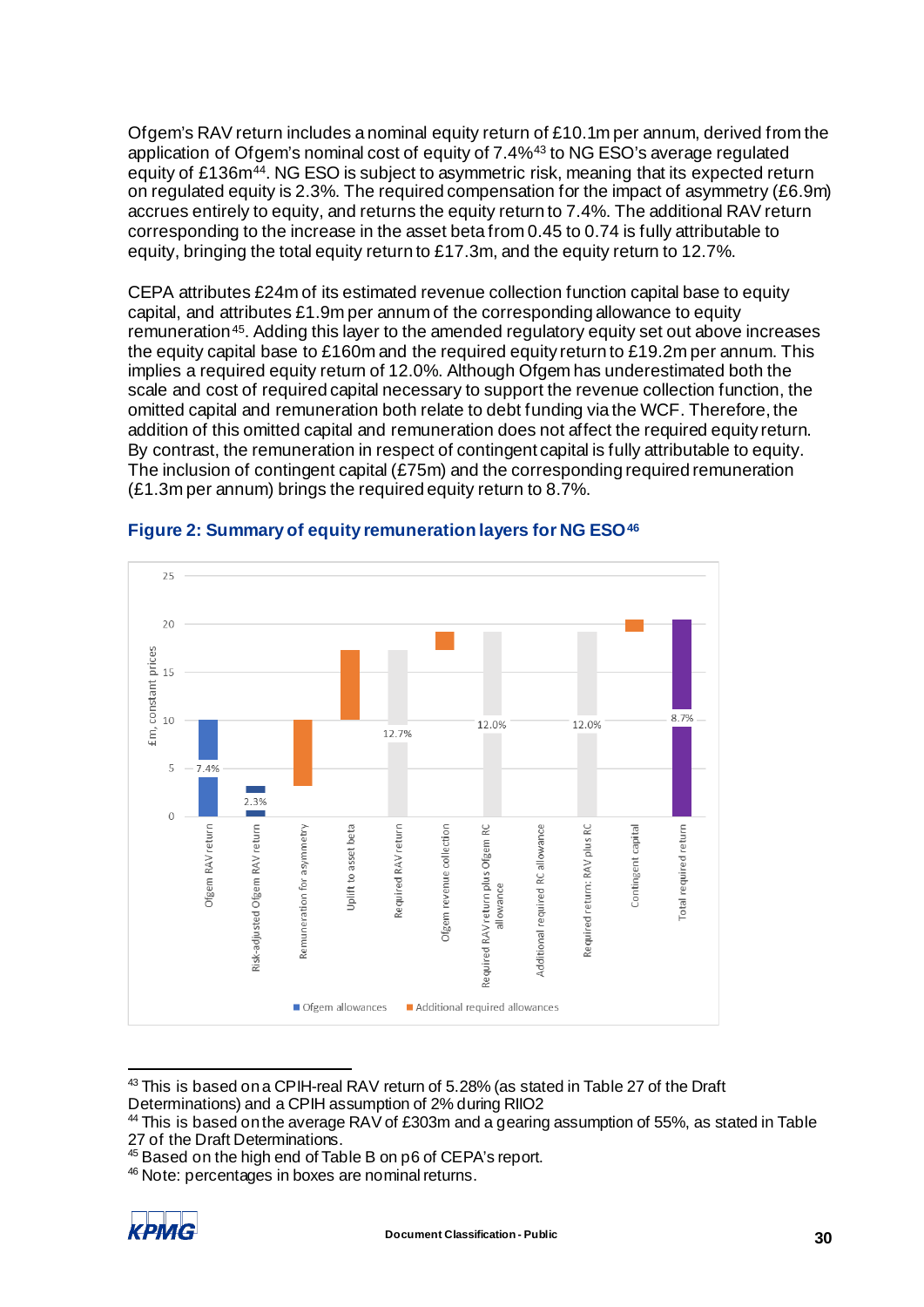Ofgem's RAV return includes a nominal equity return of £10.1m per annum, derived from the application of Ofgem's nominal cost of equity of 7.4%[43](#page-32-1) to NG ESO's average regulated equity of £136m<sup>[44](#page-32-2)</sup>. NG ESO is subject to asymmetric risk, meaning that its expected return on regulated equity is 2.3%. The required compensation for the impact of asymmetry (£6.9m) accrues entirely to equity, and returns the equity return to 7.4%. The additional RAV return corresponding to the increase in the asset beta from 0.45 to 0.74 is fully attributable to equity, bringing the total equity return to £17.3m, and the equity return to 12.7%.

CEPA attributes £24m of its estimated revenue collection function capital base to equity capital, and attributes £1.9m per annum of the corresponding allowance to equity remuneration[45.](#page-32-3) Adding this layer to the amended regulatory equity set out above increases the equity capital base to £160m and the required equity return to £19.2m per annum. This implies a required equity return of 12.0%. Although Ofgem has underestimated both the scale and cost of required capital necessary to support the revenue collection function, the omitted capital and remuneration both relate to debt funding via the WCF. Therefore, the addition of this omitted capital and remuneration does not affect the required equity return. By contrast, the remuneration in respect of contingent capital is fully attributable to equity. The inclusion of contingent capital (£75m) and the corresponding required remuneration (£1.3m per annum) brings the required equity return to 8.7%.



### <span id="page-32-0"></span>**Figure 2: Summary of equity remuneration layers for NG ESO[46](#page-32-4)**

<span id="page-32-1"></span><sup>43</sup> This is based on a CPIH-real RAV return of 5.28% (as stated in Table 27 of the Draft Determinations) and a CPIH assumption of 2% during RIIO2

<span id="page-32-4"></span><span id="page-32-3"></span><sup>46</sup> Note: percentages in boxes are nominal returns.



<span id="page-32-2"></span><sup>44</sup> This is based on the average RAV of £303m and a gearing assumption of 55%, as stated in Table 27 of the Draft Determinations.

<sup>45</sup> Based on the high end of Table B on p6 of CEPA's report.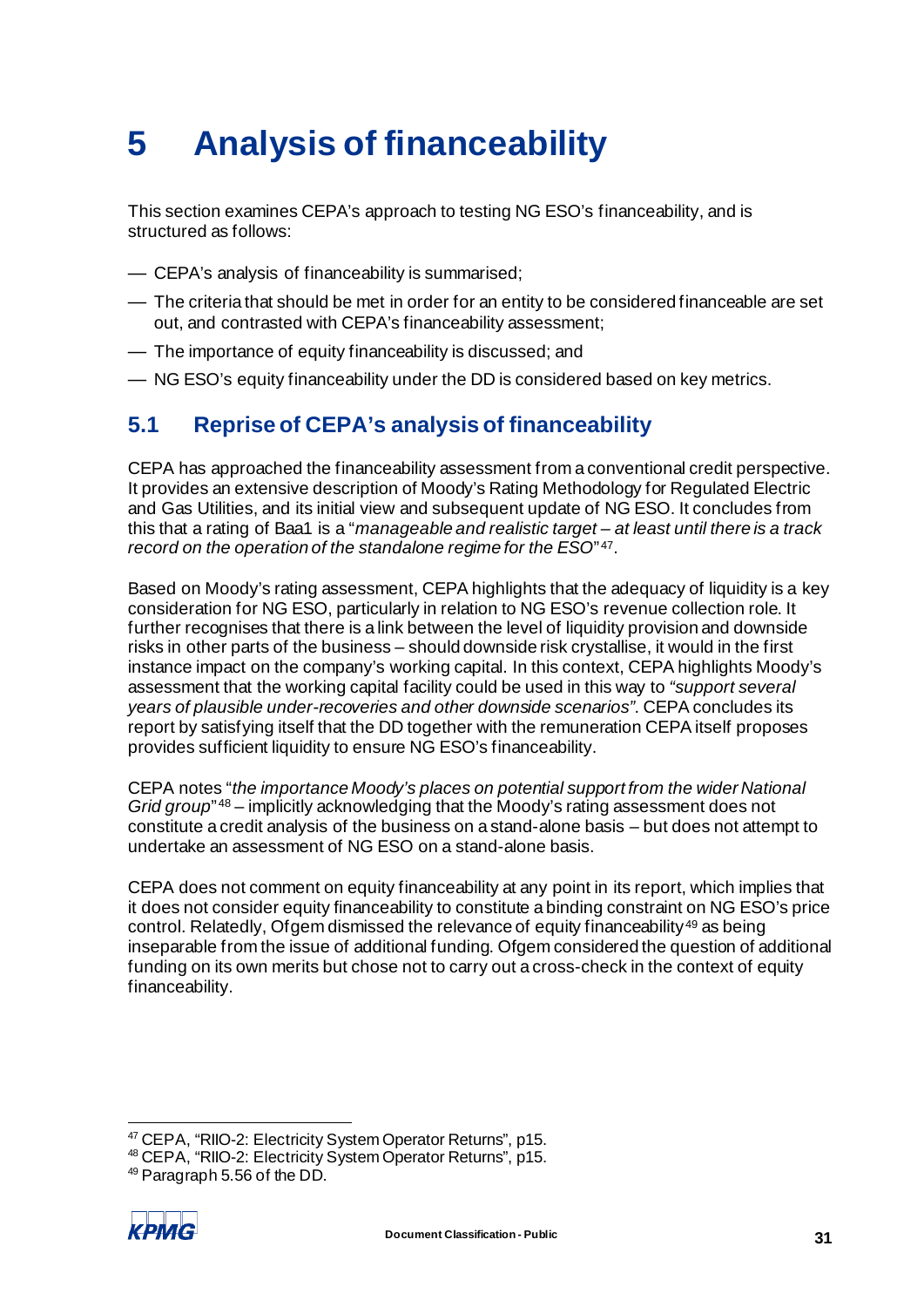# <span id="page-33-0"></span>**5 Analysis of financeability**

This section examines CEPA's approach to testing NG ESO's financeability, and is structured as follows:

- CEPA's analysis of financeability is summarised;
- The criteria that should be met in order for an entity to be considered financeable are set out, and contrasted with CEPA's financeability assessment;
- The importance of equity financeability is discussed; and
- NG ESO's equity financeability under the DD is considered based on key metrics.

## <span id="page-33-1"></span>**5.1 Reprise of CEPA's analysis of financeability**

CEPA has approached the financeability assessment from a conventional credit perspective. It provides an extensive description of Moody's Rating Methodology for Regulated Electric and Gas Utilities, and its initial view and subsequent update of NG ESO. It concludes from this that a rating of Baa1 is a "*manageable and realistic target – at least until there is a track record on the operation of the standalone regime for the ESO*" [47](#page-33-2).

Based on Moody's rating assessment, CEPA highlights that the adequacy of liquidity is a key consideration for NG ESO, particularly in relation to NG ESO's revenue collection role. It further recognises that there is a link between the level of liquidity provision and downside risks in other parts of the business – should downside risk crystallise, it would in the first instance impact on the company's working capital. In this context, CEPA highlights Moody's assessment that the working capital facility could be used in this way to *"support several years of plausible under-recoveries and other downside scenarios"*. CEPA concludes its report by satisfying itself that the DD together with the remuneration CEPA itself proposes provides sufficient liquidity to ensure NG ESO's financeability.

CEPA notes "*the importance Moody's places on potential support from the wider National Grid group*<sup>"[48](#page-33-3)</sup> – implicitly acknowledging that the Moody's rating assessment does not constitute a credit analysis of the business on a stand-alone basis – but does not attempt to undertake an assessment of NG ESO on a stand-alone basis.

CEPA does not comment on equity financeability at any point in its report, which implies that it does not consider equity financeability to constitute a binding constraint on NG ESO's price control. Relatedly, Ofgem dismissed the relevance of equity financeability<sup>[49](#page-33-4)</sup> as being inseparable from the issue of additional funding. Ofgem considered the question of additional funding on its own merits but chose not to carry out a cross-check in the context of equity financeability.

<span id="page-33-4"></span><span id="page-33-3"></span><sup>49</sup> Paragraph 5.56 of the DD.



<span id="page-33-2"></span><sup>47</sup> CEPA, "RIIO-2: Electricity System Operator Returns", p15.

<sup>48</sup> CEPA, "RIIO-2: Electricity System Operator Returns", p15.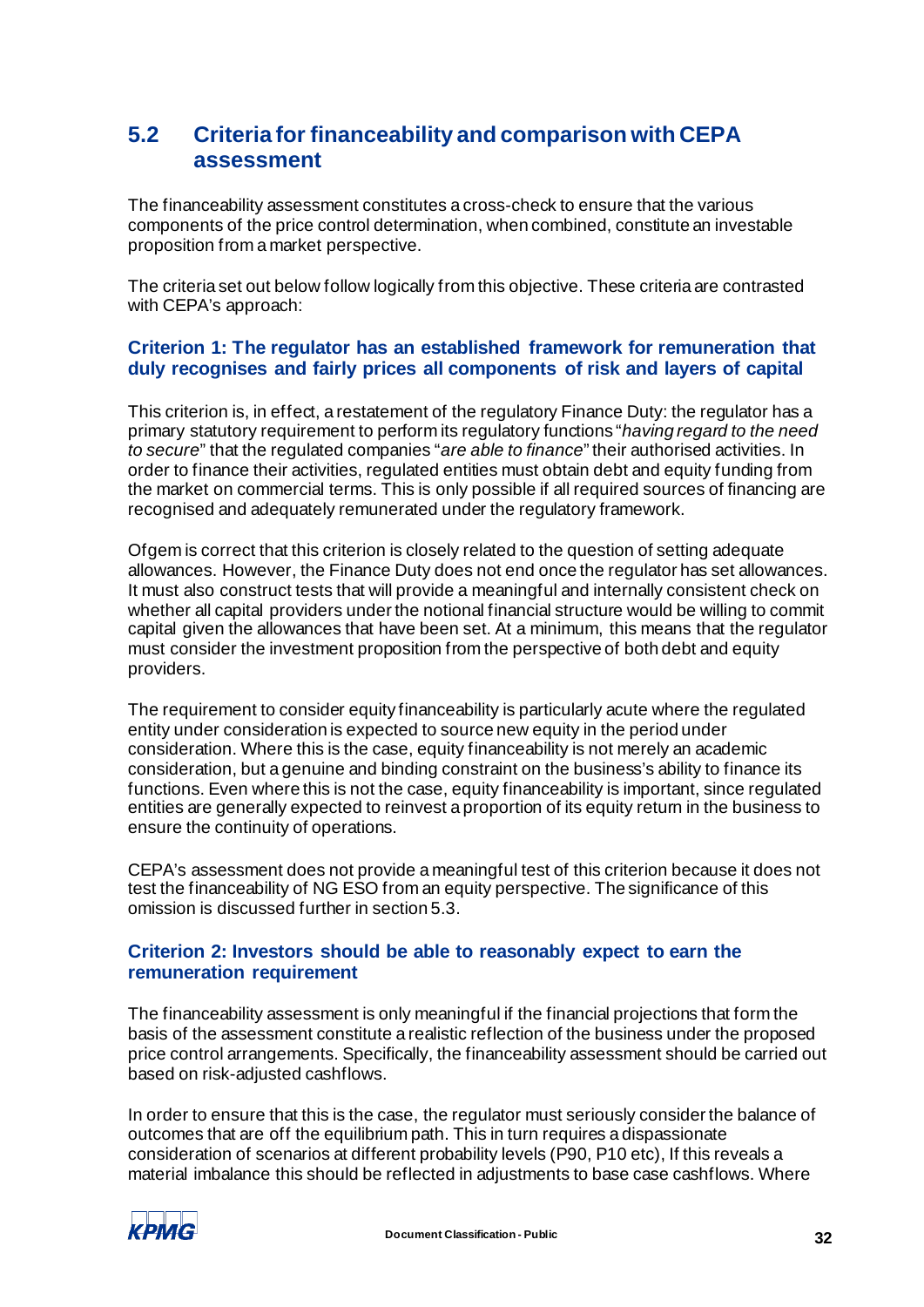## <span id="page-34-0"></span>**5.2 Criteria for financeability and comparison with CEPA assessment**

The financeability assessment constitutes a cross-check to ensure that the various components of the price control determination, when combined, constitute an investable proposition from a market perspective.

The criteria set out below follow logically from this objective. These criteria are contrasted with CEPA's approach:

## **Criterion 1: The regulator has an established framework for remuneration that duly recognises and fairly prices all components of risk and layers of capital**

This criterion is, in effect, a restatement of the regulatory Finance Duty: the regulator has a primary statutory requirement to perform its regulatory functions "*having regard to the need to secure*" that the regulated companies "*are able to finance*" their authorised activities. In order to finance their activities, regulated entities must obtain debt and equity funding from the market on commercial terms. This is only possible if all required sources of financing are recognised and adequately remunerated under the regulatory framework.

Ofgem is correct that this criterion is closely related to the question of setting adequate allowances. However, the Finance Duty does not end once the regulator has set allowances. It must also construct tests that will provide a meaningful and internally consistent check on whether all capital providers under the notional financial structure would be willing to commit capital given the allowances that have been set. At a minimum, this means that the regulator must consider the investment proposition from the perspective of both debt and equity providers.

The requirement to consider equity financeability is particularly acute where the regulated entity under consideration is expected to source new equity in the period under consideration. Where this is the case, equity financeability is not merely an academic consideration, but a genuine and binding constraint on the business's ability to finance its functions. Even where this is not the case, equity financeability is important, since regulated entities are generally expected to reinvest a proportion of its equity return in the business to ensure the continuity of operations.

CEPA's assessment does not provide a meaningful test of this criterion because it does not test the financeability of NG ESO from an equity perspective. The significance of this omission is discussed further in sectio[n 5.3.](#page-36-2)

## **Criterion 2: Investors should be able to reasonably expect to earn the remuneration requirement**

The financeability assessment is only meaningful if the financial projections that form the basis of the assessment constitute a realistic reflection of the business under the proposed price control arrangements. Specifically, the financeability assessment should be carried out based on risk-adjusted cashflows.

In order to ensure that this is the case, the regulator must seriously consider the balance of outcomes that are off the equilibrium path. This in turn requires a dispassionate consideration of scenarios at different probability levels (P90, P10 etc), If this reveals a material imbalance this should be reflected in adjustments to base case cashflows. Where

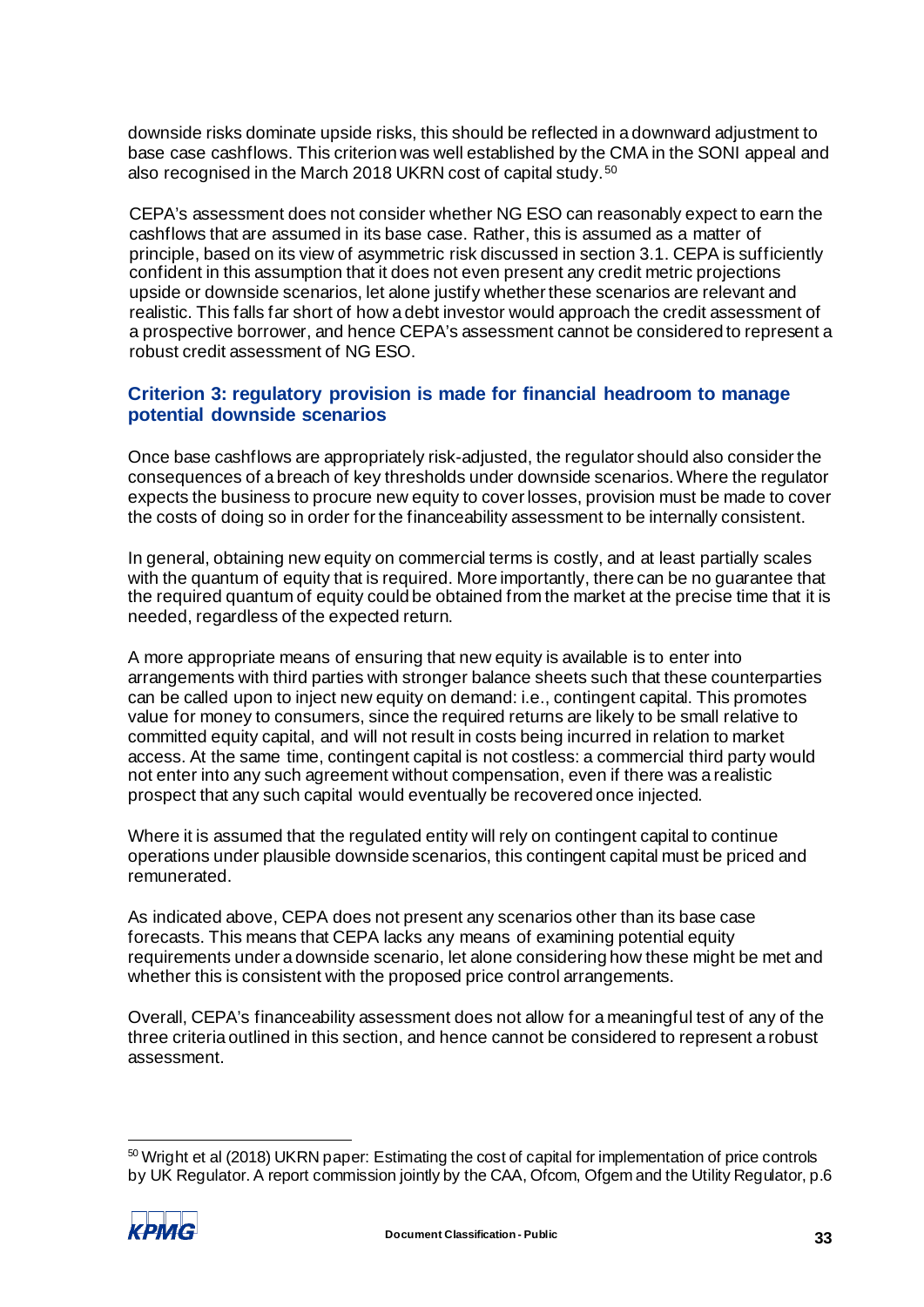downside risks dominate upside risks, this should be reflected in a downward adjustment to base case cashflows. This criterion was well established by the CMA in the SONI appeal and also recognised in the March 2018 UKRN cost of capital study. [50](#page-35-0)

CEPA's assessment does not consider whether NG ESO can reasonably expect to earn the cashflows that are assumed in its base case. Rather, this is assumed as a matter of principle, based on its view of asymmetric risk discussed in sectio[n 3.1.](#page-7-5) CEPA is sufficiently confident in this assumption that it does not even present any credit metric projections upside or downside scenarios, let alone justify whether these scenarios are relevant and realistic. This falls far short of how a debt investor would approach the credit assessment of a prospective borrower, and hence CEPA's assessment cannot be considered to represent a robust credit assessment of NG ESO.

## **Criterion 3: regulatory provision is made for financial headroom to manage potential downside scenarios**

Once base cashflows are appropriately risk-adjusted, the regulator should also consider the consequences of a breach of key thresholds under downside scenarios. Where the regulator expects the business to procure new equity to cover losses, provision must be made to cover the costs of doing so in order for the financeability assessment to be internally consistent.

In general, obtaining new equity on commercial terms is costly, and at least partially scales with the quantum of equity that is required. More importantly, there can be no guarantee that the required quantum of equity could be obtained from the market at the precise time that it is needed, regardless of the expected return.

A more appropriate means of ensuring that new equity is available is to enter into arrangements with third parties with stronger balance sheets such that these counterparties can be called upon to inject new equity on demand: i.e., contingent capital. This promotes value for money to consumers, since the required returns are likely to be small relative to committed equity capital, and will not result in costs being incurred in relation to market access. At the same time, contingent capital is not costless: a commercial third party would not enter into any such agreement without compensation, even if there was a realistic prospect that any such capital would eventually be recovered once injected.

Where it is assumed that the regulated entity will rely on contingent capital to continue operations under plausible downside scenarios, this contingent capital must be priced and remunerated.

As indicated above, CEPA does not present any scenarios other than its base case forecasts. This means that CEPA lacks any means of examining potential equity requirements under a downside scenario, let alone considering how these might be met and whether this is consistent with the proposed price control arrangements.

Overall, CEPA's financeability assessment does not allow for a meaningful test of any of the three criteria outlined in this section, and hence cannot be considered to represent a robust assessment.

<span id="page-35-0"></span><sup>&</sup>lt;sup>50</sup> Wright et al (2018) UKRN paper: Estimating the cost of capital for implementation of price controls by UK Regulator. A report commission jointly by the CAA, Ofcom, Ofgem and the Utility Regulator, p.6

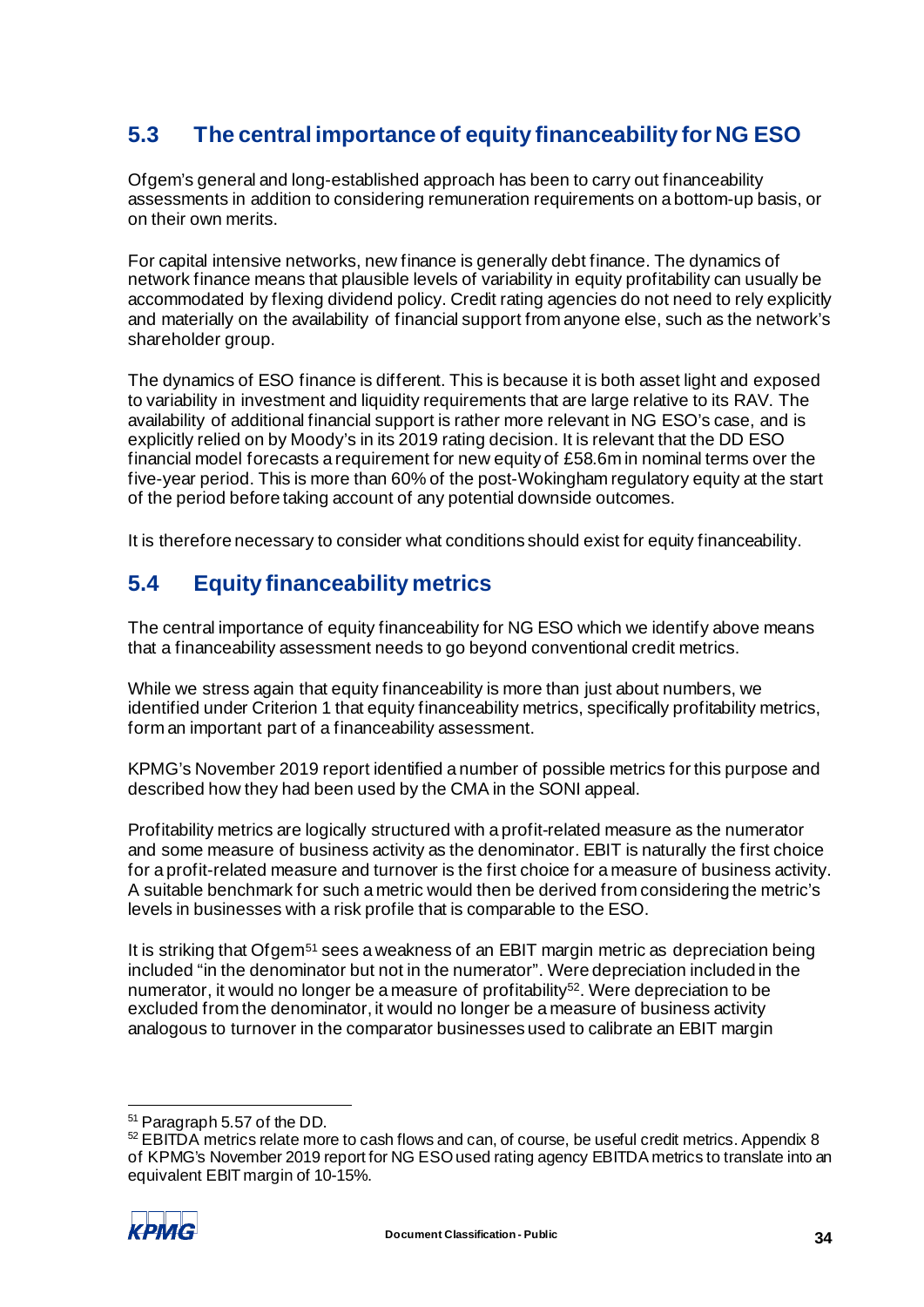# <span id="page-36-2"></span><span id="page-36-0"></span>**5.3 The central importance of equity financeability for NG ESO**

Ofgem's general and long-established approach has been to carry out financeability assessments in addition to considering remuneration requirements on a bottom-up basis, or on their own merits.

For capital intensive networks, new finance is generally debt finance. The dynamics of network finance means that plausible levels of variability in equity profitability can usually be accommodated by flexing dividend policy. Credit rating agencies do not need to rely explicitly and materially on the availability of financial support from anyone else, such as the network's shareholder group.

The dynamics of ESO finance is different. This is because it is both asset light and exposed to variability in investment and liquidity requirements that are large relative to its RAV. The availability of additional financial support is rather more relevant in NG ESO's case, and is explicitly relied on by Moody's in its 2019 rating decision. It is relevant that the DD ESO financial model forecasts a requirement for new equity of £58.6m in nominal terms over the five-year period. This is more than 60% of the post-Wokingham regulatory equity at the start of the period before taking account of any potential downside outcomes.

It is therefore necessary to consider what conditions should exist for equity financeability.

# <span id="page-36-1"></span>**5.4 Equity financeability metrics**

The central importance of equity financeability for NG ESO which we identify above means that a financeability assessment needs to go beyond conventional credit metrics.

While we stress again that equity financeability is more than just about numbers, we identified under Criterion 1 that equity financeability metrics, specifically profitability metrics, form an important part of a financeability assessment.

KPMG's November 2019 report identified a number of possible metrics for this purpose and described how they had been used by the CMA in the SONI appeal.

Profitability metrics are logically structured with a profit-related measure as the numerator and some measure of business activity as the denominator. EBIT is naturally the first choice for a profit-related measure and turnover is the first choice for a measure of business activity. A suitable benchmark for such a metric would then be derived from considering the metric's levels in businesses with a risk profile that is comparable to the ESO.

It is striking that Ofgem[51](#page-36-3) sees a weakness of an EBIT margin metric as depreciation being included "in the denominator but not in the numerator". Were depreciation included in the numerator, it would no longer be a measure of profitability<sup>52</sup>. Were depreciation to be excluded from the denominator, it would no longer be a measure of business activity analogous to turnover in the comparator businesses used to calibrate an EBIT margin

<span id="page-36-4"></span><span id="page-36-3"></span><sup>&</sup>lt;sup>51</sup> Paragraph 5.57 of the DD.<br><sup>52</sup> EBITDA metrics relate more to cash flows and can, of course, be useful credit metrics. Appendix 8 of KPMG's November 2019 report for NG ESO used rating agency EBITDA metrics to translate into an equivalent EBIT margin of 10-15%.

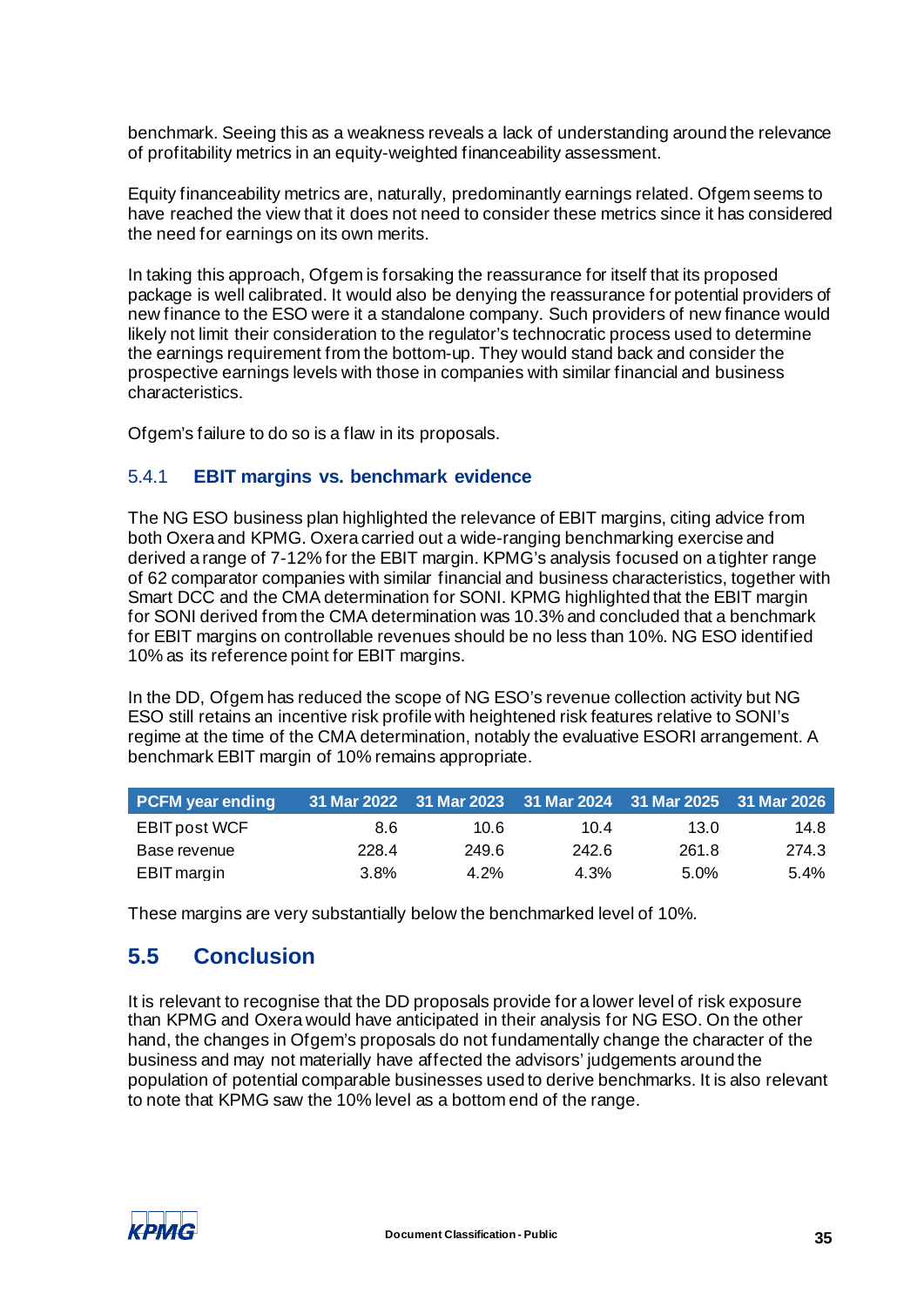benchmark. Seeing this as a weakness reveals a lack of understanding around the relevance of profitability metrics in an equity-weighted financeability assessment.

Equity financeability metrics are, naturally, predominantly earnings related. Ofgem seems to have reached the view that it does not need to consider these metrics since it has considered the need for earnings on its own merits.

In taking this approach, Ofgem is forsaking the reassurance for itself that its proposed package is well calibrated. It would also be denying the reassurance for potential providers of new finance to the ESO were it a standalone company. Such providers of new finance would likely not limit their consideration to the regulator's technocratic process used to determine the earnings requirement from the bottom-up. They would stand back and consider the prospective earnings levels with those in companies with similar financial and business characteristics.

Ofgem's failure to do so is a flaw in its proposals.

## 5.4.1 **EBIT margins vs. benchmark evidence**

The NG ESO business plan highlighted the relevance of EBIT margins, citing advice from both Oxera and KPMG. Oxera carried out a wide-ranging benchmarking exercise and derived a range of 7-12% for the EBIT margin. KPMG's analysis focused on a tighter range of 62 comparator companies with similar financial and business characteristics, together with Smart DCC and the CMA determination for SONI. KPMG highlighted that the EBIT margin for SONI derived from the CMA determination was 10.3% and concluded that a benchmark for EBIT margins on controllable revenues should be no less than 10%. NG ESO identified 10% as its reference point for EBIT margins.

In the DD, Ofgem has reduced the scope of NG ESO's revenue collection activity but NG ESO still retains an incentive risk profile with heightened risk features relative to SONI's regime at the time of the CMA determination, notably the evaluative ESORI arrangement. A benchmark EBIT margin of 10% remains appropriate.

| <b>PCFM</b> year ending |       | 31 Mar 2022 31 Mar 2023 31 Mar 2024 31 Mar 2025 31 Mar 2026 |       |       |         |
|-------------------------|-------|-------------------------------------------------------------|-------|-------|---------|
| <b>EBIT post WCF</b>    | 8.6   | 10.6                                                        | 10.4  | 13.0  | 14.8    |
| Base revenue            | 228.4 | 249.6                                                       | 242.6 | 261.8 | 274.3   |
| EBIT margin             | 3.8%  | $4.2\%$                                                     | 4.3%  | 5.0%  | $5.4\%$ |

These margins are very substantially below the benchmarked level of 10%.

## <span id="page-37-0"></span>**5.5 Conclusion**

It is relevant to recognise that the DD proposals provide for a lower level of risk exposure than KPMG and Oxera would have anticipated in their analysis for NG ESO. On the other hand, the changes in Ofgem's proposals do not fundamentally change the character of the business and may not materially have affected the advisors' judgements around the population of potential comparable businesses used to derive benchmarks. It is also relevant to note that KPMG saw the 10% level as a bottom end of the range.

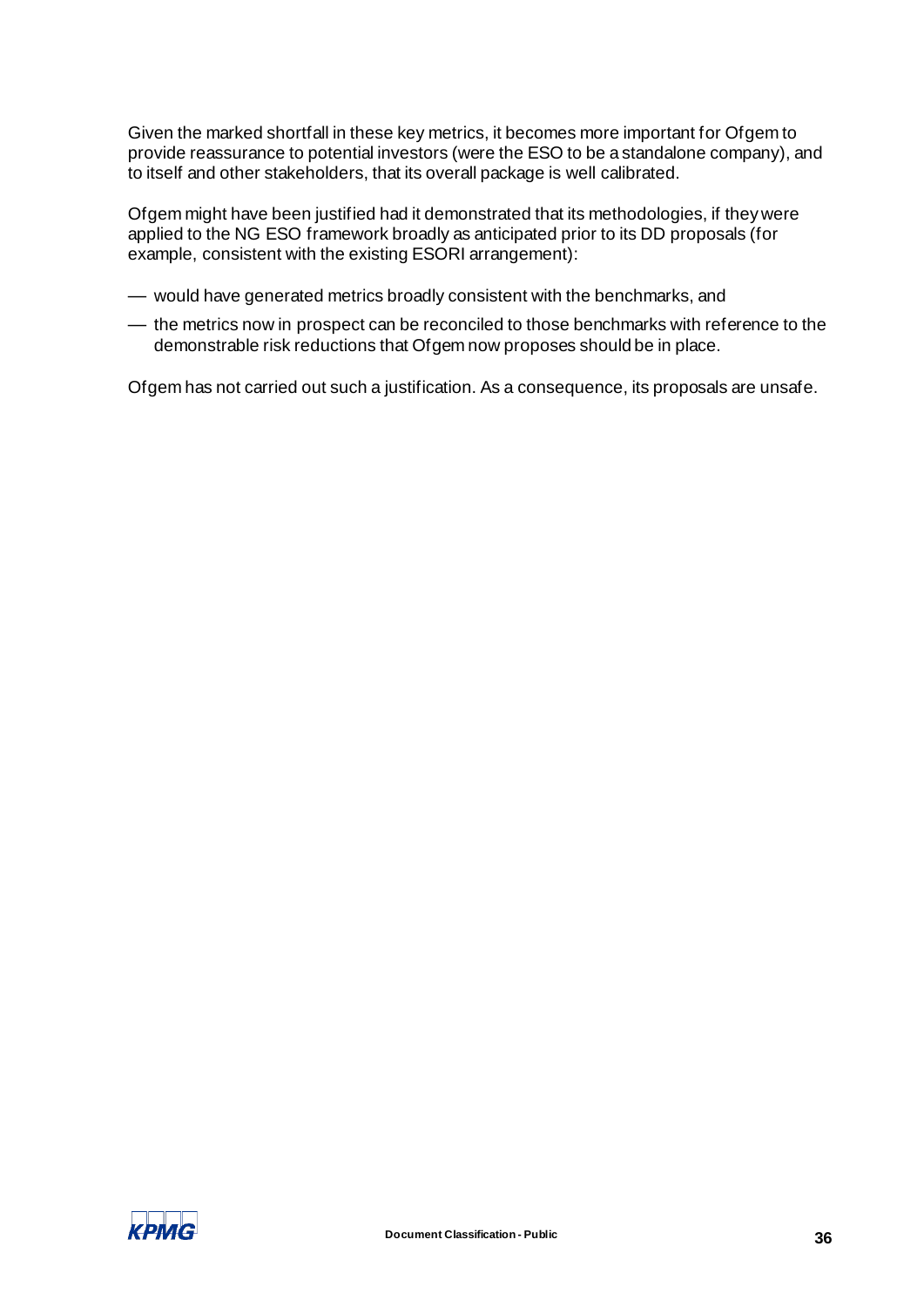Given the marked shortfall in these key metrics, it becomes more important for Ofgem to provide reassurance to potential investors (were the ESO to be a standalone company), and to itself and other stakeholders, that its overall package is well calibrated.

Ofgem might have been justified had it demonstrated that its methodologies, if they were applied to the NG ESO framework broadly as anticipated prior to its DD proposals (for example, consistent with the existing ESORI arrangement):

- would have generated metrics broadly consistent with the benchmarks, and
- the metrics now in prospect can be reconciled to those benchmarks with reference to the demonstrable risk reductions that Ofgem now proposes should be in place.

Ofgem has not carried out such a justification. As a consequence, its proposals are unsafe.

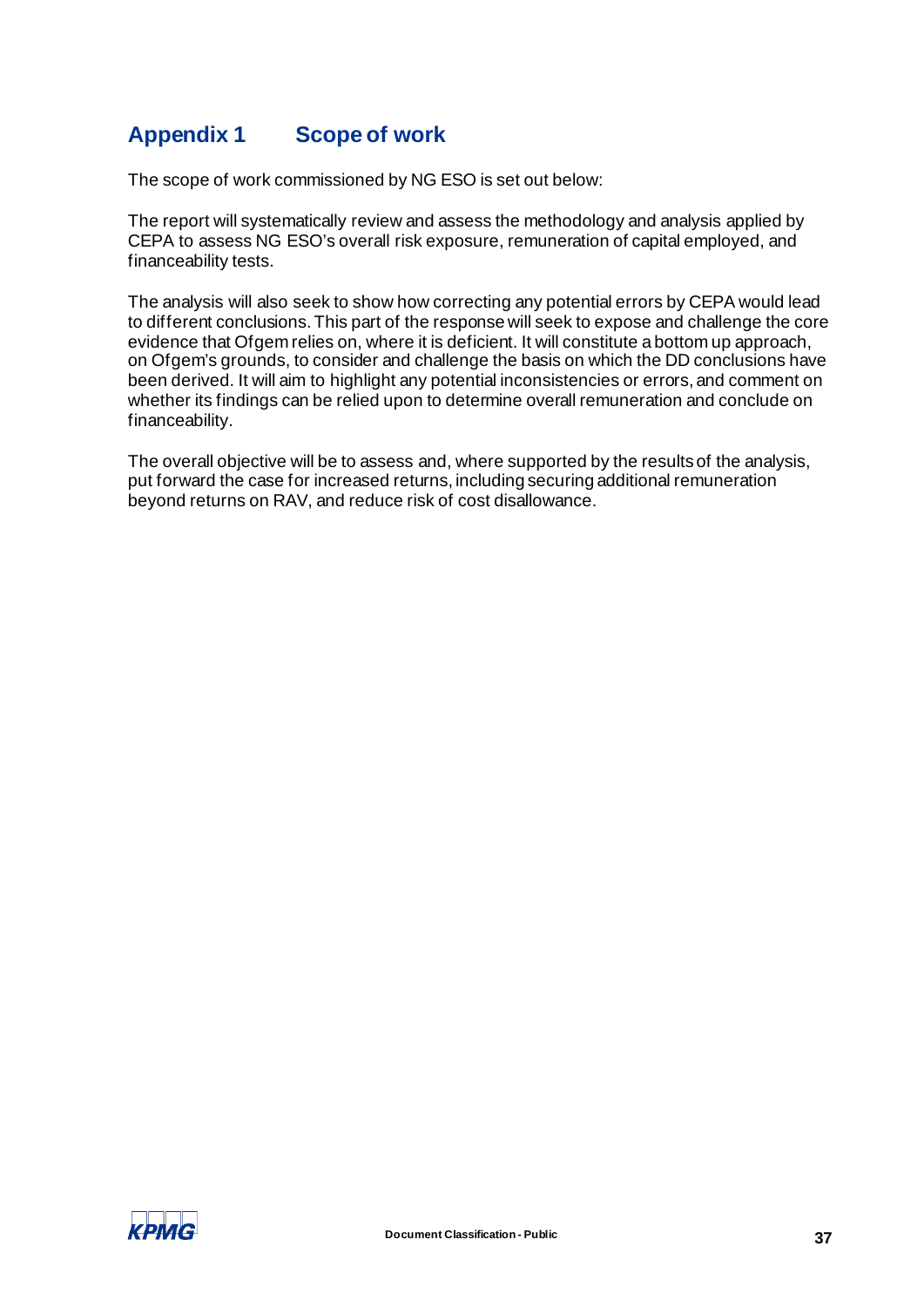# <span id="page-39-0"></span>**Appendix 1 Scope of work**

The scope of work commissioned by NG ESO is set out below:

The report will systematically review and assess the methodology and analysis applied by CEPA to assess NG ESO's overall risk exposure, remuneration of capital employed, and financeability tests.

The analysis will also seek to show how correcting any potential errors by CEPA would lead to different conclusions. This part of the response will seek to expose and challenge the core evidence that Ofgem relies on, where it is deficient. It will constitute a bottom up approach, on Ofgem's grounds, to consider and challenge the basis on which the DD conclusions have been derived. It will aim to highlight any potential inconsistencies or errors, and comment on whether its findings can be relied upon to determine overall remuneration and conclude on financeability.

The overall objective will be to assess and, where supported by the results of the analysis, put forward the case for increased returns, including securing additional remuneration beyond returns on RAV, and reduce risk of cost disallowance.

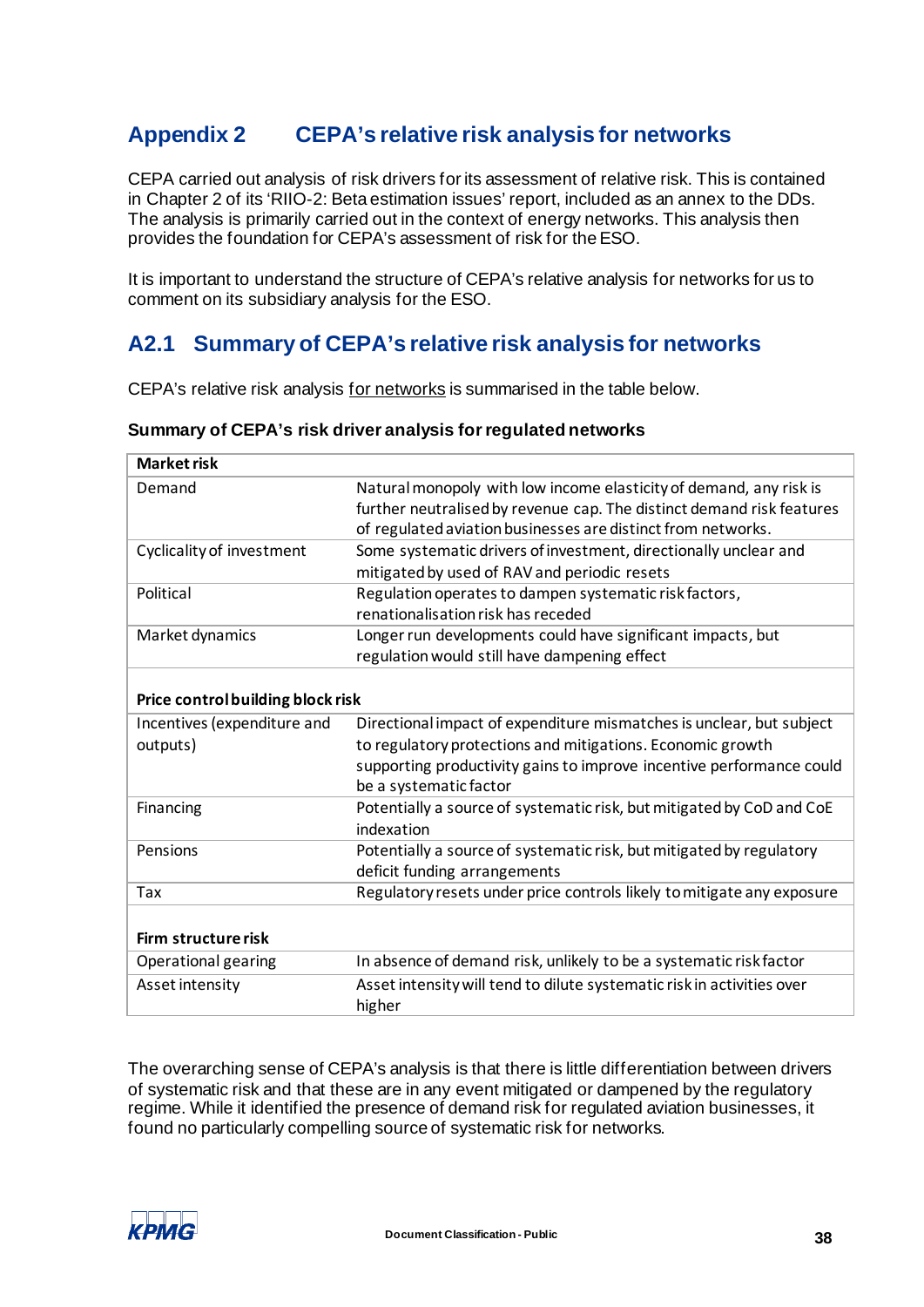# <span id="page-40-2"></span><span id="page-40-0"></span>**Appendix 2 CEPA's relative risk analysis for networks**

CEPA carried out analysis of risk drivers for its assessment of relative risk. This is contained in Chapter 2 of its 'RIIO-2: Beta estimation issues' report, included as an annex to the DDs. The analysis is primarily carried out in the context of energy networks. This analysis then provides the foundation for CEPA's assessment of risk for the ESO.

It is important to understand the structure of CEPA's relative analysis for networks for us to comment on its subsidiary analysis for the ESO.

# <span id="page-40-1"></span>**A2.1 Summary of CEPA's relative risk analysis for networks**

CEPA's relative risk analysis for networks is summarised in the table below.

| <b>Market risk</b>                |                                                                                                                                             |
|-----------------------------------|---------------------------------------------------------------------------------------------------------------------------------------------|
| Demand                            | Natural monopoly with low income elasticity of demand, any risk is<br>further neutralised by revenue cap. The distinct demand risk features |
|                                   | of regulated aviation businesses are distinct from networks.                                                                                |
| Cyclicality of investment         | Some systematic drivers of investment, directionally unclear and<br>mitigated by used of RAV and periodic resets                            |
| Political                         | Regulation operates to dampen systematic risk factors,                                                                                      |
|                                   | renationalisation risk has receded                                                                                                          |
| Market dynamics                   | Longer run developments could have significant impacts, but                                                                                 |
|                                   | regulation would still have dampening effect                                                                                                |
|                                   |                                                                                                                                             |
| Price control building block risk |                                                                                                                                             |
| Incentives (expenditure and       | Directional impact of expenditure mismatches is unclear, but subject                                                                        |
| outputs)                          | to regulatory protections and mitigations. Economic growth                                                                                  |
|                                   | supporting productivity gains to improve incentive performance could                                                                        |
|                                   | be a systematic factor                                                                                                                      |
| Financing                         | Potentially a source of systematic risk, but mitigated by CoD and CoE<br>indexation                                                         |
| Pensions                          | Potentially a source of systematic risk, but mitigated by regulatory                                                                        |
|                                   | deficit funding arrangements                                                                                                                |
| Tax                               | Regulatory resets under price controls likely to mitigate any exposure                                                                      |
|                                   |                                                                                                                                             |
| Firm structure risk               |                                                                                                                                             |
| Operational gearing               | In absence of demand risk, unlikely to be a systematic risk factor                                                                          |
| Asset intensity                   | Asset intensity will tend to dilute systematic risk in activities over                                                                      |
|                                   | higher                                                                                                                                      |

#### **Summary of CEPA's risk driver analysis for regulated networks**

The overarching sense of CEPA's analysis is that there is little differentiation between drivers of systematic risk and that these are in any event mitigated or dampened by the regulatory regime. While it identified the presence of demand risk for regulated aviation businesses, it found no particularly compelling source of systematic risk for networks.

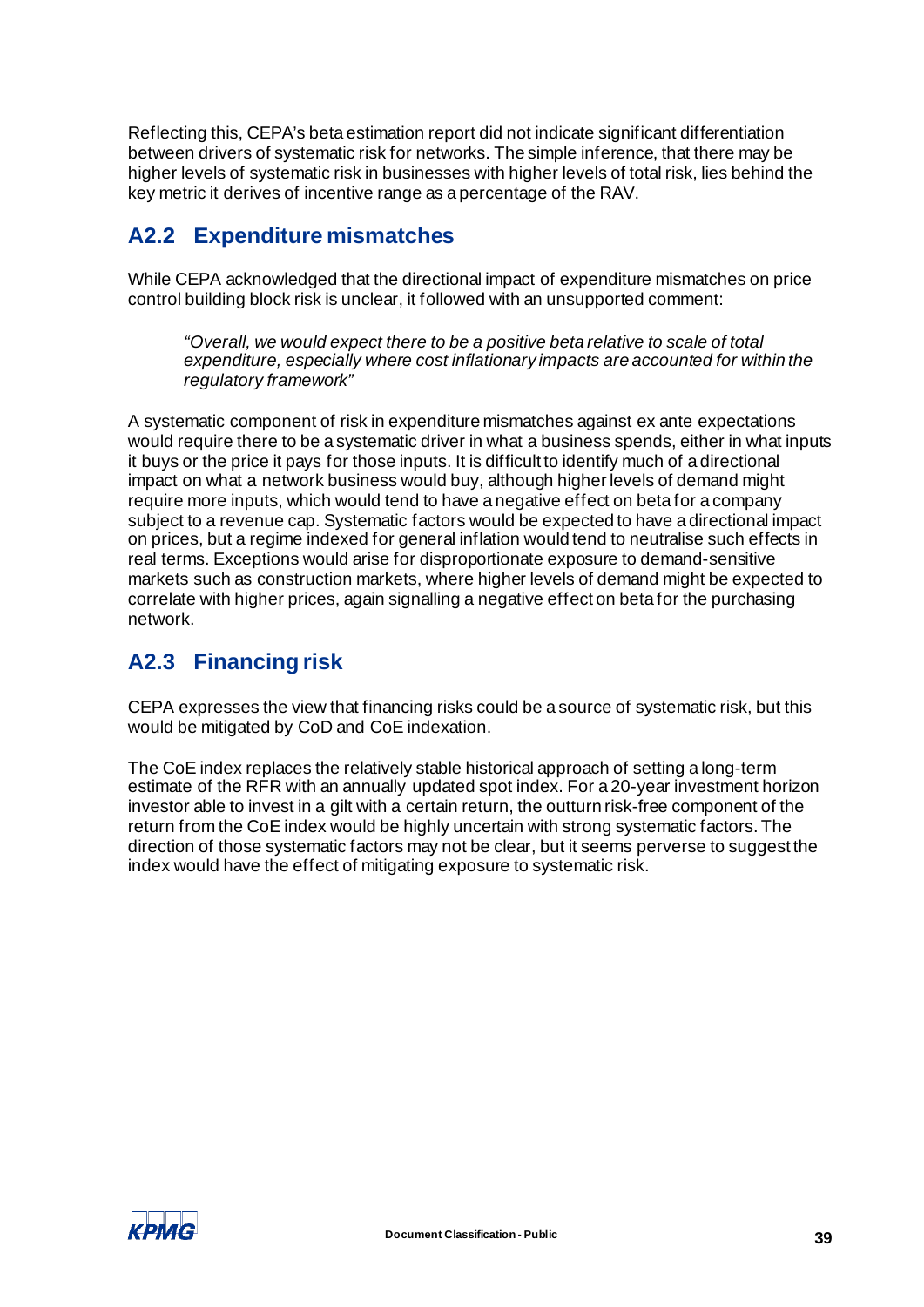Reflecting this, CEPA's beta estimation report did not indicate significant differentiation between drivers of systematic risk for networks. The simple inference, that there may be higher levels of systematic risk in businesses with higher levels of total risk, lies behind the key metric it derives of incentive range as a percentage of the RAV.

# <span id="page-41-0"></span>**A2.2 Expenditure mismatches**

While CEPA acknowledged that the directional impact of expenditure mismatches on price control building block risk is unclear, it followed with an unsupported comment:

*"Overall, we would expect there to be a positive beta relative to scale of total expenditure, especially where cost inflationary impacts are accounted for within the regulatory framework"* 

A systematic component of risk in expenditure mismatches against ex ante expectations would require there to be a systematic driver in what a business spends, either in what inputs it buys or the price it pays for those inputs. It is difficult to identify much of a directional impact on what a network business would buy, although higher levels of demand might require more inputs, which would tend to have a negative effect on beta for a company subject to a revenue cap. Systematic factors would be expected to have a directional impact on prices, but a regime indexed for general inflation would tend to neutralise such effects in real terms. Exceptions would arise for disproportionate exposure to demand-sensitive markets such as construction markets, where higher levels of demand might be expected to correlate with higher prices, again signalling a negative effect on beta for the purchasing network.

## <span id="page-41-1"></span>**A2.3 Financing risk**

CEPA expresses the view that financing risks could be a source of systematic risk, but this would be mitigated by CoD and CoE indexation.

The CoE index replaces the relatively stable historical approach of setting a long-term estimate of the RFR with an annually updated spot index. For a 20-year investment horizon investor able to invest in a gilt with a certain return, the outturn risk-free component of the return from the CoE index would be highly uncertain with strong systematic factors. The direction of those systematic factors may not be clear, but it seems perverse to suggest the index would have the effect of mitigating exposure to systematic risk.